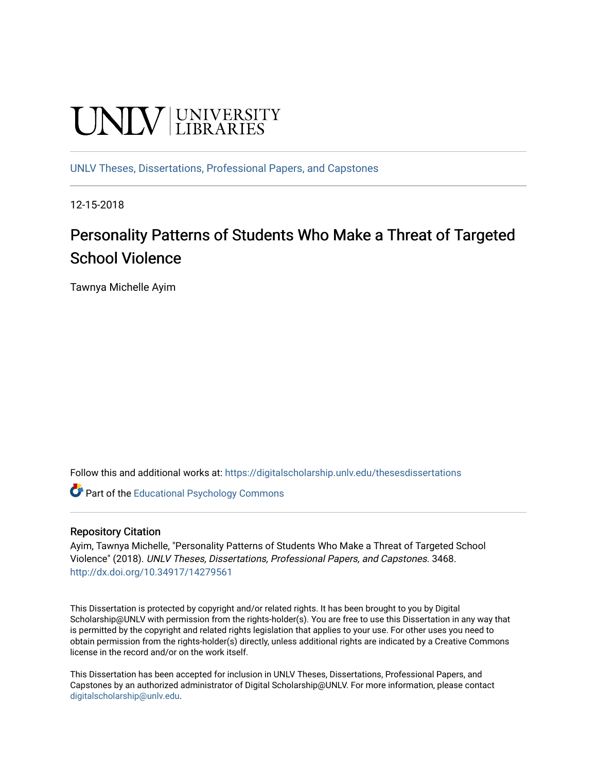# **UNIVERSITY**

[UNLV Theses, Dissertations, Professional Papers, and Capstones](https://digitalscholarship.unlv.edu/thesesdissertations)

12-15-2018

# Personality Patterns of Students Who Make a Threat of Targeted School Violence

Tawnya Michelle Ayim

Follow this and additional works at: [https://digitalscholarship.unlv.edu/thesesdissertations](https://digitalscholarship.unlv.edu/thesesdissertations?utm_source=digitalscholarship.unlv.edu%2Fthesesdissertations%2F3468&utm_medium=PDF&utm_campaign=PDFCoverPages)

**Part of the Educational Psychology Commons** 

#### Repository Citation

Ayim, Tawnya Michelle, "Personality Patterns of Students Who Make a Threat of Targeted School Violence" (2018). UNLV Theses, Dissertations, Professional Papers, and Capstones. 3468. <http://dx.doi.org/10.34917/14279561>

This Dissertation is protected by copyright and/or related rights. It has been brought to you by Digital Scholarship@UNLV with permission from the rights-holder(s). You are free to use this Dissertation in any way that is permitted by the copyright and related rights legislation that applies to your use. For other uses you need to obtain permission from the rights-holder(s) directly, unless additional rights are indicated by a Creative Commons license in the record and/or on the work itself.

This Dissertation has been accepted for inclusion in UNLV Theses, Dissertations, Professional Papers, and Capstones by an authorized administrator of Digital Scholarship@UNLV. For more information, please contact [digitalscholarship@unlv.edu](mailto:digitalscholarship@unlv.edu).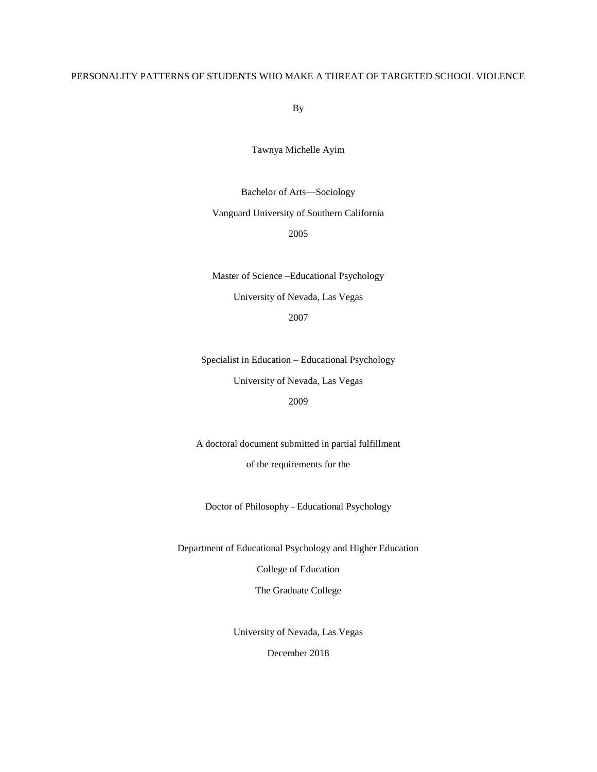#### PERSONALITY PATTERNS OF STUDENTS WHO MAKE A THREAT OF TARGETED SCHOOL VIOLENCE

By

Tawnya Michelle Ayim

Bachelor of Arts—Sociology

Vanguard University of Southern California

2005

Master of Science –Educational Psychology University of Nevada, Las Vegas

2007

Specialist in Education – Educational Psychology University of Nevada, Las Vegas

# 2009

A doctoral document submitted in partial fulfillment of the requirements for the

Doctor of Philosophy - Educational Psychology

Department of Educational Psychology and Higher Education

College of Education

The Graduate College

University of Nevada, Las Vegas

December 2018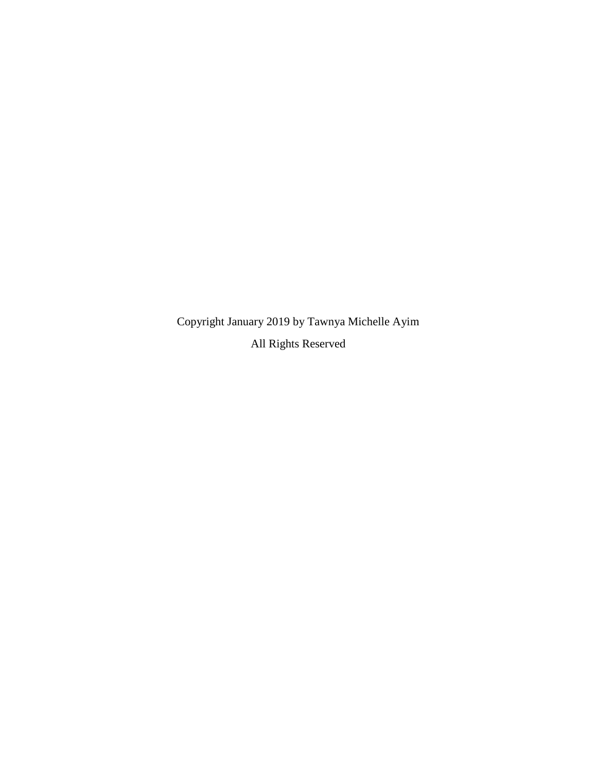Copyright January 2019 by Tawnya Michelle Ayim All Rights Reserved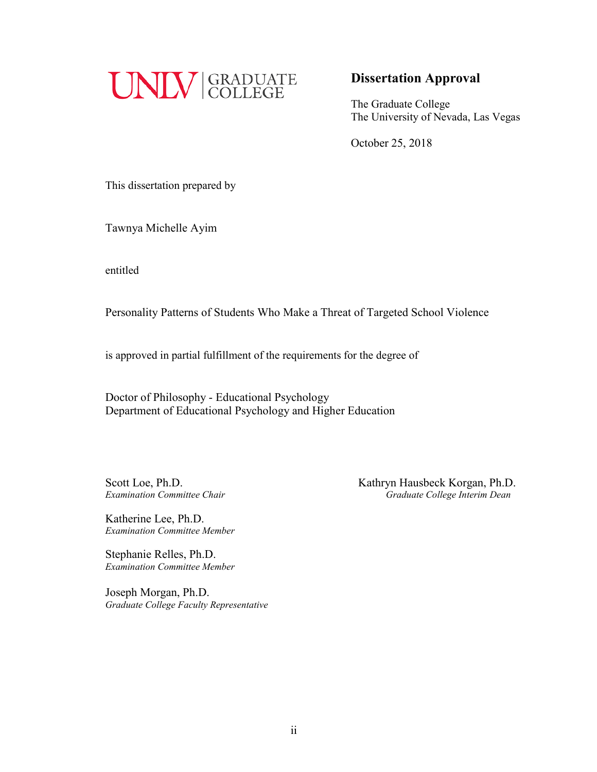

# **Dissertation Approval**

The Graduate College The University of Nevada, Las Vegas

October 25, 2018

This dissertation prepared by

Tawnya Michelle Ayim

entitled

Personality Patterns of Students Who Make a Threat of Targeted School Violence

is approved in partial fulfillment of the requirements for the degree of

Doctor of Philosophy - Educational Psychology Department of Educational Psychology and Higher Education

Scott Loe, Ph.D.<br>*Examination Committee Chair* **Examination Committee Chair Examination Committee Chair Consequence College Interim Dean** *Examination Committee Chair Graduate College Interim Dean*

Katherine Lee, Ph.D. *Examination Committee Member*

Stephanie Relles, Ph.D. *Examination Committee Member*

Joseph Morgan, Ph.D. *Graduate College Faculty Representative*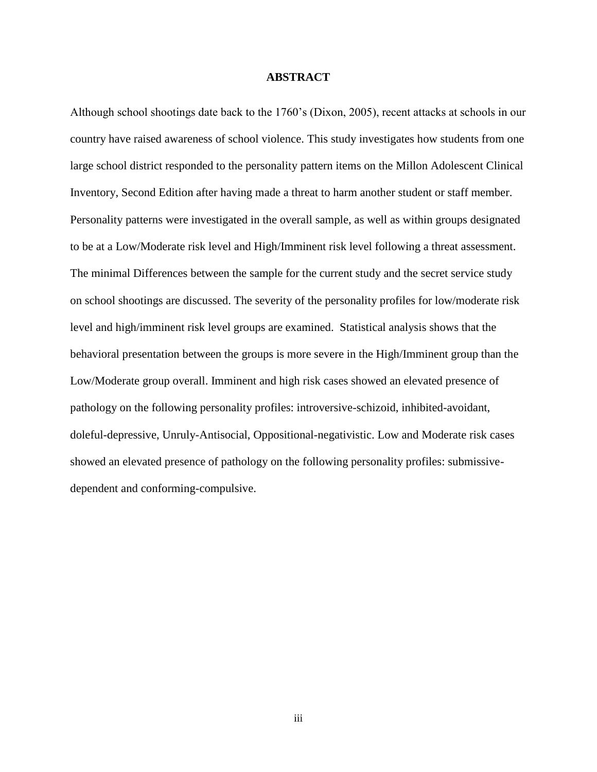#### **ABSTRACT**

Although school shootings date back to the 1760's (Dixon, 2005), recent attacks at schools in our country have raised awareness of school violence. This study investigates how students from one large school district responded to the personality pattern items on the Millon Adolescent Clinical Inventory, Second Edition after having made a threat to harm another student or staff member. Personality patterns were investigated in the overall sample, as well as within groups designated to be at a Low/Moderate risk level and High/Imminent risk level following a threat assessment. The minimal Differences between the sample for the current study and the secret service study on school shootings are discussed. The severity of the personality profiles for low/moderate risk level and high/imminent risk level groups are examined. Statistical analysis shows that the behavioral presentation between the groups is more severe in the High/Imminent group than the Low/Moderate group overall. Imminent and high risk cases showed an elevated presence of pathology on the following personality profiles: introversive-schizoid, inhibited-avoidant, doleful-depressive, Unruly-Antisocial, Oppositional-negativistic. Low and Moderate risk cases showed an elevated presence of pathology on the following personality profiles: submissivedependent and conforming-compulsive.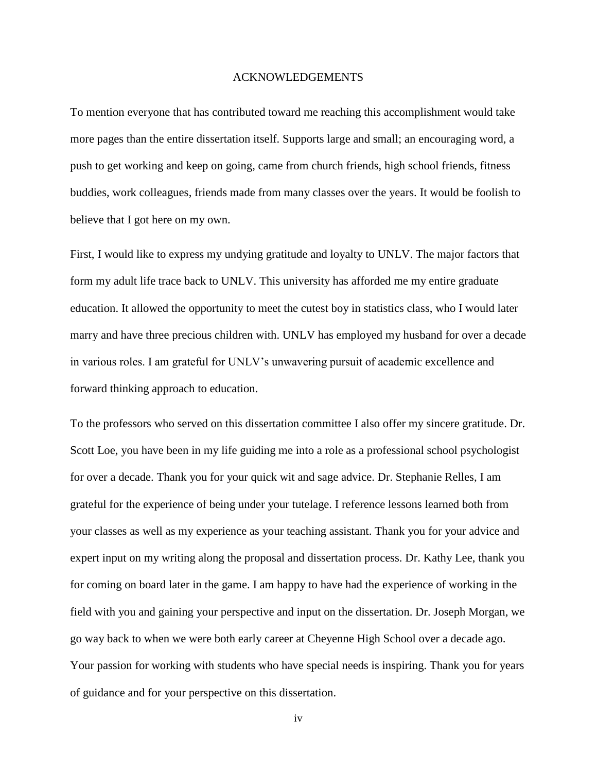#### ACKNOWLEDGEMENTS

To mention everyone that has contributed toward me reaching this accomplishment would take more pages than the entire dissertation itself. Supports large and small; an encouraging word, a push to get working and keep on going, came from church friends, high school friends, fitness buddies, work colleagues, friends made from many classes over the years. It would be foolish to believe that I got here on my own.

First, I would like to express my undying gratitude and loyalty to UNLV. The major factors that form my adult life trace back to UNLV. This university has afforded me my entire graduate education. It allowed the opportunity to meet the cutest boy in statistics class, who I would later marry and have three precious children with. UNLV has employed my husband for over a decade in various roles. I am grateful for UNLV's unwavering pursuit of academic excellence and forward thinking approach to education.

To the professors who served on this dissertation committee I also offer my sincere gratitude. Dr. Scott Loe, you have been in my life guiding me into a role as a professional school psychologist for over a decade. Thank you for your quick wit and sage advice. Dr. Stephanie Relles, I am grateful for the experience of being under your tutelage. I reference lessons learned both from your classes as well as my experience as your teaching assistant. Thank you for your advice and expert input on my writing along the proposal and dissertation process. Dr. Kathy Lee, thank you for coming on board later in the game. I am happy to have had the experience of working in the field with you and gaining your perspective and input on the dissertation. Dr. Joseph Morgan, we go way back to when we were both early career at Cheyenne High School over a decade ago. Your passion for working with students who have special needs is inspiring. Thank you for years of guidance and for your perspective on this dissertation.

iv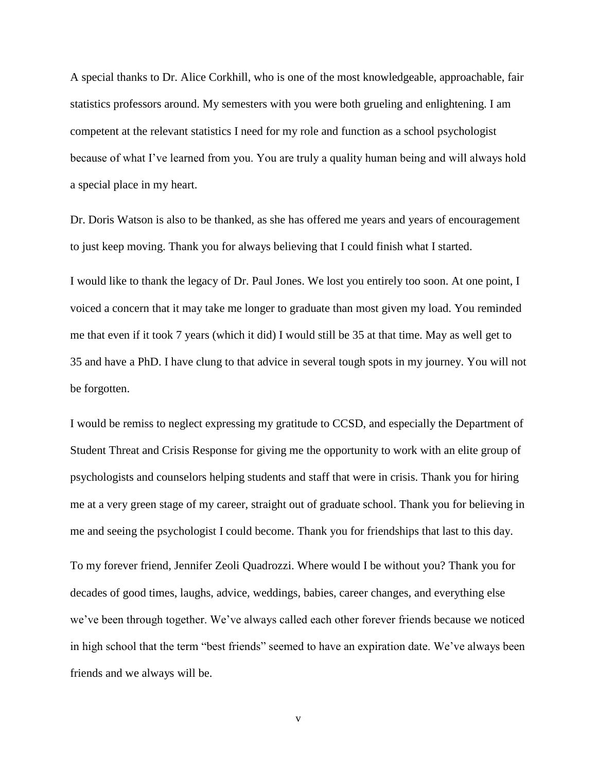A special thanks to Dr. Alice Corkhill, who is one of the most knowledgeable, approachable, fair statistics professors around. My semesters with you were both grueling and enlightening. I am competent at the relevant statistics I need for my role and function as a school psychologist because of what I've learned from you. You are truly a quality human being and will always hold a special place in my heart.

Dr. Doris Watson is also to be thanked, as she has offered me years and years of encouragement to just keep moving. Thank you for always believing that I could finish what I started.

I would like to thank the legacy of Dr. Paul Jones. We lost you entirely too soon. At one point, I voiced a concern that it may take me longer to graduate than most given my load. You reminded me that even if it took 7 years (which it did) I would still be 35 at that time. May as well get to 35 and have a PhD. I have clung to that advice in several tough spots in my journey. You will not be forgotten.

I would be remiss to neglect expressing my gratitude to CCSD, and especially the Department of Student Threat and Crisis Response for giving me the opportunity to work with an elite group of psychologists and counselors helping students and staff that were in crisis. Thank you for hiring me at a very green stage of my career, straight out of graduate school. Thank you for believing in me and seeing the psychologist I could become. Thank you for friendships that last to this day.

To my forever friend, Jennifer Zeoli Quadrozzi. Where would I be without you? Thank you for decades of good times, laughs, advice, weddings, babies, career changes, and everything else we've been through together. We've always called each other forever friends because we noticed in high school that the term "best friends" seemed to have an expiration date. We've always been friends and we always will be.

v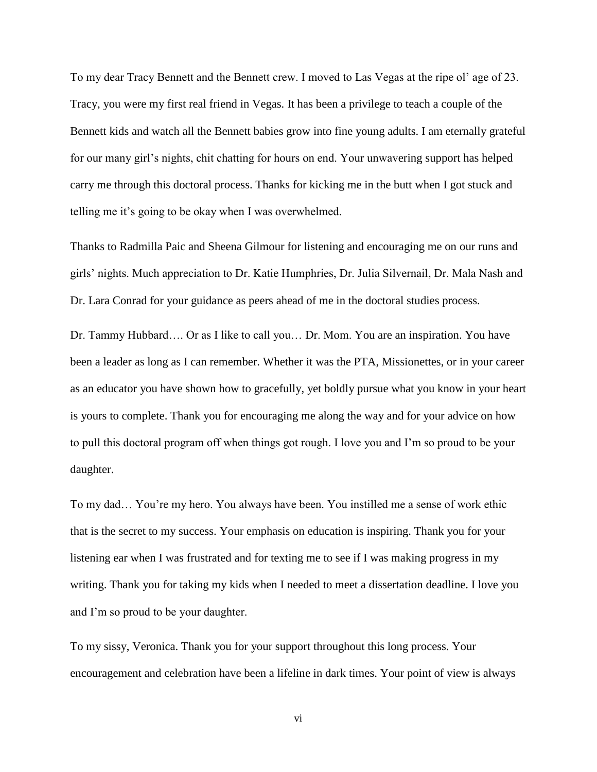To my dear Tracy Bennett and the Bennett crew. I moved to Las Vegas at the ripe ol' age of 23. Tracy, you were my first real friend in Vegas. It has been a privilege to teach a couple of the Bennett kids and watch all the Bennett babies grow into fine young adults. I am eternally grateful for our many girl's nights, chit chatting for hours on end. Your unwavering support has helped carry me through this doctoral process. Thanks for kicking me in the butt when I got stuck and telling me it's going to be okay when I was overwhelmed.

Thanks to Radmilla Paic and Sheena Gilmour for listening and encouraging me on our runs and girls' nights. Much appreciation to Dr. Katie Humphries, Dr. Julia Silvernail, Dr. Mala Nash and Dr. Lara Conrad for your guidance as peers ahead of me in the doctoral studies process.

Dr. Tammy Hubbard…. Or as I like to call you… Dr. Mom. You are an inspiration. You have been a leader as long as I can remember. Whether it was the PTA, Missionettes, or in your career as an educator you have shown how to gracefully, yet boldly pursue what you know in your heart is yours to complete. Thank you for encouraging me along the way and for your advice on how to pull this doctoral program off when things got rough. I love you and I'm so proud to be your daughter.

To my dad… You're my hero. You always have been. You instilled me a sense of work ethic that is the secret to my success. Your emphasis on education is inspiring. Thank you for your listening ear when I was frustrated and for texting me to see if I was making progress in my writing. Thank you for taking my kids when I needed to meet a dissertation deadline. I love you and I'm so proud to be your daughter.

To my sissy, Veronica. Thank you for your support throughout this long process. Your encouragement and celebration have been a lifeline in dark times. Your point of view is always

vi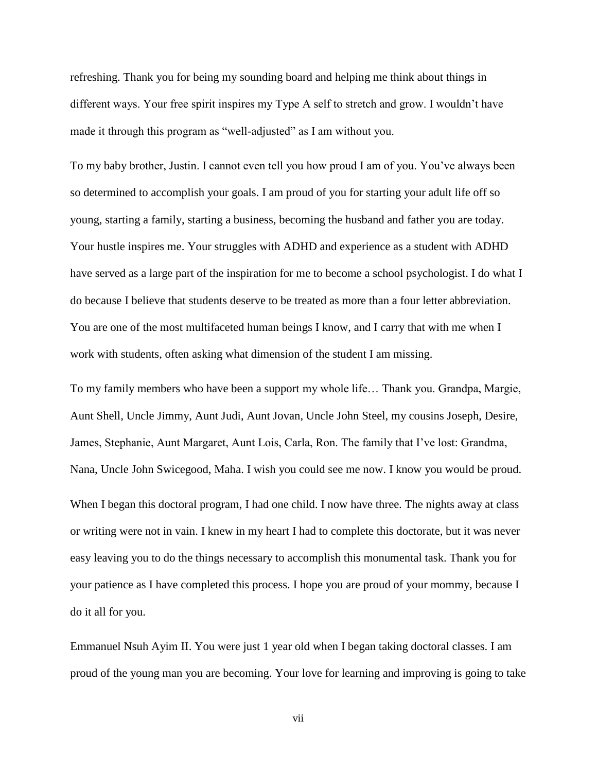refreshing. Thank you for being my sounding board and helping me think about things in different ways. Your free spirit inspires my Type A self to stretch and grow. I wouldn't have made it through this program as "well-adjusted" as I am without you.

To my baby brother, Justin. I cannot even tell you how proud I am of you. You've always been so determined to accomplish your goals. I am proud of you for starting your adult life off so young, starting a family, starting a business, becoming the husband and father you are today. Your hustle inspires me. Your struggles with ADHD and experience as a student with ADHD have served as a large part of the inspiration for me to become a school psychologist. I do what I do because I believe that students deserve to be treated as more than a four letter abbreviation. You are one of the most multifaceted human beings I know, and I carry that with me when I work with students, often asking what dimension of the student I am missing.

To my family members who have been a support my whole life… Thank you. Grandpa, Margie, Aunt Shell, Uncle Jimmy, Aunt Judi, Aunt Jovan, Uncle John Steel, my cousins Joseph, Desire, James, Stephanie, Aunt Margaret, Aunt Lois, Carla, Ron. The family that I've lost: Grandma, Nana, Uncle John Swicegood, Maha. I wish you could see me now. I know you would be proud.

When I began this doctoral program, I had one child. I now have three. The nights away at class or writing were not in vain. I knew in my heart I had to complete this doctorate, but it was never easy leaving you to do the things necessary to accomplish this monumental task. Thank you for your patience as I have completed this process. I hope you are proud of your mommy, because I do it all for you.

Emmanuel Nsuh Ayim II. You were just 1 year old when I began taking doctoral classes. I am proud of the young man you are becoming. Your love for learning and improving is going to take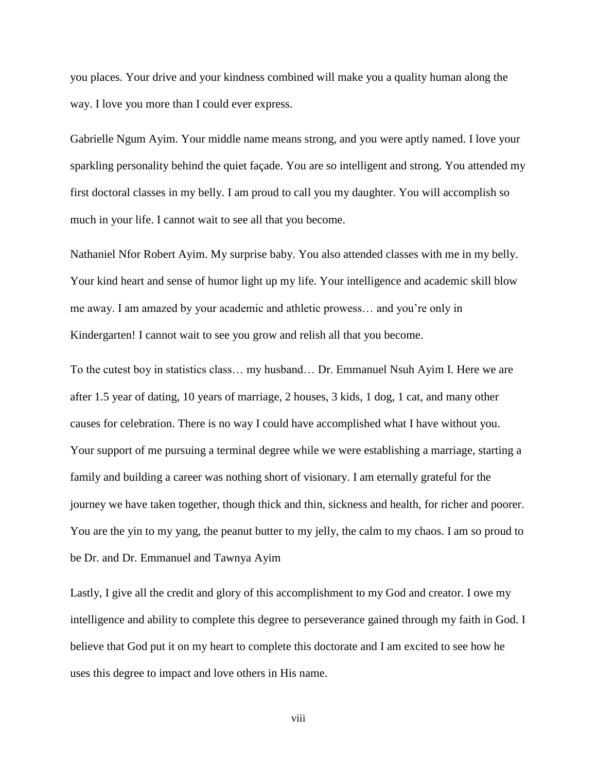you places. Your drive and your kindness combined will make you a quality human along the way. I love you more than I could ever express.

Gabrielle Ngum Ayim. Your middle name means strong, and you were aptly named. I love your sparkling personality behind the quiet façade. You are so intelligent and strong. You attended my first doctoral classes in my belly. I am proud to call you my daughter. You will accomplish so much in your life. I cannot wait to see all that you become.

Nathaniel Nfor Robert Ayim. My surprise baby. You also attended classes with me in my belly. Your kind heart and sense of humor light up my life. Your intelligence and academic skill blow me away. I am amazed by your academic and athletic prowess… and you're only in Kindergarten! I cannot wait to see you grow and relish all that you become.

To the cutest boy in statistics class… my husband… Dr. Emmanuel Nsuh Ayim I. Here we are after 1.5 year of dating, 10 years of marriage, 2 houses, 3 kids, 1 dog, 1 cat, and many other causes for celebration. There is no way I could have accomplished what I have without you. Your support of me pursuing a terminal degree while we were establishing a marriage, starting a family and building a career was nothing short of visionary. I am eternally grateful for the journey we have taken together, though thick and thin, sickness and health, for richer and poorer. You are the yin to my yang, the peanut butter to my jelly, the calm to my chaos. I am so proud to be Dr. and Dr. Emmanuel and Tawnya Ayim

Lastly, I give all the credit and glory of this accomplishment to my God and creator. I owe my intelligence and ability to complete this degree to perseverance gained through my faith in God. I believe that God put it on my heart to complete this doctorate and I am excited to see how he uses this degree to impact and love others in His name.

viii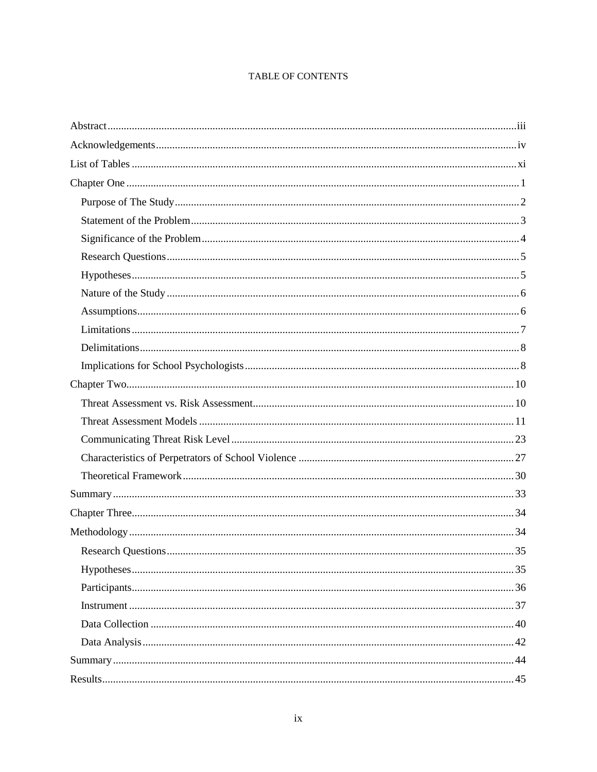# TABLE OF CONTENTS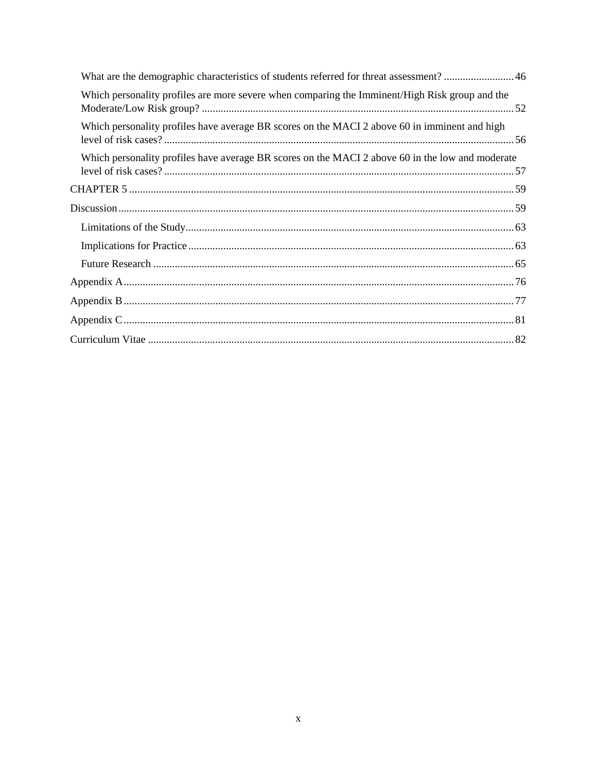| What are the demographic characteristics of students referred for threat assessment?  46         |  |
|--------------------------------------------------------------------------------------------------|--|
| Which personality profiles are more severe when comparing the Imminent/High Risk group and the   |  |
| Which personality profiles have average BR scores on the MACI 2 above 60 in imminent and high    |  |
| Which personality profiles have average BR scores on the MACI 2 above 60 in the low and moderate |  |
|                                                                                                  |  |
|                                                                                                  |  |
|                                                                                                  |  |
|                                                                                                  |  |
|                                                                                                  |  |
|                                                                                                  |  |
|                                                                                                  |  |
|                                                                                                  |  |
|                                                                                                  |  |
|                                                                                                  |  |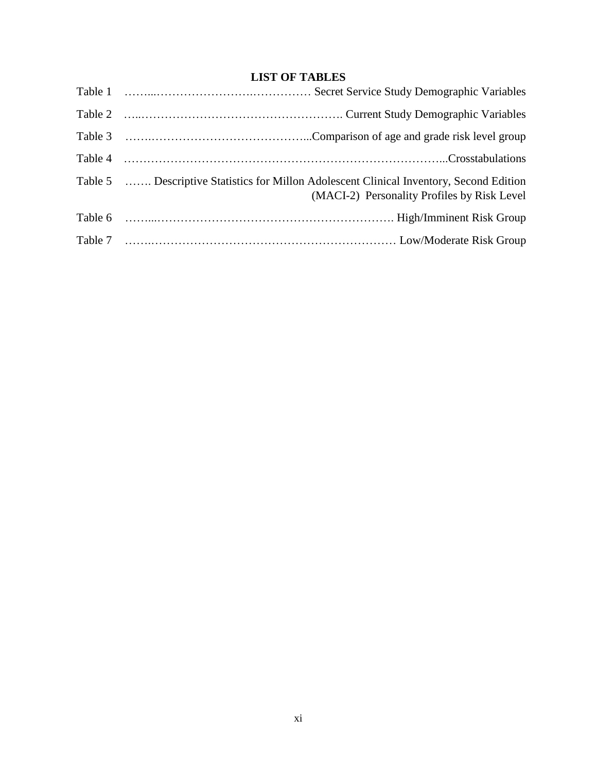# **LIST OF TABLES**

| Table 5  Descriptive Statistics for Millon Adolescent Clinical Inventory, Second Edition<br>(MACI-2) Personality Profiles by Risk Level |  |
|-----------------------------------------------------------------------------------------------------------------------------------------|--|
|                                                                                                                                         |  |
|                                                                                                                                         |  |
|                                                                                                                                         |  |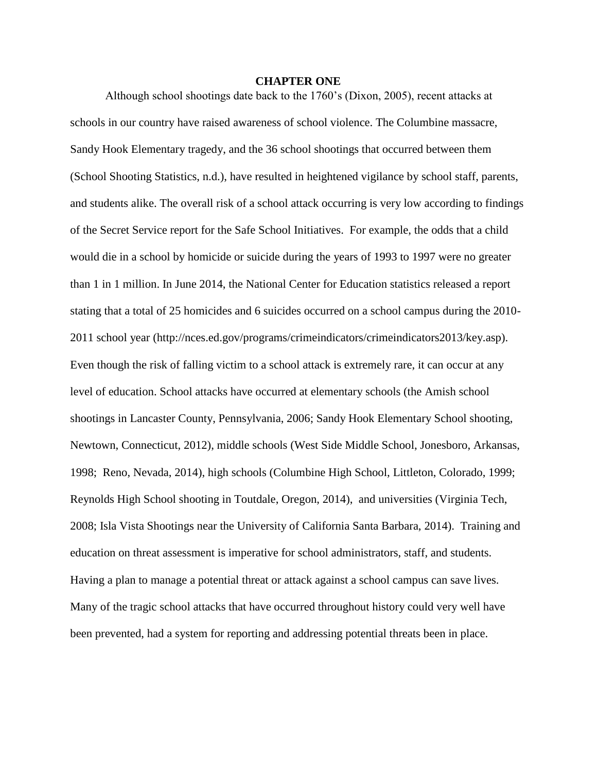#### **CHAPTER ONE**

Although school shootings date back to the 1760's (Dixon, 2005), recent attacks at schools in our country have raised awareness of school violence. The Columbine massacre, Sandy Hook Elementary tragedy, and the 36 school shootings that occurred between them (School Shooting Statistics, n.d.), have resulted in heightened vigilance by school staff, parents, and students alike. The overall risk of a school attack occurring is very low according to findings of the Secret Service report for the Safe School Initiatives. For example, the odds that a child would die in a school by homicide or suicide during the years of 1993 to 1997 were no greater than 1 in 1 million. In June 2014, the National Center for Education statistics released a report stating that a total of 25 homicides and 6 suicides occurred on a school campus during the 2010- 2011 school year (http://nces.ed.gov/programs/crimeindicators/crimeindicators2013/key.asp). Even though the risk of falling victim to a school attack is extremely rare, it can occur at any level of education. School attacks have occurred at elementary schools (the Amish school shootings in Lancaster County, Pennsylvania, 2006; Sandy Hook Elementary School shooting, Newtown, Connecticut, 2012), middle schools (West Side Middle School, Jonesboro, Arkansas, 1998; Reno, Nevada, 2014), high schools (Columbine High School, Littleton, Colorado, 1999; Reynolds High School shooting in Toutdale, Oregon, 2014), and universities (Virginia Tech, 2008; Isla Vista Shootings near the University of California Santa Barbara, 2014). Training and education on threat assessment is imperative for school administrators, staff, and students. Having a plan to manage a potential threat or attack against a school campus can save lives. Many of the tragic school attacks that have occurred throughout history could very well have been prevented, had a system for reporting and addressing potential threats been in place.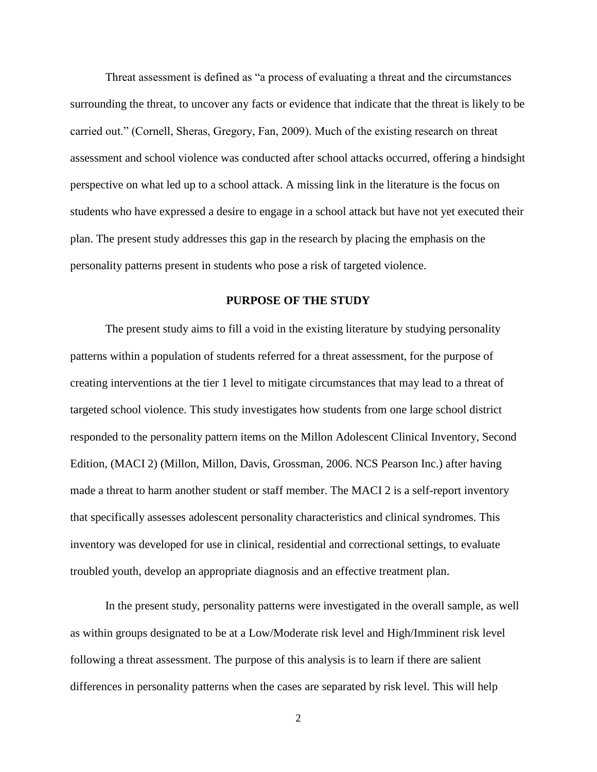Threat assessment is defined as "a process of evaluating a threat and the circumstances surrounding the threat, to uncover any facts or evidence that indicate that the threat is likely to be carried out." (Cornell, Sheras, Gregory, Fan, 2009). Much of the existing research on threat assessment and school violence was conducted after school attacks occurred, offering a hindsight perspective on what led up to a school attack. A missing link in the literature is the focus on students who have expressed a desire to engage in a school attack but have not yet executed their plan. The present study addresses this gap in the research by placing the emphasis on the personality patterns present in students who pose a risk of targeted violence.

# **PURPOSE OF THE STUDY**

The present study aims to fill a void in the existing literature by studying personality patterns within a population of students referred for a threat assessment, for the purpose of creating interventions at the tier 1 level to mitigate circumstances that may lead to a threat of targeted school violence. This study investigates how students from one large school district responded to the personality pattern items on the Millon Adolescent Clinical Inventory, Second Edition, (MACI 2) (Millon, Millon, Davis, Grossman, 2006. NCS Pearson Inc.) after having made a threat to harm another student or staff member. The MACI 2 is a self-report inventory that specifically assesses adolescent personality characteristics and clinical syndromes. This inventory was developed for use in clinical, residential and correctional settings, to evaluate troubled youth, develop an appropriate diagnosis and an effective treatment plan.

In the present study, personality patterns were investigated in the overall sample, as well as within groups designated to be at a Low/Moderate risk level and High/Imminent risk level following a threat assessment. The purpose of this analysis is to learn if there are salient differences in personality patterns when the cases are separated by risk level. This will help

<sup>2</sup>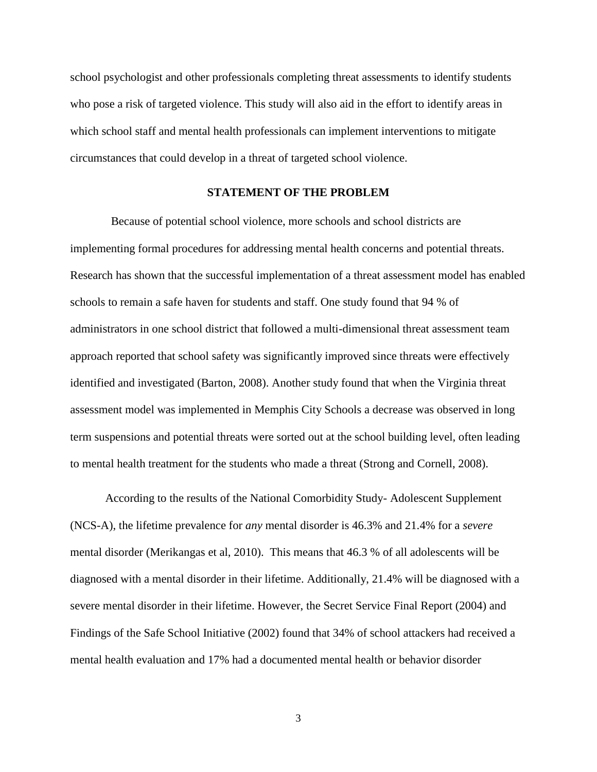school psychologist and other professionals completing threat assessments to identify students who pose a risk of targeted violence. This study will also aid in the effort to identify areas in which school staff and mental health professionals can implement interventions to mitigate circumstances that could develop in a threat of targeted school violence.

# **STATEMENT OF THE PROBLEM**

 Because of potential school violence, more schools and school districts are implementing formal procedures for addressing mental health concerns and potential threats. Research has shown that the successful implementation of a threat assessment model has enabled schools to remain a safe haven for students and staff. One study found that 94 % of administrators in one school district that followed a multi-dimensional threat assessment team approach reported that school safety was significantly improved since threats were effectively identified and investigated (Barton, 2008). Another study found that when the Virginia threat assessment model was implemented in Memphis City Schools a decrease was observed in long term suspensions and potential threats were sorted out at the school building level, often leading to mental health treatment for the students who made a threat (Strong and Cornell, 2008).

According to the results of the National Comorbidity Study- Adolescent Supplement (NCS-A), the lifetime prevalence for *any* mental disorder is 46.3% and 21.4% for a *severe* mental disorder (Merikangas et al, 2010). This means that 46.3 % of all adolescents will be diagnosed with a mental disorder in their lifetime. Additionally, 21.4% will be diagnosed with a severe mental disorder in their lifetime. However, the Secret Service Final Report (2004) and Findings of the Safe School Initiative (2002) found that 34% of school attackers had received a mental health evaluation and 17% had a documented mental health or behavior disorder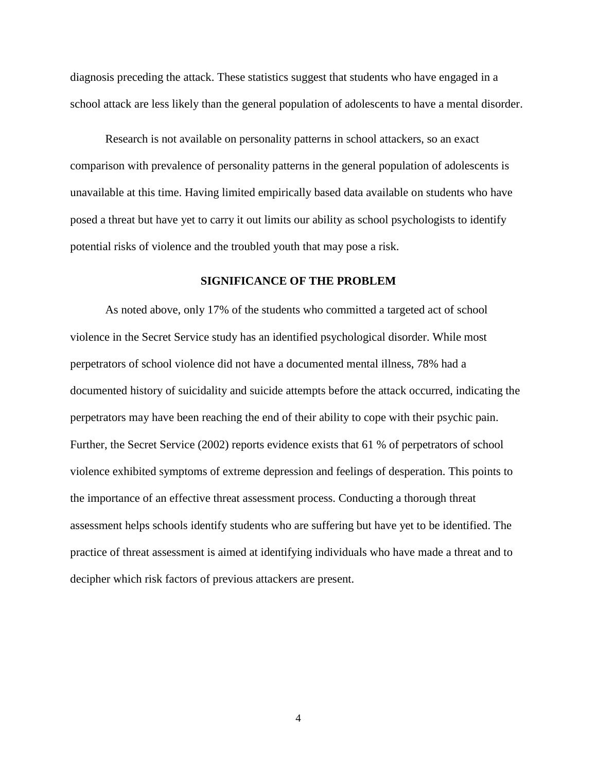diagnosis preceding the attack. These statistics suggest that students who have engaged in a school attack are less likely than the general population of adolescents to have a mental disorder.

Research is not available on personality patterns in school attackers, so an exact comparison with prevalence of personality patterns in the general population of adolescents is unavailable at this time. Having limited empirically based data available on students who have posed a threat but have yet to carry it out limits our ability as school psychologists to identify potential risks of violence and the troubled youth that may pose a risk.

#### **SIGNIFICANCE OF THE PROBLEM**

As noted above, only 17% of the students who committed a targeted act of school violence in the Secret Service study has an identified psychological disorder. While most perpetrators of school violence did not have a documented mental illness, 78% had a documented history of suicidality and suicide attempts before the attack occurred, indicating the perpetrators may have been reaching the end of their ability to cope with their psychic pain. Further, the Secret Service (2002) reports evidence exists that 61 % of perpetrators of school violence exhibited symptoms of extreme depression and feelings of desperation. This points to the importance of an effective threat assessment process. Conducting a thorough threat assessment helps schools identify students who are suffering but have yet to be identified. The practice of threat assessment is aimed at identifying individuals who have made a threat and to decipher which risk factors of previous attackers are present.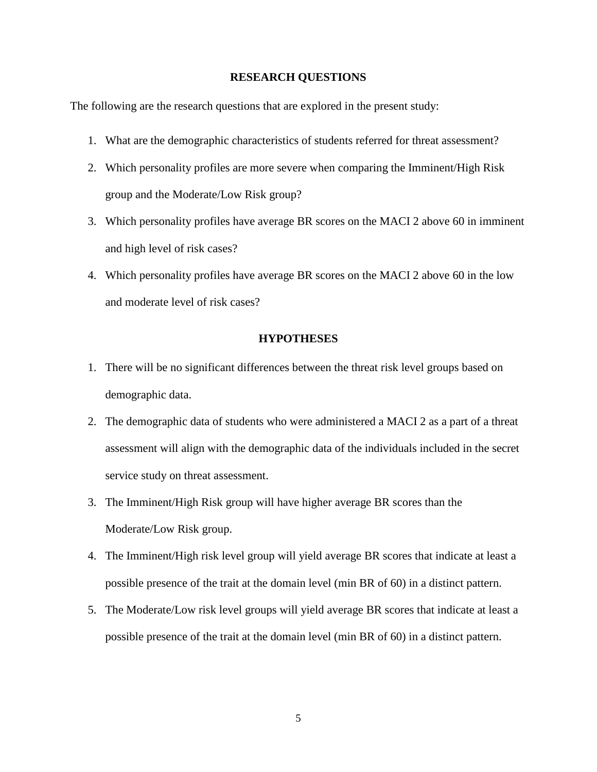#### **RESEARCH QUESTIONS**

The following are the research questions that are explored in the present study:

- 1. What are the demographic characteristics of students referred for threat assessment?
- 2. Which personality profiles are more severe when comparing the Imminent/High Risk group and the Moderate/Low Risk group?
- 3. Which personality profiles have average BR scores on the MACI 2 above 60 in imminent and high level of risk cases?
- 4. Which personality profiles have average BR scores on the MACI 2 above 60 in the low and moderate level of risk cases?

#### **HYPOTHESES**

- 1. There will be no significant differences between the threat risk level groups based on demographic data.
- 2. The demographic data of students who were administered a MACI 2 as a part of a threat assessment will align with the demographic data of the individuals included in the secret service study on threat assessment.
- 3. The Imminent/High Risk group will have higher average BR scores than the Moderate/Low Risk group.
- 4. The Imminent/High risk level group will yield average BR scores that indicate at least a possible presence of the trait at the domain level (min BR of 60) in a distinct pattern.
- 5. The Moderate/Low risk level groups will yield average BR scores that indicate at least a possible presence of the trait at the domain level (min BR of 60) in a distinct pattern.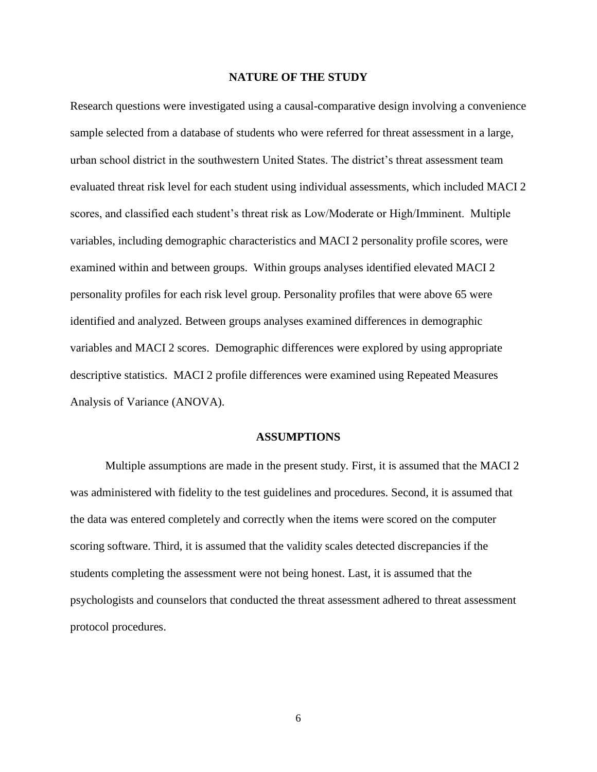#### **NATURE OF THE STUDY**

Research questions were investigated using a causal-comparative design involving a convenience sample selected from a database of students who were referred for threat assessment in a large, urban school district in the southwestern United States. The district's threat assessment team evaluated threat risk level for each student using individual assessments, which included MACI 2 scores, and classified each student's threat risk as Low/Moderate or High/Imminent. Multiple variables, including demographic characteristics and MACI 2 personality profile scores, were examined within and between groups. Within groups analyses identified elevated MACI 2 personality profiles for each risk level group. Personality profiles that were above 65 were identified and analyzed. Between groups analyses examined differences in demographic variables and MACI 2 scores. Demographic differences were explored by using appropriate descriptive statistics. MACI 2 profile differences were examined using Repeated Measures Analysis of Variance (ANOVA).

#### **ASSUMPTIONS**

Multiple assumptions are made in the present study. First, it is assumed that the MACI 2 was administered with fidelity to the test guidelines and procedures. Second, it is assumed that the data was entered completely and correctly when the items were scored on the computer scoring software. Third, it is assumed that the validity scales detected discrepancies if the students completing the assessment were not being honest. Last, it is assumed that the psychologists and counselors that conducted the threat assessment adhered to threat assessment protocol procedures.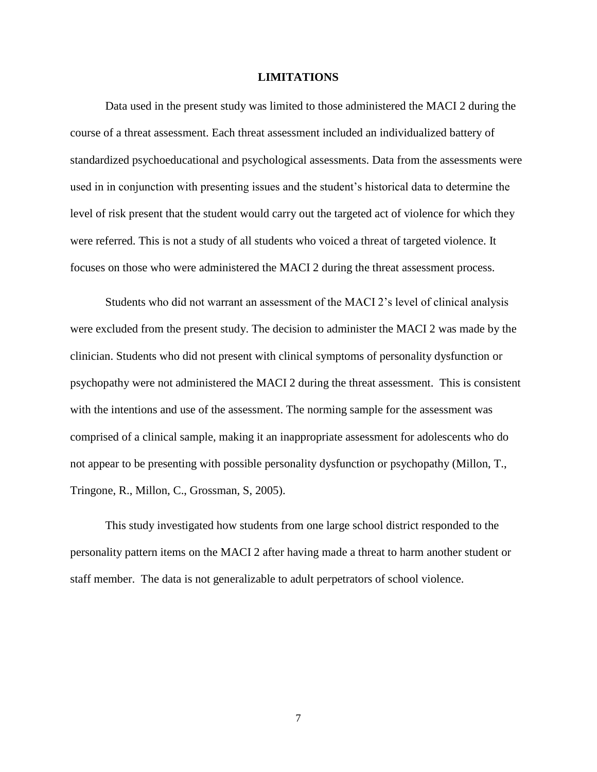#### **LIMITATIONS**

Data used in the present study was limited to those administered the MACI 2 during the course of a threat assessment. Each threat assessment included an individualized battery of standardized psychoeducational and psychological assessments. Data from the assessments were used in in conjunction with presenting issues and the student's historical data to determine the level of risk present that the student would carry out the targeted act of violence for which they were referred. This is not a study of all students who voiced a threat of targeted violence. It focuses on those who were administered the MACI 2 during the threat assessment process.

Students who did not warrant an assessment of the MACI 2's level of clinical analysis were excluded from the present study. The decision to administer the MACI 2 was made by the clinician. Students who did not present with clinical symptoms of personality dysfunction or psychopathy were not administered the MACI 2 during the threat assessment. This is consistent with the intentions and use of the assessment. The norming sample for the assessment was comprised of a clinical sample, making it an inappropriate assessment for adolescents who do not appear to be presenting with possible personality dysfunction or psychopathy (Millon, T., Tringone, R., Millon, C., Grossman, S, 2005).

This study investigated how students from one large school district responded to the personality pattern items on the MACI 2 after having made a threat to harm another student or staff member. The data is not generalizable to adult perpetrators of school violence.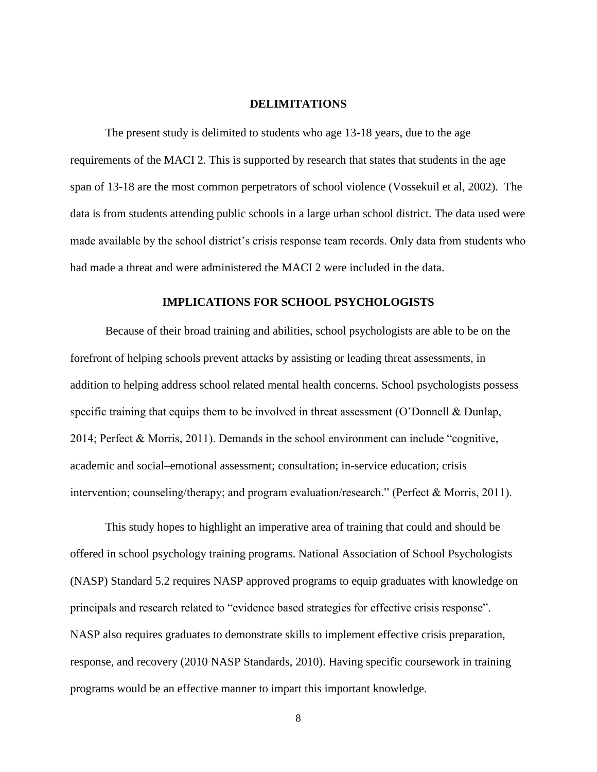#### **DELIMITATIONS**

The present study is delimited to students who age 13-18 years, due to the age requirements of the MACI 2. This is supported by research that states that students in the age span of 13-18 are the most common perpetrators of school violence (Vossekuil et al, 2002). The data is from students attending public schools in a large urban school district. The data used were made available by the school district's crisis response team records. Only data from students who had made a threat and were administered the MACI 2 were included in the data.

#### **IMPLICATIONS FOR SCHOOL PSYCHOLOGISTS**

Because of their broad training and abilities, school psychologists are able to be on the forefront of helping schools prevent attacks by assisting or leading threat assessments, in addition to helping address school related mental health concerns. School psychologists possess specific training that equips them to be involved in threat assessment (O'Donnell & Dunlap, 2014; Perfect & Morris, 2011). Demands in the school environment can include "cognitive, academic and social–emotional assessment; consultation; in-service education; crisis intervention; counseling/therapy; and program evaluation/research." (Perfect & Morris, 2011).

This study hopes to highlight an imperative area of training that could and should be offered in school psychology training programs. National Association of School Psychologists (NASP) Standard 5.2 requires NASP approved programs to equip graduates with knowledge on principals and research related to "evidence based strategies for effective crisis response". NASP also requires graduates to demonstrate skills to implement effective crisis preparation, response, and recovery (2010 NASP Standards, 2010). Having specific coursework in training programs would be an effective manner to impart this important knowledge.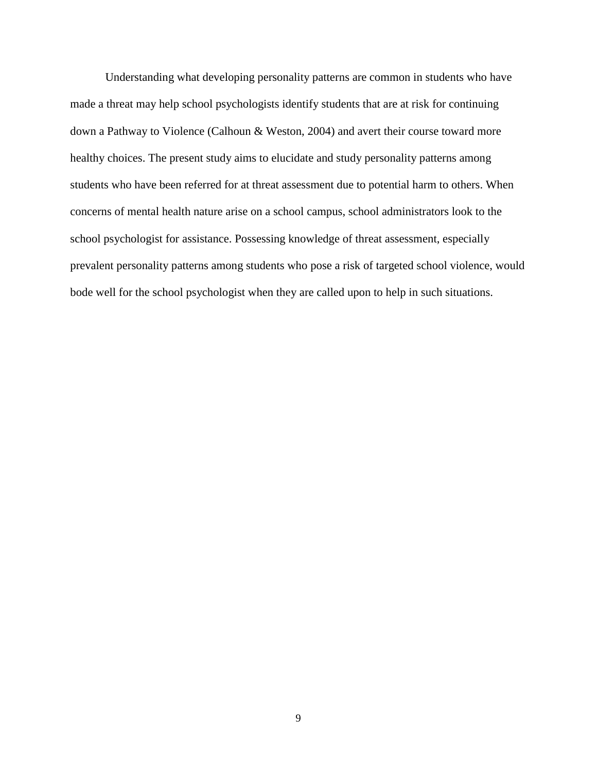Understanding what developing personality patterns are common in students who have made a threat may help school psychologists identify students that are at risk for continuing down a Pathway to Violence (Calhoun & Weston, 2004) and avert their course toward more healthy choices. The present study aims to elucidate and study personality patterns among students who have been referred for at threat assessment due to potential harm to others. When concerns of mental health nature arise on a school campus, school administrators look to the school psychologist for assistance. Possessing knowledge of threat assessment, especially prevalent personality patterns among students who pose a risk of targeted school violence, would bode well for the school psychologist when they are called upon to help in such situations.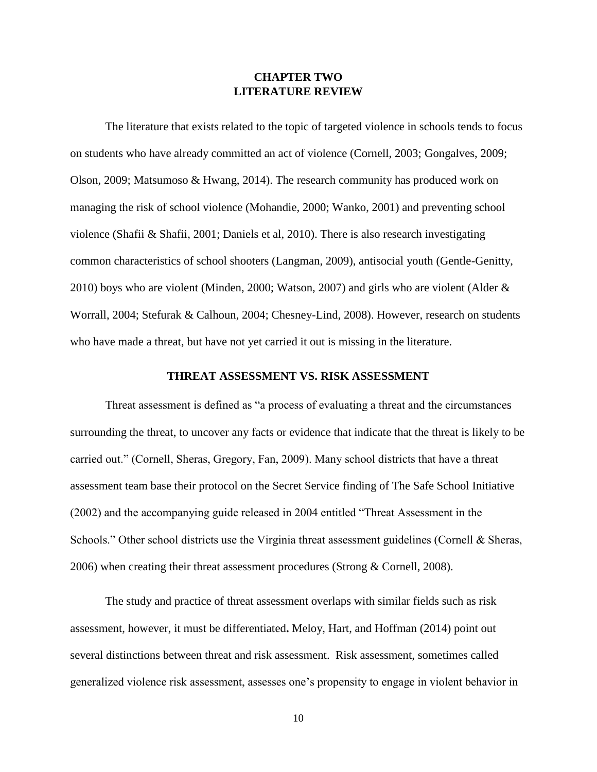# **CHAPTER TWO LITERATURE REVIEW**

The literature that exists related to the topic of targeted violence in schools tends to focus on students who have already committed an act of violence (Cornell, 2003; Gongalves, 2009; Olson, 2009; Matsumoso & Hwang, 2014). The research community has produced work on managing the risk of school violence (Mohandie, 2000; Wanko, 2001) and preventing school violence (Shafii & Shafii, 2001; Daniels et al, 2010). There is also research investigating common characteristics of school shooters (Langman, 2009), antisocial youth (Gentle-Genitty, 2010) boys who are violent (Minden, 2000; Watson, 2007) and girls who are violent (Alder & Worrall, 2004; Stefurak & Calhoun, 2004; Chesney-Lind, 2008). However, research on students who have made a threat, but have not yet carried it out is missing in the literature.

#### **THREAT ASSESSMENT VS. RISK ASSESSMENT**

Threat assessment is defined as "a process of evaluating a threat and the circumstances surrounding the threat, to uncover any facts or evidence that indicate that the threat is likely to be carried out." (Cornell, Sheras, Gregory, Fan, 2009). Many school districts that have a threat assessment team base their protocol on the Secret Service finding of The Safe School Initiative (2002) and the accompanying guide released in 2004 entitled "Threat Assessment in the Schools." Other school districts use the Virginia threat assessment guidelines (Cornell & Sheras, 2006) when creating their threat assessment procedures (Strong & Cornell, 2008).

The study and practice of threat assessment overlaps with similar fields such as risk assessment, however, it must be differentiated**.** Meloy, Hart, and Hoffman (2014) point out several distinctions between threat and risk assessment. Risk assessment, sometimes called generalized violence risk assessment, assesses one's propensity to engage in violent behavior in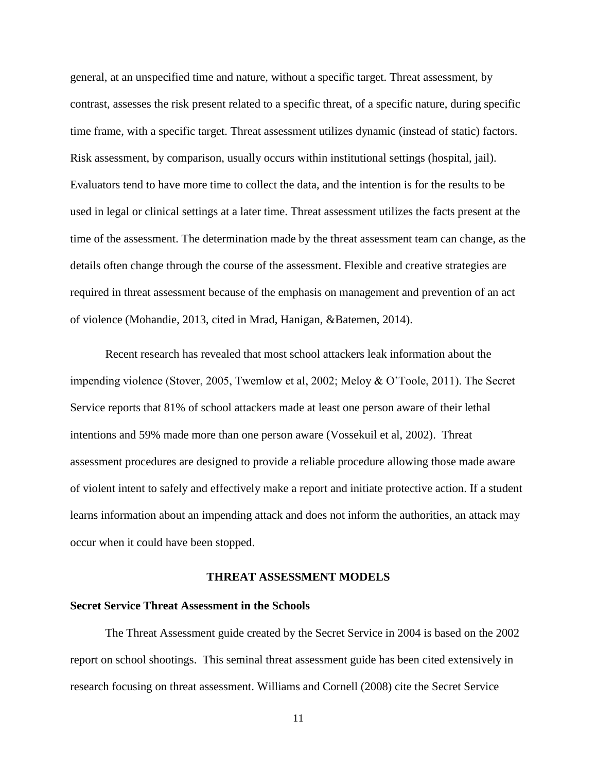general, at an unspecified time and nature, without a specific target. Threat assessment, by contrast, assesses the risk present related to a specific threat, of a specific nature, during specific time frame, with a specific target. Threat assessment utilizes dynamic (instead of static) factors. Risk assessment, by comparison, usually occurs within institutional settings (hospital, jail). Evaluators tend to have more time to collect the data, and the intention is for the results to be used in legal or clinical settings at a later time. Threat assessment utilizes the facts present at the time of the assessment. The determination made by the threat assessment team can change, as the details often change through the course of the assessment. Flexible and creative strategies are required in threat assessment because of the emphasis on management and prevention of an act of violence (Mohandie, 2013, cited in Mrad, Hanigan, &Batemen, 2014).

Recent research has revealed that most school attackers leak information about the impending violence (Stover, 2005, Twemlow et al, 2002; Meloy & O'Toole, 2011). The Secret Service reports that 81% of school attackers made at least one person aware of their lethal intentions and 59% made more than one person aware (Vossekuil et al, 2002). Threat assessment procedures are designed to provide a reliable procedure allowing those made aware of violent intent to safely and effectively make a report and initiate protective action. If a student learns information about an impending attack and does not inform the authorities, an attack may occur when it could have been stopped.

#### **THREAT ASSESSMENT MODELS**

# **Secret Service Threat Assessment in the Schools**

The Threat Assessment guide created by the Secret Service in 2004 is based on the 2002 report on school shootings. This seminal threat assessment guide has been cited extensively in research focusing on threat assessment. Williams and Cornell (2008) cite the Secret Service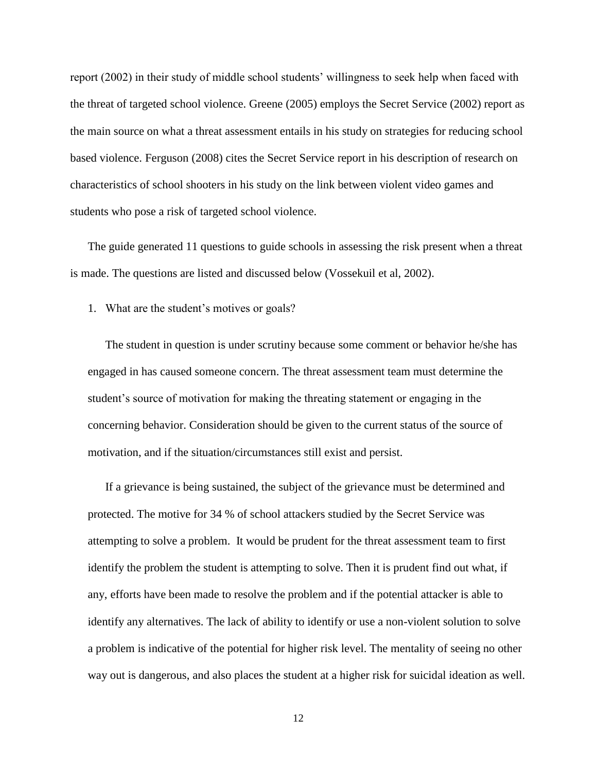report (2002) in their study of middle school students' willingness to seek help when faced with the threat of targeted school violence. Greene (2005) employs the Secret Service (2002) report as the main source on what a threat assessment entails in his study on strategies for reducing school based violence. Ferguson (2008) cites the Secret Service report in his description of research on characteristics of school shooters in his study on the link between violent video games and students who pose a risk of targeted school violence.

The guide generated 11 questions to guide schools in assessing the risk present when a threat is made. The questions are listed and discussed below (Vossekuil et al, 2002).

1. What are the student's motives or goals?

The student in question is under scrutiny because some comment or behavior he/she has engaged in has caused someone concern. The threat assessment team must determine the student's source of motivation for making the threating statement or engaging in the concerning behavior. Consideration should be given to the current status of the source of motivation, and if the situation/circumstances still exist and persist.

If a grievance is being sustained, the subject of the grievance must be determined and protected. The motive for 34 % of school attackers studied by the Secret Service was attempting to solve a problem. It would be prudent for the threat assessment team to first identify the problem the student is attempting to solve. Then it is prudent find out what, if any, efforts have been made to resolve the problem and if the potential attacker is able to identify any alternatives. The lack of ability to identify or use a non-violent solution to solve a problem is indicative of the potential for higher risk level. The mentality of seeing no other way out is dangerous, and also places the student at a higher risk for suicidal ideation as well.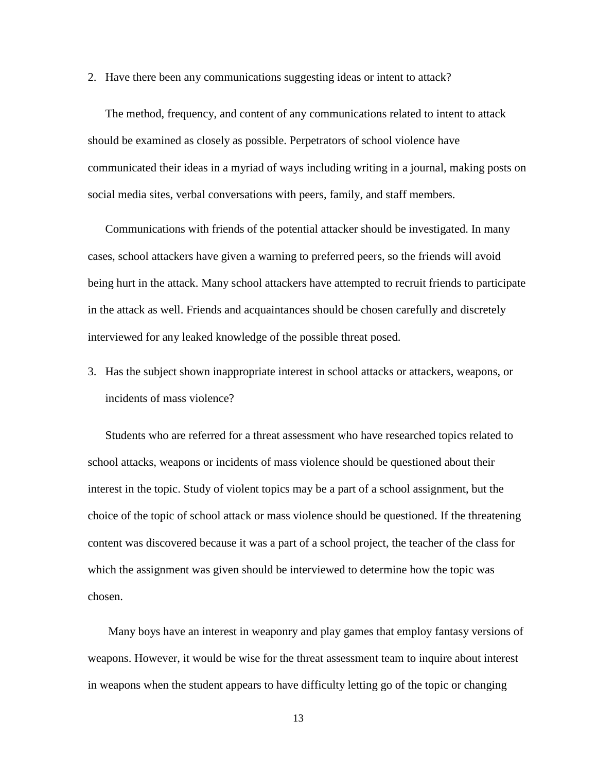2. Have there been any communications suggesting ideas or intent to attack?

The method, frequency, and content of any communications related to intent to attack should be examined as closely as possible. Perpetrators of school violence have communicated their ideas in a myriad of ways including writing in a journal, making posts on social media sites, verbal conversations with peers, family, and staff members.

Communications with friends of the potential attacker should be investigated. In many cases, school attackers have given a warning to preferred peers, so the friends will avoid being hurt in the attack. Many school attackers have attempted to recruit friends to participate in the attack as well. Friends and acquaintances should be chosen carefully and discretely interviewed for any leaked knowledge of the possible threat posed.

3. Has the subject shown inappropriate interest in school attacks or attackers, weapons, or incidents of mass violence?

Students who are referred for a threat assessment who have researched topics related to school attacks, weapons or incidents of mass violence should be questioned about their interest in the topic. Study of violent topics may be a part of a school assignment, but the choice of the topic of school attack or mass violence should be questioned. If the threatening content was discovered because it was a part of a school project, the teacher of the class for which the assignment was given should be interviewed to determine how the topic was chosen.

Many boys have an interest in weaponry and play games that employ fantasy versions of weapons. However, it would be wise for the threat assessment team to inquire about interest in weapons when the student appears to have difficulty letting go of the topic or changing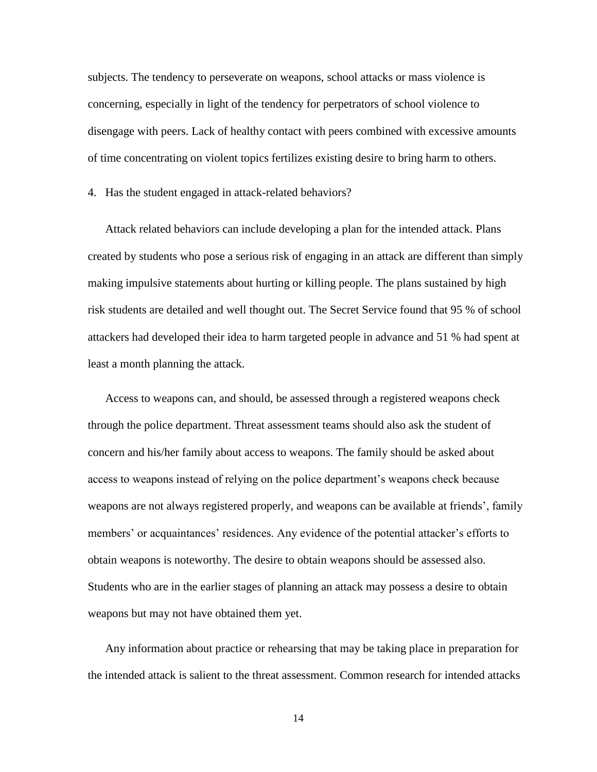subjects. The tendency to perseverate on weapons, school attacks or mass violence is concerning, especially in light of the tendency for perpetrators of school violence to disengage with peers. Lack of healthy contact with peers combined with excessive amounts of time concentrating on violent topics fertilizes existing desire to bring harm to others.

4. Has the student engaged in attack-related behaviors?

Attack related behaviors can include developing a plan for the intended attack. Plans created by students who pose a serious risk of engaging in an attack are different than simply making impulsive statements about hurting or killing people. The plans sustained by high risk students are detailed and well thought out. The Secret Service found that 95 % of school attackers had developed their idea to harm targeted people in advance and 51 % had spent at least a month planning the attack.

Access to weapons can, and should, be assessed through a registered weapons check through the police department. Threat assessment teams should also ask the student of concern and his/her family about access to weapons. The family should be asked about access to weapons instead of relying on the police department's weapons check because weapons are not always registered properly, and weapons can be available at friends', family members' or acquaintances' residences. Any evidence of the potential attacker's efforts to obtain weapons is noteworthy. The desire to obtain weapons should be assessed also. Students who are in the earlier stages of planning an attack may possess a desire to obtain weapons but may not have obtained them yet.

Any information about practice or rehearsing that may be taking place in preparation for the intended attack is salient to the threat assessment. Common research for intended attacks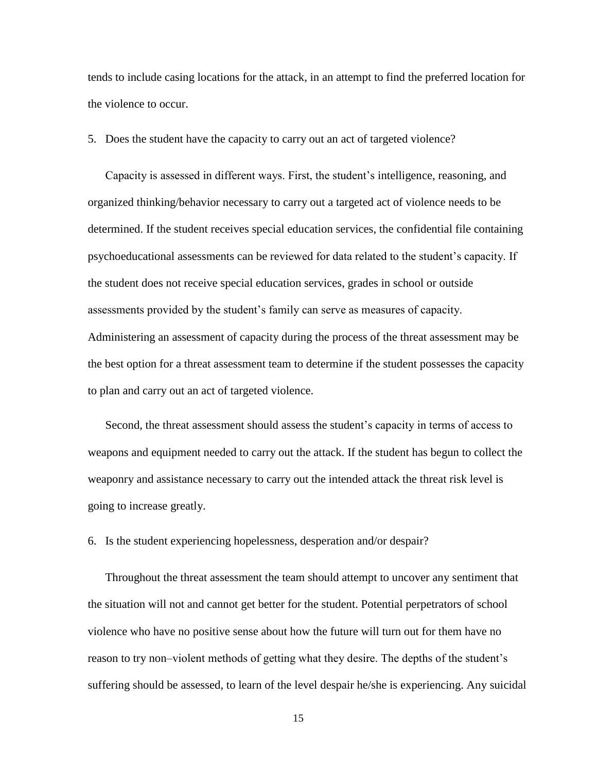tends to include casing locations for the attack, in an attempt to find the preferred location for the violence to occur.

5. Does the student have the capacity to carry out an act of targeted violence?

Capacity is assessed in different ways. First, the student's intelligence, reasoning, and organized thinking/behavior necessary to carry out a targeted act of violence needs to be determined. If the student receives special education services, the confidential file containing psychoeducational assessments can be reviewed for data related to the student's capacity. If the student does not receive special education services, grades in school or outside assessments provided by the student's family can serve as measures of capacity. Administering an assessment of capacity during the process of the threat assessment may be the best option for a threat assessment team to determine if the student possesses the capacity to plan and carry out an act of targeted violence.

Second, the threat assessment should assess the student's capacity in terms of access to weapons and equipment needed to carry out the attack. If the student has begun to collect the weaponry and assistance necessary to carry out the intended attack the threat risk level is going to increase greatly.

6. Is the student experiencing hopelessness, desperation and/or despair?

Throughout the threat assessment the team should attempt to uncover any sentiment that the situation will not and cannot get better for the student. Potential perpetrators of school violence who have no positive sense about how the future will turn out for them have no reason to try non–violent methods of getting what they desire. The depths of the student's suffering should be assessed, to learn of the level despair he/she is experiencing. Any suicidal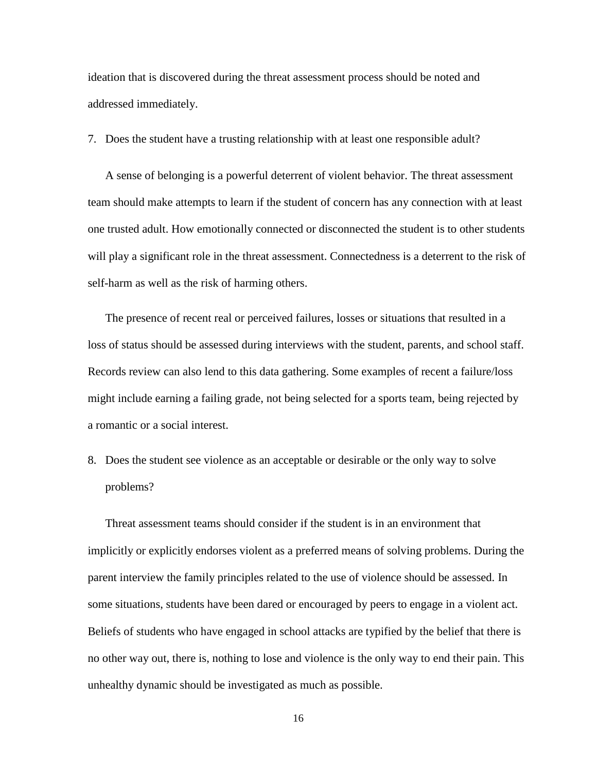ideation that is discovered during the threat assessment process should be noted and addressed immediately.

7. Does the student have a trusting relationship with at least one responsible adult?

A sense of belonging is a powerful deterrent of violent behavior. The threat assessment team should make attempts to learn if the student of concern has any connection with at least one trusted adult. How emotionally connected or disconnected the student is to other students will play a significant role in the threat assessment. Connectedness is a deterrent to the risk of self-harm as well as the risk of harming others.

The presence of recent real or perceived failures, losses or situations that resulted in a loss of status should be assessed during interviews with the student, parents, and school staff. Records review can also lend to this data gathering. Some examples of recent a failure/loss might include earning a failing grade, not being selected for a sports team, being rejected by a romantic or a social interest.

8. Does the student see violence as an acceptable or desirable or the only way to solve problems?

Threat assessment teams should consider if the student is in an environment that implicitly or explicitly endorses violent as a preferred means of solving problems. During the parent interview the family principles related to the use of violence should be assessed. In some situations, students have been dared or encouraged by peers to engage in a violent act. Beliefs of students who have engaged in school attacks are typified by the belief that there is no other way out, there is, nothing to lose and violence is the only way to end their pain. This unhealthy dynamic should be investigated as much as possible.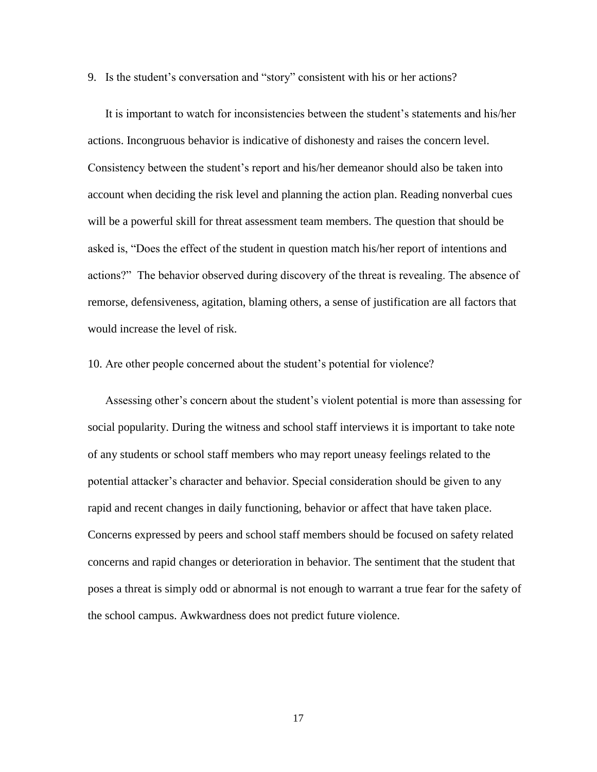9. Is the student's conversation and "story" consistent with his or her actions?

It is important to watch for inconsistencies between the student's statements and his/her actions. Incongruous behavior is indicative of dishonesty and raises the concern level. Consistency between the student's report and his/her demeanor should also be taken into account when deciding the risk level and planning the action plan. Reading nonverbal cues will be a powerful skill for threat assessment team members. The question that should be asked is, "Does the effect of the student in question match his/her report of intentions and actions?" The behavior observed during discovery of the threat is revealing. The absence of remorse, defensiveness, agitation, blaming others, a sense of justification are all factors that would increase the level of risk.

#### 10. Are other people concerned about the student's potential for violence?

Assessing other's concern about the student's violent potential is more than assessing for social popularity. During the witness and school staff interviews it is important to take note of any students or school staff members who may report uneasy feelings related to the potential attacker's character and behavior. Special consideration should be given to any rapid and recent changes in daily functioning, behavior or affect that have taken place. Concerns expressed by peers and school staff members should be focused on safety related concerns and rapid changes or deterioration in behavior. The sentiment that the student that poses a threat is simply odd or abnormal is not enough to warrant a true fear for the safety of the school campus. Awkwardness does not predict future violence.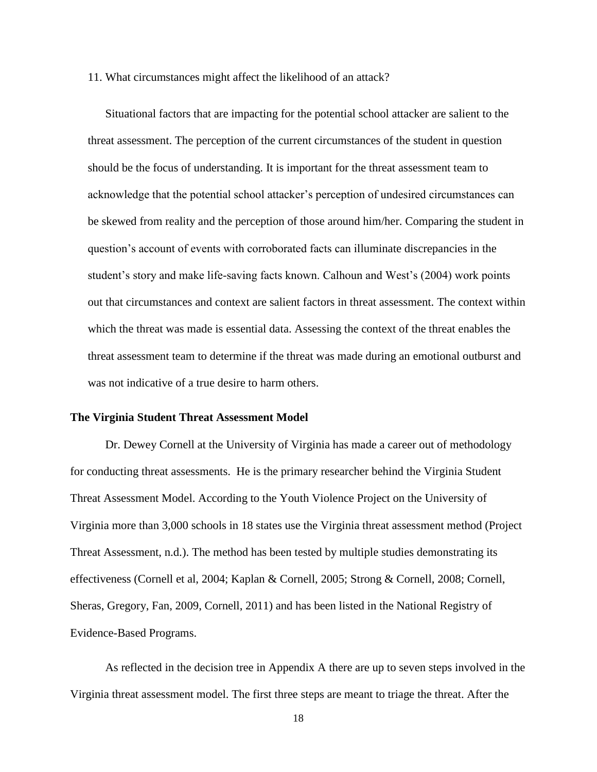#### 11. What circumstances might affect the likelihood of an attack?

Situational factors that are impacting for the potential school attacker are salient to the threat assessment. The perception of the current circumstances of the student in question should be the focus of understanding. It is important for the threat assessment team to acknowledge that the potential school attacker's perception of undesired circumstances can be skewed from reality and the perception of those around him/her. Comparing the student in question's account of events with corroborated facts can illuminate discrepancies in the student's story and make life-saving facts known. Calhoun and West's (2004) work points out that circumstances and context are salient factors in threat assessment. The context within which the threat was made is essential data. Assessing the context of the threat enables the threat assessment team to determine if the threat was made during an emotional outburst and was not indicative of a true desire to harm others.

#### **The Virginia Student Threat Assessment Model**

Dr. Dewey Cornell at the University of Virginia has made a career out of methodology for conducting threat assessments. He is the primary researcher behind the Virginia Student Threat Assessment Model. According to the Youth Violence Project on the University of Virginia more than 3,000 schools in 18 states use the Virginia threat assessment method (Project Threat Assessment, n.d.). The method has been tested by multiple studies demonstrating its effectiveness (Cornell et al, 2004; Kaplan & Cornell, 2005; Strong & Cornell, 2008; Cornell, Sheras, Gregory, Fan, 2009, Cornell, 2011) and has been listed in the National Registry of Evidence-Based Programs.

As reflected in the decision tree in Appendix A there are up to seven steps involved in the Virginia threat assessment model. The first three steps are meant to triage the threat. After the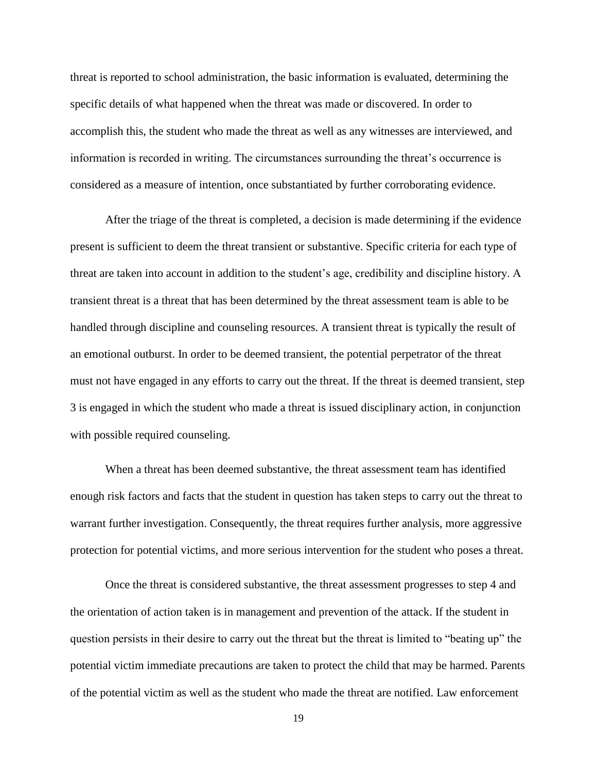threat is reported to school administration, the basic information is evaluated, determining the specific details of what happened when the threat was made or discovered. In order to accomplish this, the student who made the threat as well as any witnesses are interviewed, and information is recorded in writing. The circumstances surrounding the threat's occurrence is considered as a measure of intention, once substantiated by further corroborating evidence.

After the triage of the threat is completed, a decision is made determining if the evidence present is sufficient to deem the threat transient or substantive. Specific criteria for each type of threat are taken into account in addition to the student's age, credibility and discipline history. A transient threat is a threat that has been determined by the threat assessment team is able to be handled through discipline and counseling resources. A transient threat is typically the result of an emotional outburst. In order to be deemed transient, the potential perpetrator of the threat must not have engaged in any efforts to carry out the threat. If the threat is deemed transient, step 3 is engaged in which the student who made a threat is issued disciplinary action, in conjunction with possible required counseling.

When a threat has been deemed substantive, the threat assessment team has identified enough risk factors and facts that the student in question has taken steps to carry out the threat to warrant further investigation. Consequently, the threat requires further analysis, more aggressive protection for potential victims, and more serious intervention for the student who poses a threat.

Once the threat is considered substantive, the threat assessment progresses to step 4 and the orientation of action taken is in management and prevention of the attack. If the student in question persists in their desire to carry out the threat but the threat is limited to "beating up" the potential victim immediate precautions are taken to protect the child that may be harmed. Parents of the potential victim as well as the student who made the threat are notified. Law enforcement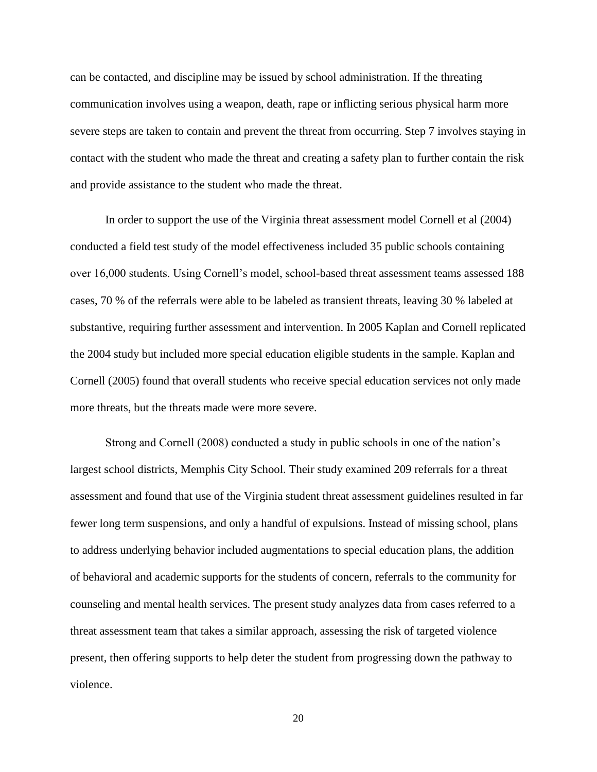can be contacted, and discipline may be issued by school administration. If the threating communication involves using a weapon, death, rape or inflicting serious physical harm more severe steps are taken to contain and prevent the threat from occurring. Step 7 involves staying in contact with the student who made the threat and creating a safety plan to further contain the risk and provide assistance to the student who made the threat.

In order to support the use of the Virginia threat assessment model Cornell et al (2004) conducted a field test study of the model effectiveness included 35 public schools containing over 16,000 students. Using Cornell's model, school-based threat assessment teams assessed 188 cases, 70 % of the referrals were able to be labeled as transient threats, leaving 30 % labeled at substantive, requiring further assessment and intervention. In 2005 Kaplan and Cornell replicated the 2004 study but included more special education eligible students in the sample. Kaplan and Cornell (2005) found that overall students who receive special education services not only made more threats, but the threats made were more severe.

Strong and Cornell (2008) conducted a study in public schools in one of the nation's largest school districts, Memphis City School. Their study examined 209 referrals for a threat assessment and found that use of the Virginia student threat assessment guidelines resulted in far fewer long term suspensions, and only a handful of expulsions. Instead of missing school, plans to address underlying behavior included augmentations to special education plans, the addition of behavioral and academic supports for the students of concern, referrals to the community for counseling and mental health services. The present study analyzes data from cases referred to a threat assessment team that takes a similar approach, assessing the risk of targeted violence present, then offering supports to help deter the student from progressing down the pathway to violence.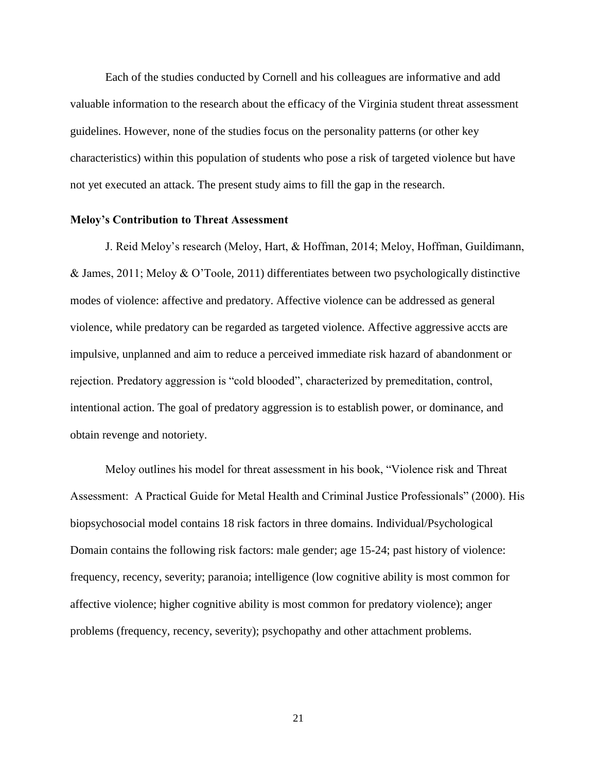Each of the studies conducted by Cornell and his colleagues are informative and add valuable information to the research about the efficacy of the Virginia student threat assessment guidelines. However, none of the studies focus on the personality patterns (or other key characteristics) within this population of students who pose a risk of targeted violence but have not yet executed an attack. The present study aims to fill the gap in the research.

# **Meloy's Contribution to Threat Assessment**

J. Reid Meloy's research (Meloy, Hart, & Hoffman, 2014; Meloy, Hoffman, Guildimann, & James, 2011; Meloy & O'Toole, 2011) differentiates between two psychologically distinctive modes of violence: affective and predatory. Affective violence can be addressed as general violence, while predatory can be regarded as targeted violence. Affective aggressive accts are impulsive, unplanned and aim to reduce a perceived immediate risk hazard of abandonment or rejection. Predatory aggression is "cold blooded", characterized by premeditation, control, intentional action. The goal of predatory aggression is to establish power, or dominance, and obtain revenge and notoriety.

Meloy outlines his model for threat assessment in his book, "Violence risk and Threat Assessment: A Practical Guide for Metal Health and Criminal Justice Professionals" (2000). His biopsychosocial model contains 18 risk factors in three domains. Individual/Psychological Domain contains the following risk factors: male gender; age 15-24; past history of violence: frequency, recency, severity; paranoia; intelligence (low cognitive ability is most common for affective violence; higher cognitive ability is most common for predatory violence); anger problems (frequency, recency, severity); psychopathy and other attachment problems.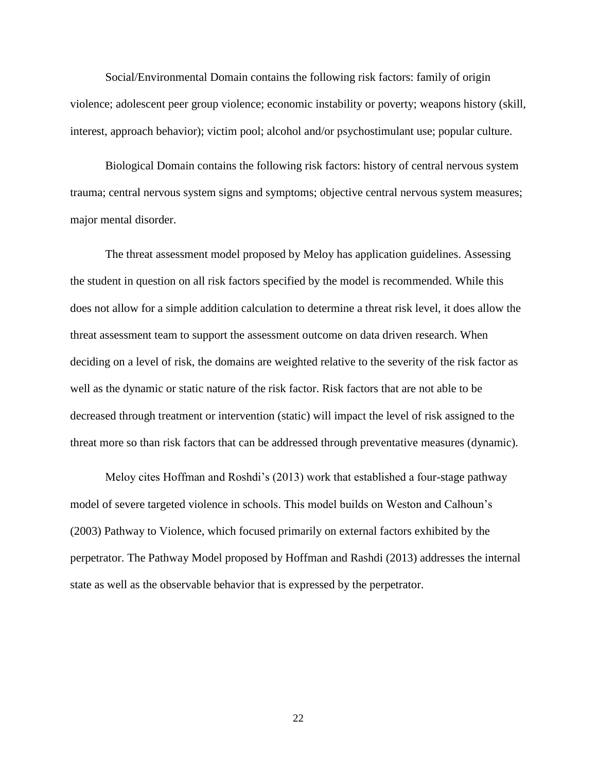Social/Environmental Domain contains the following risk factors: family of origin violence; adolescent peer group violence; economic instability or poverty; weapons history (skill, interest, approach behavior); victim pool; alcohol and/or psychostimulant use; popular culture.

Biological Domain contains the following risk factors: history of central nervous system trauma; central nervous system signs and symptoms; objective central nervous system measures; major mental disorder.

The threat assessment model proposed by Meloy has application guidelines. Assessing the student in question on all risk factors specified by the model is recommended. While this does not allow for a simple addition calculation to determine a threat risk level, it does allow the threat assessment team to support the assessment outcome on data driven research. When deciding on a level of risk, the domains are weighted relative to the severity of the risk factor as well as the dynamic or static nature of the risk factor. Risk factors that are not able to be decreased through treatment or intervention (static) will impact the level of risk assigned to the threat more so than risk factors that can be addressed through preventative measures (dynamic).

Meloy cites Hoffman and Roshdi's (2013) work that established a four-stage pathway model of severe targeted violence in schools. This model builds on Weston and Calhoun's (2003) Pathway to Violence, which focused primarily on external factors exhibited by the perpetrator. The Pathway Model proposed by Hoffman and Rashdi (2013) addresses the internal state as well as the observable behavior that is expressed by the perpetrator.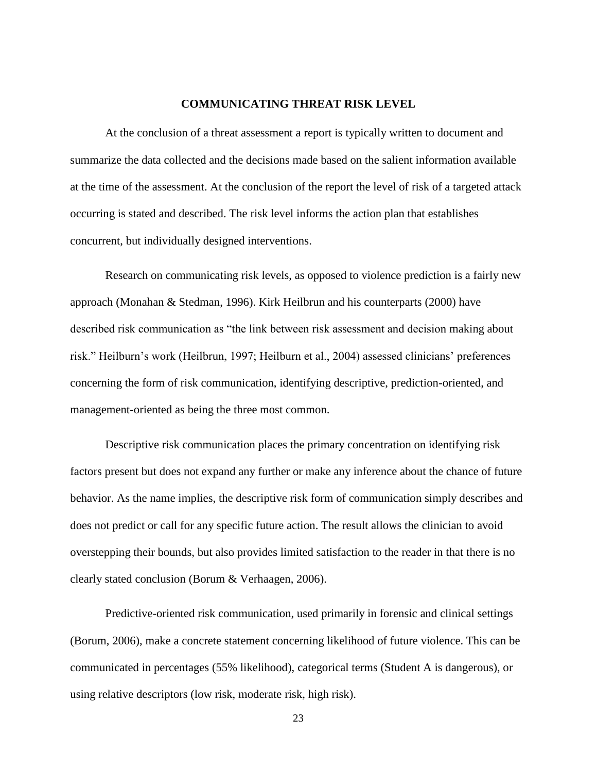#### **COMMUNICATING THREAT RISK LEVEL**

At the conclusion of a threat assessment a report is typically written to document and summarize the data collected and the decisions made based on the salient information available at the time of the assessment. At the conclusion of the report the level of risk of a targeted attack occurring is stated and described. The risk level informs the action plan that establishes concurrent, but individually designed interventions.

Research on communicating risk levels, as opposed to violence prediction is a fairly new approach (Monahan & Stedman, 1996). Kirk Heilbrun and his counterparts (2000) have described risk communication as "the link between risk assessment and decision making about risk." Heilburn's work (Heilbrun, 1997; Heilburn et al., 2004) assessed clinicians' preferences concerning the form of risk communication, identifying descriptive, prediction-oriented, and management-oriented as being the three most common.

Descriptive risk communication places the primary concentration on identifying risk factors present but does not expand any further or make any inference about the chance of future behavior. As the name implies, the descriptive risk form of communication simply describes and does not predict or call for any specific future action. The result allows the clinician to avoid overstepping their bounds, but also provides limited satisfaction to the reader in that there is no clearly stated conclusion (Borum & Verhaagen, 2006).

Predictive-oriented risk communication, used primarily in forensic and clinical settings (Borum, 2006), make a concrete statement concerning likelihood of future violence. This can be communicated in percentages (55% likelihood), categorical terms (Student A is dangerous), or using relative descriptors (low risk, moderate risk, high risk).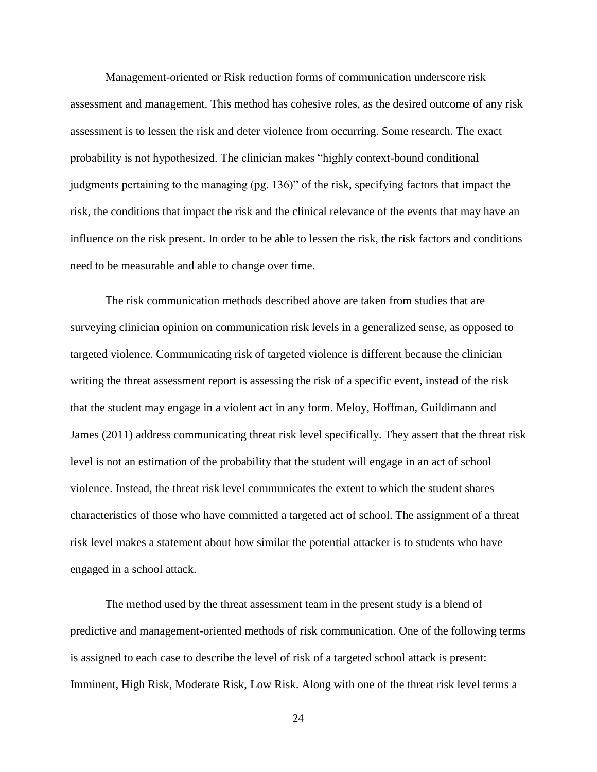Management-oriented or Risk reduction forms of communication underscore risk assessment and management. This method has cohesive roles, as the desired outcome of any risk assessment is to lessen the risk and deter violence from occurring. Some research. The exact probability is not hypothesized. The clinician makes "highly context-bound conditional judgments pertaining to the managing (pg. 136)" of the risk, specifying factors that impact the risk, the conditions that impact the risk and the clinical relevance of the events that may have an influence on the risk present. In order to be able to lessen the risk, the risk factors and conditions need to be measurable and able to change over time.

The risk communication methods described above are taken from studies that are surveying clinician opinion on communication risk levels in a generalized sense, as opposed to targeted violence. Communicating risk of targeted violence is different because the clinician writing the threat assessment report is assessing the risk of a specific event, instead of the risk that the student may engage in a violent act in any form. Meloy, Hoffman, Guildimann and James (2011) address communicating threat risk level specifically. They assert that the threat risk level is not an estimation of the probability that the student will engage in an act of school violence. Instead, the threat risk level communicates the extent to which the student shares characteristics of those who have committed a targeted act of school. The assignment of a threat risk level makes a statement about how similar the potential attacker is to students who have engaged in a school attack.

The method used by the threat assessment team in the present study is a blend of predictive and management-oriented methods of risk communication. One of the following terms is assigned to each case to describe the level of risk of a targeted school attack is present: Imminent, High Risk, Moderate Risk, Low Risk. Along with one of the threat risk level terms a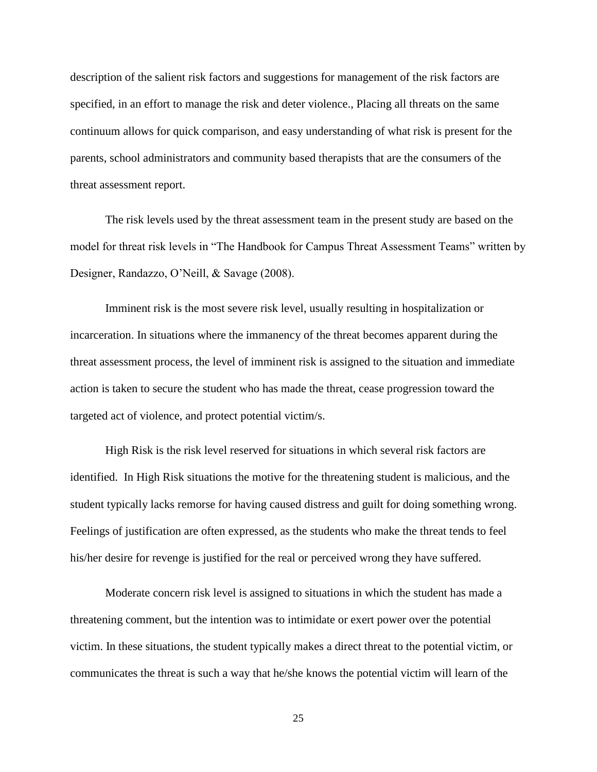description of the salient risk factors and suggestions for management of the risk factors are specified, in an effort to manage the risk and deter violence., Placing all threats on the same continuum allows for quick comparison, and easy understanding of what risk is present for the parents, school administrators and community based therapists that are the consumers of the threat assessment report.

The risk levels used by the threat assessment team in the present study are based on the model for threat risk levels in "The Handbook for Campus Threat Assessment Teams" written by Designer, Randazzo, O'Neill, & Savage (2008).

Imminent risk is the most severe risk level, usually resulting in hospitalization or incarceration. In situations where the immanency of the threat becomes apparent during the threat assessment process, the level of imminent risk is assigned to the situation and immediate action is taken to secure the student who has made the threat, cease progression toward the targeted act of violence, and protect potential victim/s.

High Risk is the risk level reserved for situations in which several risk factors are identified. In High Risk situations the motive for the threatening student is malicious, and the student typically lacks remorse for having caused distress and guilt for doing something wrong. Feelings of justification are often expressed, as the students who make the threat tends to feel his/her desire for revenge is justified for the real or perceived wrong they have suffered.

Moderate concern risk level is assigned to situations in which the student has made a threatening comment, but the intention was to intimidate or exert power over the potential victim. In these situations, the student typically makes a direct threat to the potential victim, or communicates the threat is such a way that he/she knows the potential victim will learn of the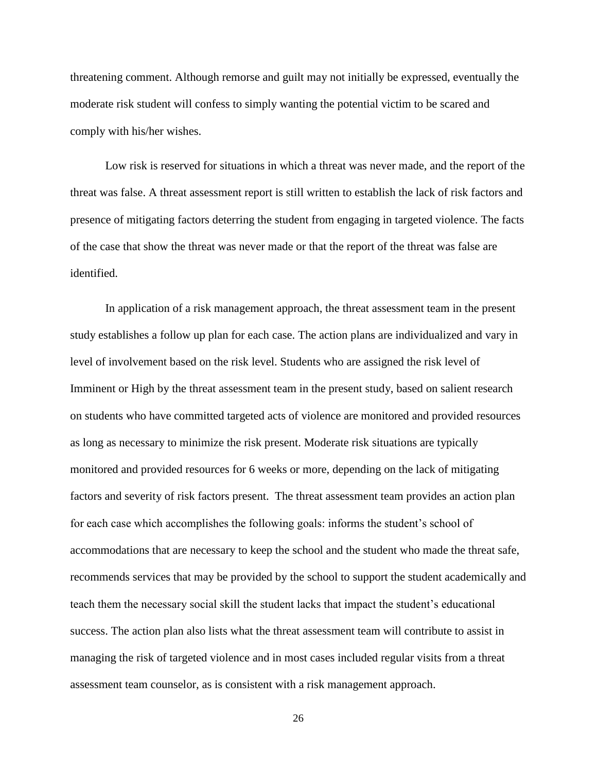threatening comment. Although remorse and guilt may not initially be expressed, eventually the moderate risk student will confess to simply wanting the potential victim to be scared and comply with his/her wishes.

Low risk is reserved for situations in which a threat was never made, and the report of the threat was false. A threat assessment report is still written to establish the lack of risk factors and presence of mitigating factors deterring the student from engaging in targeted violence. The facts of the case that show the threat was never made or that the report of the threat was false are identified.

In application of a risk management approach, the threat assessment team in the present study establishes a follow up plan for each case. The action plans are individualized and vary in level of involvement based on the risk level. Students who are assigned the risk level of Imminent or High by the threat assessment team in the present study, based on salient research on students who have committed targeted acts of violence are monitored and provided resources as long as necessary to minimize the risk present. Moderate risk situations are typically monitored and provided resources for 6 weeks or more, depending on the lack of mitigating factors and severity of risk factors present. The threat assessment team provides an action plan for each case which accomplishes the following goals: informs the student's school of accommodations that are necessary to keep the school and the student who made the threat safe, recommends services that may be provided by the school to support the student academically and teach them the necessary social skill the student lacks that impact the student's educational success. The action plan also lists what the threat assessment team will contribute to assist in managing the risk of targeted violence and in most cases included regular visits from a threat assessment team counselor, as is consistent with a risk management approach.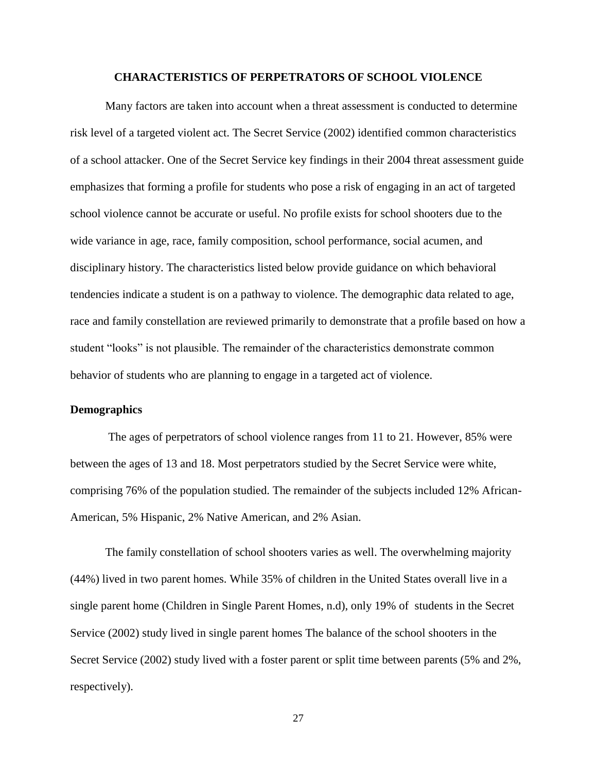#### **CHARACTERISTICS OF PERPETRATORS OF SCHOOL VIOLENCE**

Many factors are taken into account when a threat assessment is conducted to determine risk level of a targeted violent act. The Secret Service (2002) identified common characteristics of a school attacker. One of the Secret Service key findings in their 2004 threat assessment guide emphasizes that forming a profile for students who pose a risk of engaging in an act of targeted school violence cannot be accurate or useful. No profile exists for school shooters due to the wide variance in age, race, family composition, school performance, social acumen, and disciplinary history. The characteristics listed below provide guidance on which behavioral tendencies indicate a student is on a pathway to violence. The demographic data related to age, race and family constellation are reviewed primarily to demonstrate that a profile based on how a student "looks" is not plausible. The remainder of the characteristics demonstrate common behavior of students who are planning to engage in a targeted act of violence.

#### **Demographics**

The ages of perpetrators of school violence ranges from 11 to 21. However, 85% were between the ages of 13 and 18. Most perpetrators studied by the Secret Service were white, comprising 76% of the population studied. The remainder of the subjects included 12% African-American, 5% Hispanic, 2% Native American, and 2% Asian.

The family constellation of school shooters varies as well. The overwhelming majority (44%) lived in two parent homes. While 35% of children in the United States overall live in a single parent home (Children in Single Parent Homes, n.d), only 19% of students in the Secret Service (2002) study lived in single parent homes The balance of the school shooters in the Secret Service (2002) study lived with a foster parent or split time between parents (5% and 2%, respectively).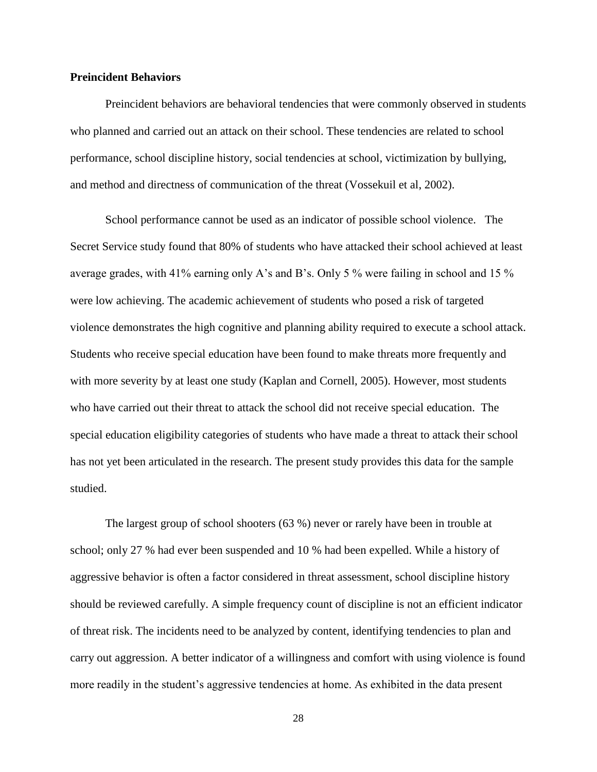#### **Preincident Behaviors**

Preincident behaviors are behavioral tendencies that were commonly observed in students who planned and carried out an attack on their school. These tendencies are related to school performance, school discipline history, social tendencies at school, victimization by bullying, and method and directness of communication of the threat (Vossekuil et al, 2002).

School performance cannot be used as an indicator of possible school violence. The Secret Service study found that 80% of students who have attacked their school achieved at least average grades, with 41% earning only A's and B's. Only 5 % were failing in school and 15 % were low achieving. The academic achievement of students who posed a risk of targeted violence demonstrates the high cognitive and planning ability required to execute a school attack. Students who receive special education have been found to make threats more frequently and with more severity by at least one study (Kaplan and Cornell, 2005). However, most students who have carried out their threat to attack the school did not receive special education. The special education eligibility categories of students who have made a threat to attack their school has not yet been articulated in the research. The present study provides this data for the sample studied.

The largest group of school shooters (63 %) never or rarely have been in trouble at school; only 27 % had ever been suspended and 10 % had been expelled. While a history of aggressive behavior is often a factor considered in threat assessment, school discipline history should be reviewed carefully. A simple frequency count of discipline is not an efficient indicator of threat risk. The incidents need to be analyzed by content, identifying tendencies to plan and carry out aggression. A better indicator of a willingness and comfort with using violence is found more readily in the student's aggressive tendencies at home. As exhibited in the data present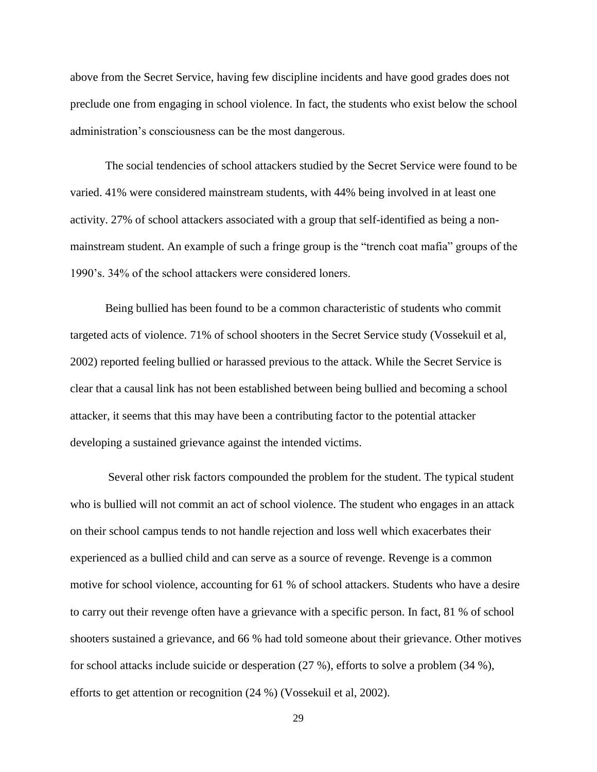above from the Secret Service, having few discipline incidents and have good grades does not preclude one from engaging in school violence. In fact, the students who exist below the school administration's consciousness can be the most dangerous.

The social tendencies of school attackers studied by the Secret Service were found to be varied. 41% were considered mainstream students, with 44% being involved in at least one activity. 27% of school attackers associated with a group that self-identified as being a nonmainstream student. An example of such a fringe group is the "trench coat mafia" groups of the 1990's. 34% of the school attackers were considered loners.

Being bullied has been found to be a common characteristic of students who commit targeted acts of violence. 71% of school shooters in the Secret Service study (Vossekuil et al, 2002) reported feeling bullied or harassed previous to the attack. While the Secret Service is clear that a causal link has not been established between being bullied and becoming a school attacker, it seems that this may have been a contributing factor to the potential attacker developing a sustained grievance against the intended victims.

Several other risk factors compounded the problem for the student. The typical student who is bullied will not commit an act of school violence. The student who engages in an attack on their school campus tends to not handle rejection and loss well which exacerbates their experienced as a bullied child and can serve as a source of revenge. Revenge is a common motive for school violence, accounting for 61 % of school attackers. Students who have a desire to carry out their revenge often have a grievance with a specific person. In fact, 81 % of school shooters sustained a grievance, and 66 % had told someone about their grievance. Other motives for school attacks include suicide or desperation (27 %), efforts to solve a problem (34 %), efforts to get attention or recognition (24 %) (Vossekuil et al, 2002).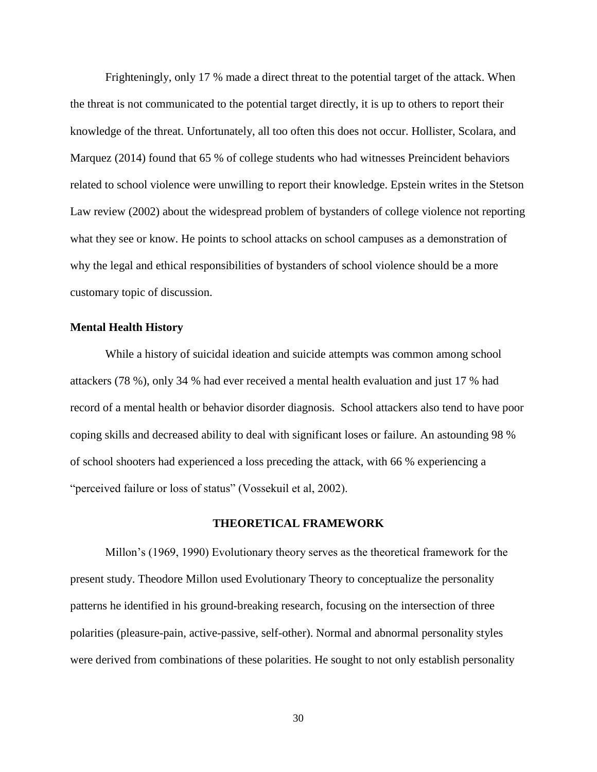Frighteningly, only 17 % made a direct threat to the potential target of the attack. When the threat is not communicated to the potential target directly, it is up to others to report their knowledge of the threat. Unfortunately, all too often this does not occur. Hollister, Scolara, and Marquez (2014) found that 65 % of college students who had witnesses Preincident behaviors related to school violence were unwilling to report their knowledge. Epstein writes in the Stetson Law review (2002) about the widespread problem of bystanders of college violence not reporting what they see or know. He points to school attacks on school campuses as a demonstration of why the legal and ethical responsibilities of bystanders of school violence should be a more customary topic of discussion.

#### **Mental Health History**

While a history of suicidal ideation and suicide attempts was common among school attackers (78 %), only 34 % had ever received a mental health evaluation and just 17 % had record of a mental health or behavior disorder diagnosis. School attackers also tend to have poor coping skills and decreased ability to deal with significant loses or failure. An astounding 98 % of school shooters had experienced a loss preceding the attack, with 66 % experiencing a "perceived failure or loss of status" (Vossekuil et al, 2002).

#### **THEORETICAL FRAMEWORK**

Millon's (1969, 1990) Evolutionary theory serves as the theoretical framework for the present study. Theodore Millon used Evolutionary Theory to conceptualize the personality patterns he identified in his ground-breaking research, focusing on the intersection of three polarities (pleasure-pain, active-passive, self-other). Normal and abnormal personality styles were derived from combinations of these polarities. He sought to not only establish personality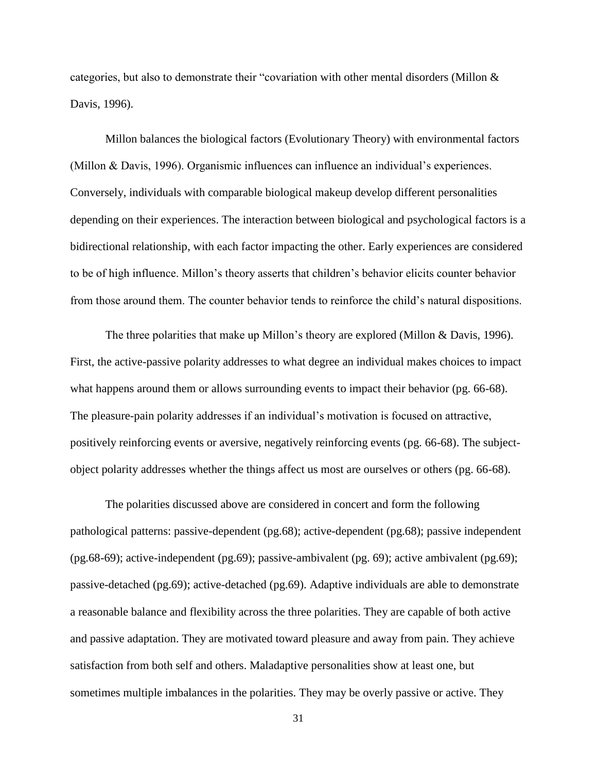categories, but also to demonstrate their "covariation with other mental disorders (Millon & Davis, 1996).

Millon balances the biological factors (Evolutionary Theory) with environmental factors (Millon & Davis, 1996). Organismic influences can influence an individual's experiences. Conversely, individuals with comparable biological makeup develop different personalities depending on their experiences. The interaction between biological and psychological factors is a bidirectional relationship, with each factor impacting the other. Early experiences are considered to be of high influence. Millon's theory asserts that children's behavior elicits counter behavior from those around them. The counter behavior tends to reinforce the child's natural dispositions.

The three polarities that make up Millon's theory are explored (Millon & Davis, 1996). First, the active-passive polarity addresses to what degree an individual makes choices to impact what happens around them or allows surrounding events to impact their behavior (pg. 66-68). The pleasure-pain polarity addresses if an individual's motivation is focused on attractive, positively reinforcing events or aversive, negatively reinforcing events (pg. 66-68). The subjectobject polarity addresses whether the things affect us most are ourselves or others (pg. 66-68).

The polarities discussed above are considered in concert and form the following pathological patterns: passive-dependent (pg.68); active-dependent (pg.68); passive independent (pg.68-69); active-independent (pg.69); passive-ambivalent (pg. 69); active ambivalent (pg.69); passive-detached (pg.69); active-detached (pg.69). Adaptive individuals are able to demonstrate a reasonable balance and flexibility across the three polarities. They are capable of both active and passive adaptation. They are motivated toward pleasure and away from pain. They achieve satisfaction from both self and others. Maladaptive personalities show at least one, but sometimes multiple imbalances in the polarities. They may be overly passive or active. They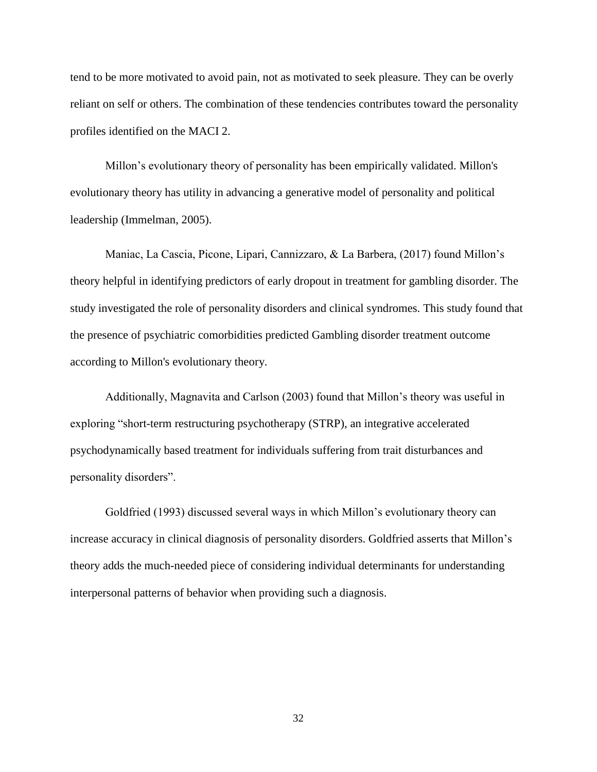tend to be more motivated to avoid pain, not as motivated to seek pleasure. They can be overly reliant on self or others. The combination of these tendencies contributes toward the personality profiles identified on the MACI 2.

Millon's evolutionary theory of personality has been empirically validated. Millon's evolutionary theory has utility in advancing a generative model of personality and political leadership (Immelman, 2005).

Maniac, La Cascia, Picone, Lipari, Cannizzaro, & La Barbera, (2017) found Millon's theory helpful in identifying predictors of early dropout in treatment for gambling disorder. The study investigated the role of personality disorders and clinical syndromes. This study found that the presence of psychiatric comorbidities predicted Gambling disorder treatment outcome according to Millon's evolutionary theory.

Additionally, Magnavita and Carlson (2003) found that Millon's theory was useful in exploring "short-term restructuring psychotherapy (STRP), an integrative accelerated psychodynamically based treatment for individuals suffering from trait disturbances and personality disorders".

Goldfried (1993) discussed several ways in which Millon's evolutionary theory can increase accuracy in clinical diagnosis of personality disorders. Goldfried asserts that Millon's theory adds the much-needed piece of considering individual determinants for understanding interpersonal patterns of behavior when providing such a diagnosis.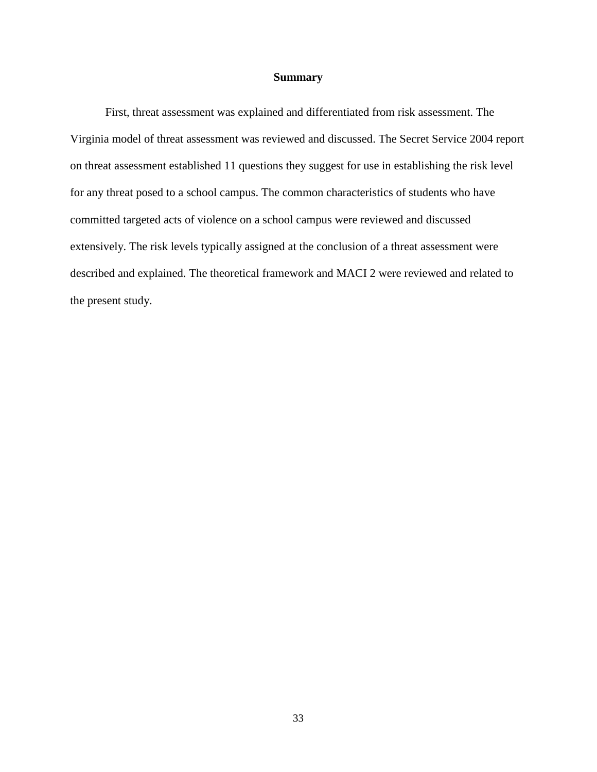#### **Summary**

First, threat assessment was explained and differentiated from risk assessment. The Virginia model of threat assessment was reviewed and discussed. The Secret Service 2004 report on threat assessment established 11 questions they suggest for use in establishing the risk level for any threat posed to a school campus. The common characteristics of students who have committed targeted acts of violence on a school campus were reviewed and discussed extensively. The risk levels typically assigned at the conclusion of a threat assessment were described and explained. The theoretical framework and MACI 2 were reviewed and related to the present study.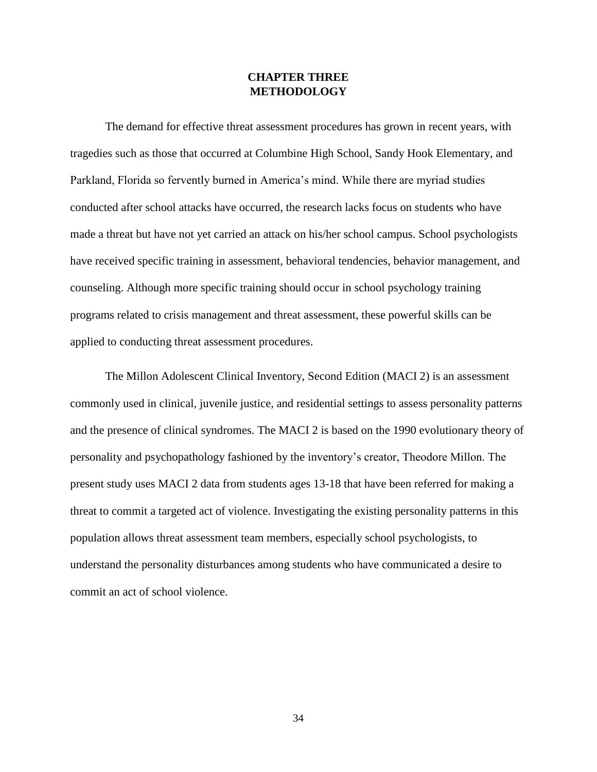# **CHAPTER THREE METHODOLOGY**

The demand for effective threat assessment procedures has grown in recent years, with tragedies such as those that occurred at Columbine High School, Sandy Hook Elementary, and Parkland, Florida so fervently burned in America's mind. While there are myriad studies conducted after school attacks have occurred, the research lacks focus on students who have made a threat but have not yet carried an attack on his/her school campus. School psychologists have received specific training in assessment, behavioral tendencies, behavior management, and counseling. Although more specific training should occur in school psychology training programs related to crisis management and threat assessment, these powerful skills can be applied to conducting threat assessment procedures.

The Millon Adolescent Clinical Inventory, Second Edition (MACI 2) is an assessment commonly used in clinical, juvenile justice, and residential settings to assess personality patterns and the presence of clinical syndromes. The MACI 2 is based on the 1990 evolutionary theory of personality and psychopathology fashioned by the inventory's creator, Theodore Millon. The present study uses MACI 2 data from students ages 13-18 that have been referred for making a threat to commit a targeted act of violence. Investigating the existing personality patterns in this population allows threat assessment team members, especially school psychologists, to understand the personality disturbances among students who have communicated a desire to commit an act of school violence.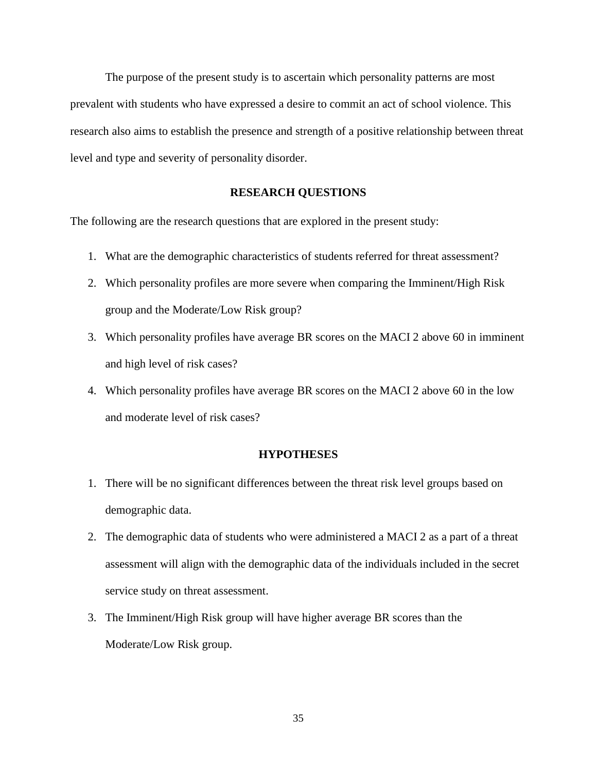The purpose of the present study is to ascertain which personality patterns are most prevalent with students who have expressed a desire to commit an act of school violence. This research also aims to establish the presence and strength of a positive relationship between threat level and type and severity of personality disorder.

### **RESEARCH QUESTIONS**

The following are the research questions that are explored in the present study:

- 1. What are the demographic characteristics of students referred for threat assessment?
- 2. Which personality profiles are more severe when comparing the Imminent/High Risk group and the Moderate/Low Risk group?
- 3. Which personality profiles have average BR scores on the MACI 2 above 60 in imminent and high level of risk cases?
- 4. Which personality profiles have average BR scores on the MACI 2 above 60 in the low and moderate level of risk cases?

#### **HYPOTHESES**

- 1. There will be no significant differences between the threat risk level groups based on demographic data.
- 2. The demographic data of students who were administered a MACI 2 as a part of a threat assessment will align with the demographic data of the individuals included in the secret service study on threat assessment.
- 3. The Imminent/High Risk group will have higher average BR scores than the Moderate/Low Risk group.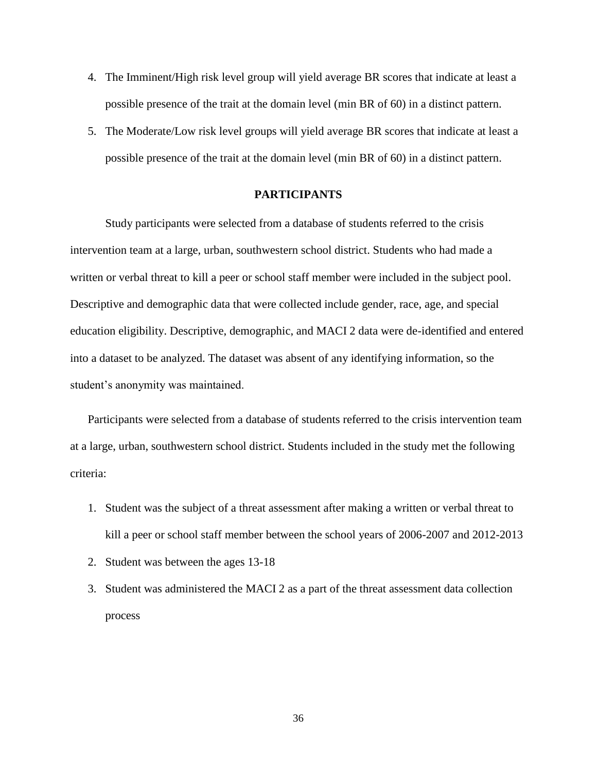- 4. The Imminent/High risk level group will yield average BR scores that indicate at least a possible presence of the trait at the domain level (min BR of 60) in a distinct pattern.
- 5. The Moderate/Low risk level groups will yield average BR scores that indicate at least a possible presence of the trait at the domain level (min BR of 60) in a distinct pattern.

### **PARTICIPANTS**

Study participants were selected from a database of students referred to the crisis intervention team at a large, urban, southwestern school district. Students who had made a written or verbal threat to kill a peer or school staff member were included in the subject pool. Descriptive and demographic data that were collected include gender, race, age, and special education eligibility. Descriptive, demographic, and MACI 2 data were de-identified and entered into a dataset to be analyzed. The dataset was absent of any identifying information, so the student's anonymity was maintained.

Participants were selected from a database of students referred to the crisis intervention team at a large, urban, southwestern school district. Students included in the study met the following criteria:

- 1. Student was the subject of a threat assessment after making a written or verbal threat to kill a peer or school staff member between the school years of 2006-2007 and 2012-2013
- 2. Student was between the ages 13-18
- 3. Student was administered the MACI 2 as a part of the threat assessment data collection process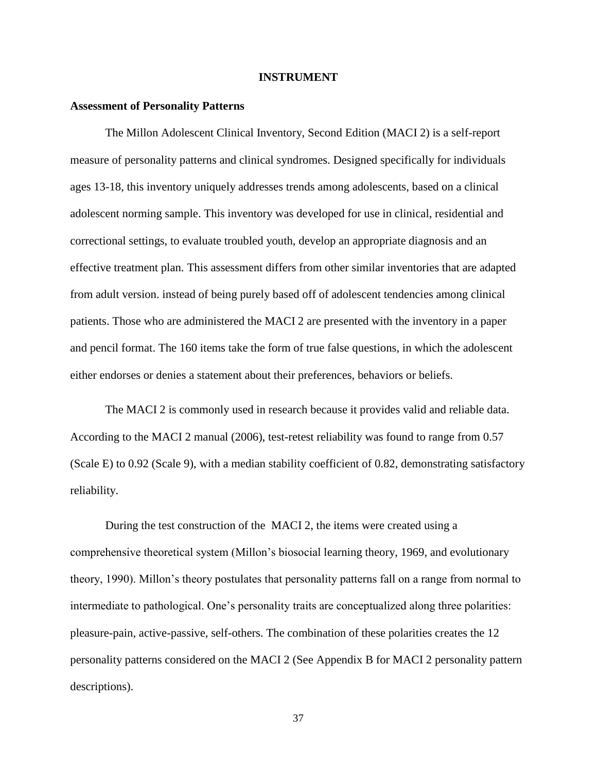#### **INSTRUMENT**

#### **Assessment of Personality Patterns**

The Millon Adolescent Clinical Inventory, Second Edition (MACI 2) is a self-report measure of personality patterns and clinical syndromes. Designed specifically for individuals ages 13-18, this inventory uniquely addresses trends among adolescents, based on a clinical adolescent norming sample. This inventory was developed for use in clinical, residential and correctional settings, to evaluate troubled youth, develop an appropriate diagnosis and an effective treatment plan. This assessment differs from other similar inventories that are adapted from adult version. instead of being purely based off of adolescent tendencies among clinical patients. Those who are administered the MACI 2 are presented with the inventory in a paper and pencil format. The 160 items take the form of true false questions, in which the adolescent either endorses or denies a statement about their preferences, behaviors or beliefs.

The MACI 2 is commonly used in research because it provides valid and reliable data. According to the MACI 2 manual (2006), test-retest reliability was found to range from 0.57 (Scale E) to 0.92 (Scale 9), with a median stability coefficient of 0.82, demonstrating satisfactory reliability.

During the test construction of the MACI 2, the items were created using a comprehensive theoretical system (Millon's biosocial learning theory, 1969, and evolutionary theory, 1990). Millon's theory postulates that personality patterns fall on a range from normal to intermediate to pathological. One's personality traits are conceptualized along three polarities: pleasure-pain, active-passive, self-others. The combination of these polarities creates the 12 personality patterns considered on the MACI 2 (See Appendix B for MACI 2 personality pattern descriptions).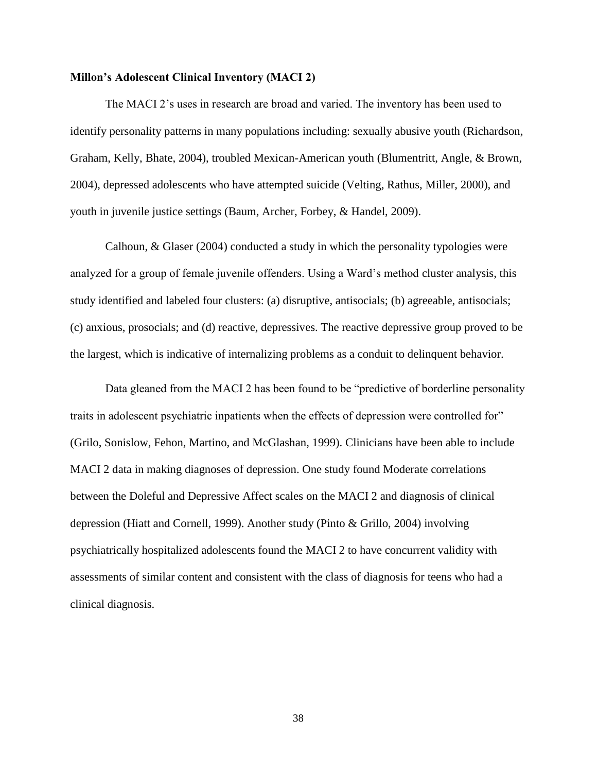#### **Millon's Adolescent Clinical Inventory (MACI 2)**

The MACI 2's uses in research are broad and varied. The inventory has been used to identify personality patterns in many populations including: sexually abusive youth (Richardson, Graham, Kelly, Bhate, 2004), troubled Mexican-American youth (Blumentritt, Angle, & Brown, 2004), depressed adolescents who have attempted suicide (Velting, Rathus, Miller, 2000), and youth in juvenile justice settings (Baum, Archer, Forbey, & Handel, 2009).

Calhoun, & Glaser (2004) conducted a study in which the personality typologies were analyzed for a group of female juvenile offenders. Using a Ward's method cluster analysis, this study identified and labeled four clusters: (a) disruptive, antisocials; (b) agreeable, antisocials; (c) anxious, prosocials; and (d) reactive, depressives. The reactive depressive group proved to be the largest, which is indicative of internalizing problems as a conduit to delinquent behavior.

Data gleaned from the MACI 2 has been found to be "predictive of borderline personality traits in adolescent psychiatric inpatients when the effects of depression were controlled for" (Grilo, Sonislow, Fehon, Martino, and McGlashan, 1999). Clinicians have been able to include MACI 2 data in making diagnoses of depression. One study found Moderate correlations between the Doleful and Depressive Affect scales on the MACI 2 and diagnosis of clinical depression (Hiatt and Cornell, 1999). Another study (Pinto & Grillo, 2004) involving psychiatrically hospitalized adolescents found the MACI 2 to have concurrent validity with assessments of similar content and consistent with the class of diagnosis for teens who had a clinical diagnosis.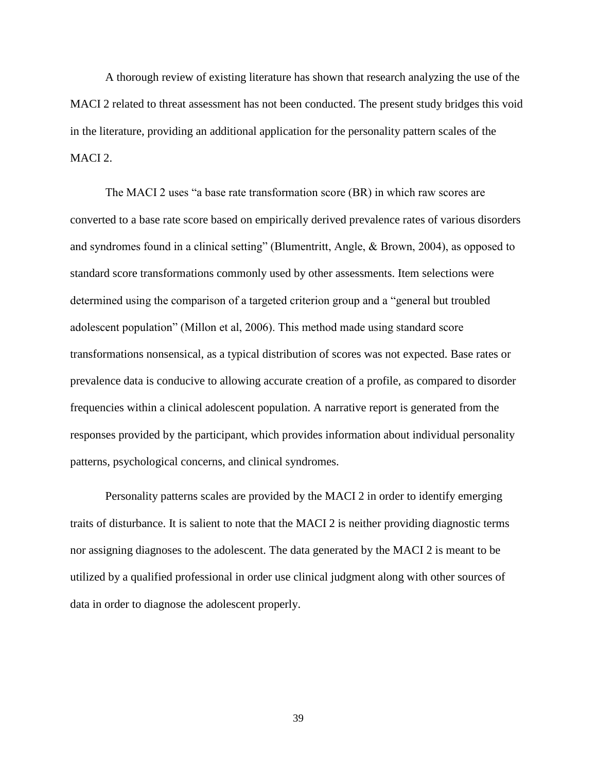A thorough review of existing literature has shown that research analyzing the use of the MACI 2 related to threat assessment has not been conducted. The present study bridges this void in the literature, providing an additional application for the personality pattern scales of the MACI 2.

The MACI 2 uses "a base rate transformation score (BR) in which raw scores are converted to a base rate score based on empirically derived prevalence rates of various disorders and syndromes found in a clinical setting" (Blumentritt, Angle, & Brown, 2004), as opposed to standard score transformations commonly used by other assessments. Item selections were determined using the comparison of a targeted criterion group and a "general but troubled adolescent population" (Millon et al, 2006). This method made using standard score transformations nonsensical, as a typical distribution of scores was not expected. Base rates or prevalence data is conducive to allowing accurate creation of a profile, as compared to disorder frequencies within a clinical adolescent population. A narrative report is generated from the responses provided by the participant, which provides information about individual personality patterns, psychological concerns, and clinical syndromes.

Personality patterns scales are provided by the MACI 2 in order to identify emerging traits of disturbance. It is salient to note that the MACI 2 is neither providing diagnostic terms nor assigning diagnoses to the adolescent. The data generated by the MACI 2 is meant to be utilized by a qualified professional in order use clinical judgment along with other sources of data in order to diagnose the adolescent properly.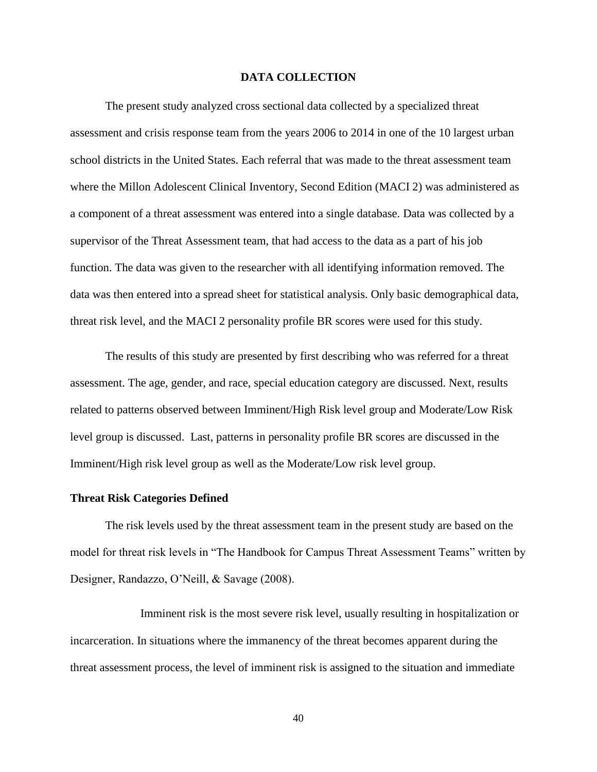#### **DATA COLLECTION**

The present study analyzed cross sectional data collected by a specialized threat assessment and crisis response team from the years 2006 to 2014 in one of the 10 largest urban school districts in the United States. Each referral that was made to the threat assessment team where the Millon Adolescent Clinical Inventory, Second Edition (MACI 2) was administered as a component of a threat assessment was entered into a single database. Data was collected by a supervisor of the Threat Assessment team, that had access to the data as a part of his job function. The data was given to the researcher with all identifying information removed. The data was then entered into a spread sheet for statistical analysis. Only basic demographical data, threat risk level, and the MACI 2 personality profile BR scores were used for this study.

The results of this study are presented by first describing who was referred for a threat assessment. The age, gender, and race, special education category are discussed. Next, results related to patterns observed between Imminent/High Risk level group and Moderate/Low Risk level group is discussed. Last, patterns in personality profile BR scores are discussed in the Imminent/High risk level group as well as the Moderate/Low risk level group.

#### **Threat Risk Categories Defined**

The risk levels used by the threat assessment team in the present study are based on the model for threat risk levels in "The Handbook for Campus Threat Assessment Teams" written by Designer, Randazzo, O'Neill, & Savage (2008).

Imminent risk is the most severe risk level, usually resulting in hospitalization or incarceration. In situations where the immanency of the threat becomes apparent during the threat assessment process, the level of imminent risk is assigned to the situation and immediate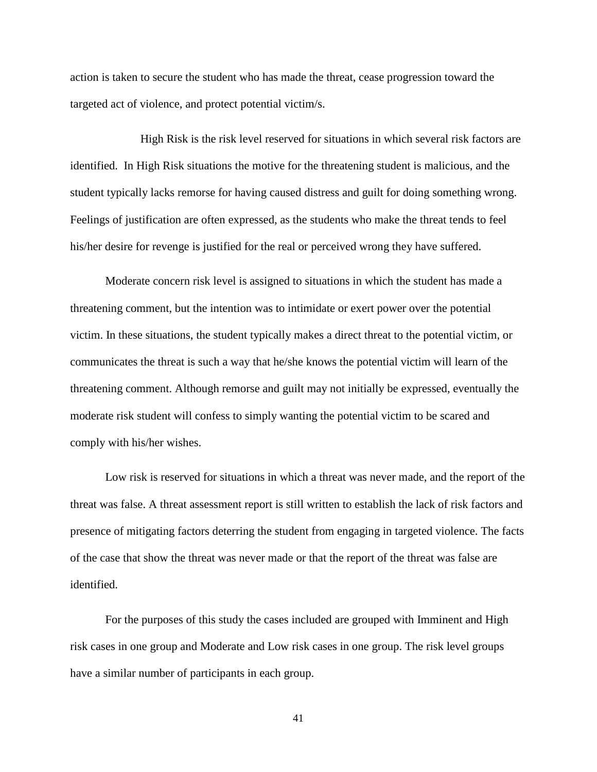action is taken to secure the student who has made the threat, cease progression toward the targeted act of violence, and protect potential victim/s.

High Risk is the risk level reserved for situations in which several risk factors are identified. In High Risk situations the motive for the threatening student is malicious, and the student typically lacks remorse for having caused distress and guilt for doing something wrong. Feelings of justification are often expressed, as the students who make the threat tends to feel his/her desire for revenge is justified for the real or perceived wrong they have suffered.

Moderate concern risk level is assigned to situations in which the student has made a threatening comment, but the intention was to intimidate or exert power over the potential victim. In these situations, the student typically makes a direct threat to the potential victim, or communicates the threat is such a way that he/she knows the potential victim will learn of the threatening comment. Although remorse and guilt may not initially be expressed, eventually the moderate risk student will confess to simply wanting the potential victim to be scared and comply with his/her wishes.

Low risk is reserved for situations in which a threat was never made, and the report of the threat was false. A threat assessment report is still written to establish the lack of risk factors and presence of mitigating factors deterring the student from engaging in targeted violence. The facts of the case that show the threat was never made or that the report of the threat was false are identified.

For the purposes of this study the cases included are grouped with Imminent and High risk cases in one group and Moderate and Low risk cases in one group. The risk level groups have a similar number of participants in each group.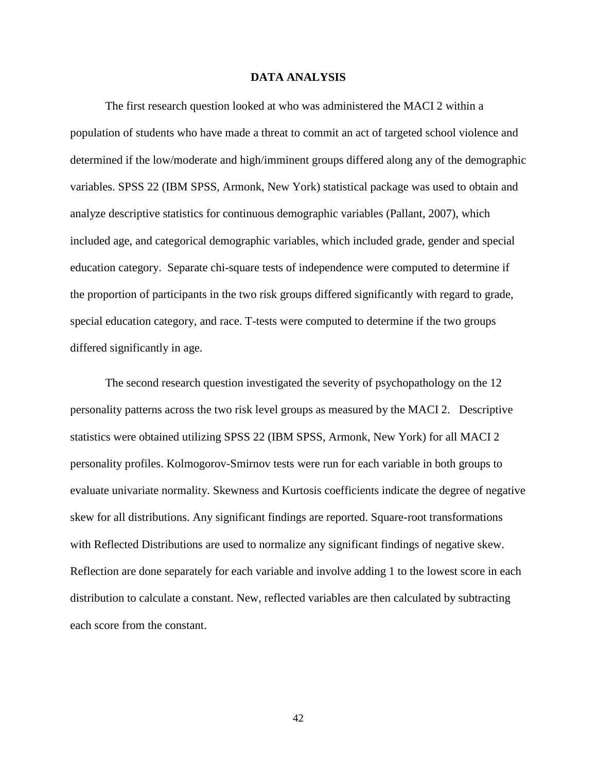#### **DATA ANALYSIS**

The first research question looked at who was administered the MACI 2 within a population of students who have made a threat to commit an act of targeted school violence and determined if the low/moderate and high/imminent groups differed along any of the demographic variables. SPSS 22 (IBM SPSS, Armonk, New York) statistical package was used to obtain and analyze descriptive statistics for continuous demographic variables (Pallant, 2007), which included age, and categorical demographic variables, which included grade, gender and special education category. Separate chi-square tests of independence were computed to determine if the proportion of participants in the two risk groups differed significantly with regard to grade, special education category, and race. T-tests were computed to determine if the two groups differed significantly in age.

The second research question investigated the severity of psychopathology on the 12 personality patterns across the two risk level groups as measured by the MACI 2. Descriptive statistics were obtained utilizing SPSS 22 (IBM SPSS, Armonk, New York) for all MACI 2 personality profiles. Kolmogorov-Smirnov tests were run for each variable in both groups to evaluate univariate normality. Skewness and Kurtosis coefficients indicate the degree of negative skew for all distributions. Any significant findings are reported. Square-root transformations with Reflected Distributions are used to normalize any significant findings of negative skew. Reflection are done separately for each variable and involve adding 1 to the lowest score in each distribution to calculate a constant. New, reflected variables are then calculated by subtracting each score from the constant.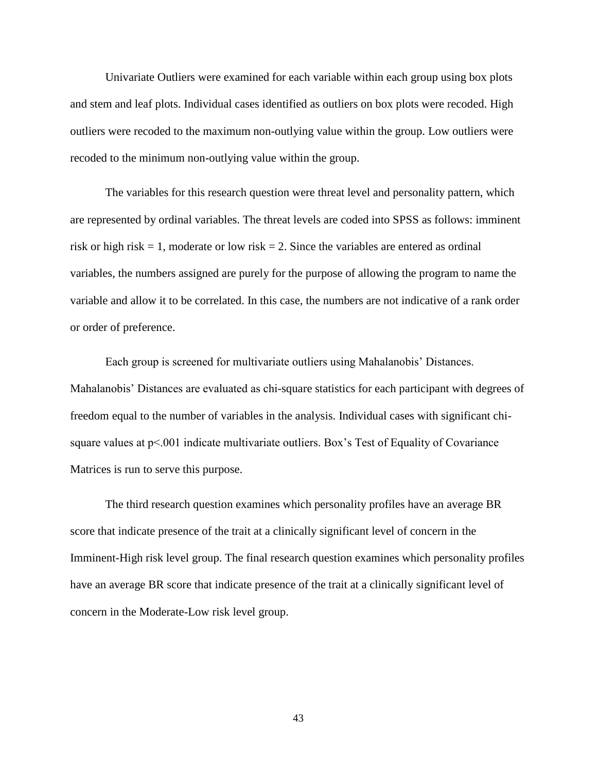Univariate Outliers were examined for each variable within each group using box plots and stem and leaf plots. Individual cases identified as outliers on box plots were recoded. High outliers were recoded to the maximum non-outlying value within the group. Low outliers were recoded to the minimum non-outlying value within the group.

The variables for this research question were threat level and personality pattern, which are represented by ordinal variables. The threat levels are coded into SPSS as follows: imminent risk or high risk  $= 1$ , moderate or low risk  $= 2$ . Since the variables are entered as ordinal variables, the numbers assigned are purely for the purpose of allowing the program to name the variable and allow it to be correlated. In this case, the numbers are not indicative of a rank order or order of preference.

Each group is screened for multivariate outliers using Mahalanobis' Distances. Mahalanobis' Distances are evaluated as chi-square statistics for each participant with degrees of freedom equal to the number of variables in the analysis. Individual cases with significant chisquare values at  $p<0.001$  indicate multivariate outliers. Box's Test of Equality of Covariance Matrices is run to serve this purpose.

The third research question examines which personality profiles have an average BR score that indicate presence of the trait at a clinically significant level of concern in the Imminent-High risk level group. The final research question examines which personality profiles have an average BR score that indicate presence of the trait at a clinically significant level of concern in the Moderate-Low risk level group.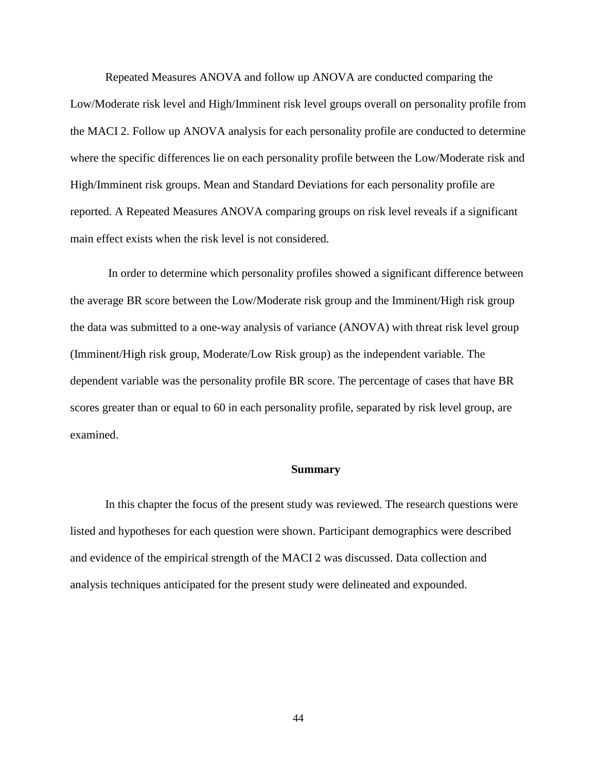Repeated Measures ANOVA and follow up ANOVA are conducted comparing the Low/Moderate risk level and High/Imminent risk level groups overall on personality profile from the MACI 2. Follow up ANOVA analysis for each personality profile are conducted to determine where the specific differences lie on each personality profile between the Low/Moderate risk and High/Imminent risk groups. Mean and Standard Deviations for each personality profile are reported. A Repeated Measures ANOVA comparing groups on risk level reveals if a significant main effect exists when the risk level is not considered.

In order to determine which personality profiles showed a significant difference between the average BR score between the Low/Moderate risk group and the Imminent/High risk group the data was submitted to a one-way analysis of variance (ANOVA) with threat risk level group (Imminent/High risk group, Moderate/Low Risk group) as the independent variable. The dependent variable was the personality profile BR score. The percentage of cases that have BR scores greater than or equal to 60 in each personality profile, separated by risk level group, are examined.

#### **Summary**

In this chapter the focus of the present study was reviewed. The research questions were listed and hypotheses for each question were shown. Participant demographics were described and evidence of the empirical strength of the MACI 2 was discussed. Data collection and analysis techniques anticipated for the present study were delineated and expounded.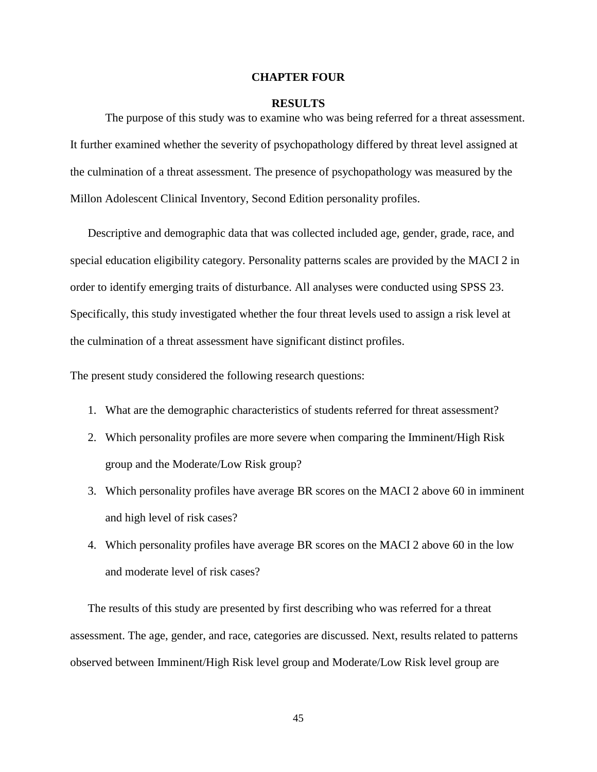#### **CHAPTER FOUR**

#### **RESULTS**

The purpose of this study was to examine who was being referred for a threat assessment. It further examined whether the severity of psychopathology differed by threat level assigned at the culmination of a threat assessment. The presence of psychopathology was measured by the Millon Adolescent Clinical Inventory, Second Edition personality profiles.

Descriptive and demographic data that was collected included age, gender, grade, race, and special education eligibility category. Personality patterns scales are provided by the MACI 2 in order to identify emerging traits of disturbance. All analyses were conducted using SPSS 23. Specifically, this study investigated whether the four threat levels used to assign a risk level at the culmination of a threat assessment have significant distinct profiles.

The present study considered the following research questions:

- 1. What are the demographic characteristics of students referred for threat assessment?
- 2. Which personality profiles are more severe when comparing the Imminent/High Risk group and the Moderate/Low Risk group?
- 3. Which personality profiles have average BR scores on the MACI 2 above 60 in imminent and high level of risk cases?
- 4. Which personality profiles have average BR scores on the MACI 2 above 60 in the low and moderate level of risk cases?

The results of this study are presented by first describing who was referred for a threat assessment. The age, gender, and race, categories are discussed. Next, results related to patterns observed between Imminent/High Risk level group and Moderate/Low Risk level group are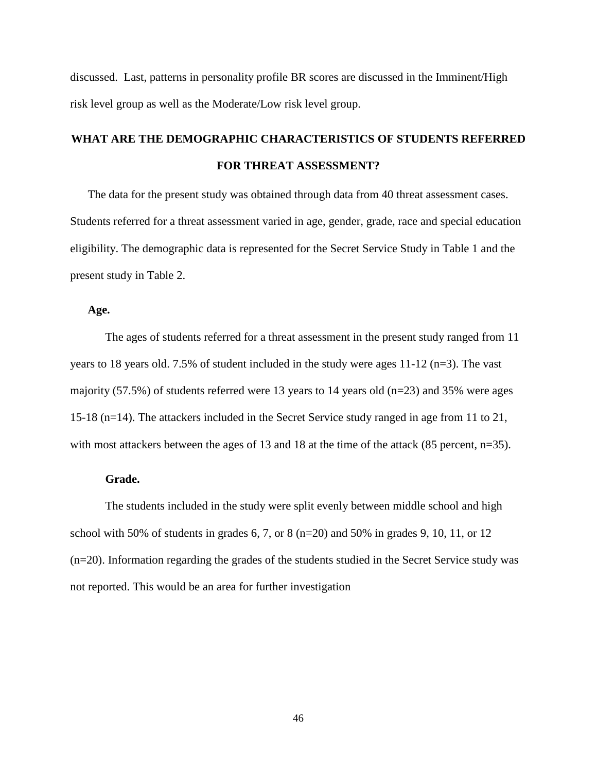discussed. Last, patterns in personality profile BR scores are discussed in the Imminent/High risk level group as well as the Moderate/Low risk level group.

# **WHAT ARE THE DEMOGRAPHIC CHARACTERISTICS OF STUDENTS REFERRED FOR THREAT ASSESSMENT?**

The data for the present study was obtained through data from 40 threat assessment cases. Students referred for a threat assessment varied in age, gender, grade, race and special education eligibility. The demographic data is represented for the Secret Service Study in Table 1 and the present study in Table 2.

### **Age.**

The ages of students referred for a threat assessment in the present study ranged from 11 years to 18 years old. 7.5% of student included in the study were ages 11-12 (n=3). The vast majority (57.5%) of students referred were 13 years to 14 years old (n=23) and 35% were ages 15-18 (n=14). The attackers included in the Secret Service study ranged in age from 11 to 21, with most attackers between the ages of 13 and 18 at the time of the attack (85 percent, n=35).

### **Grade.**

The students included in the study were split evenly between middle school and high school with 50% of students in grades 6, 7, or 8 ( $n=20$ ) and 50% in grades 9, 10, 11, or 12 (n=20). Information regarding the grades of the students studied in the Secret Service study was not reported. This would be an area for further investigation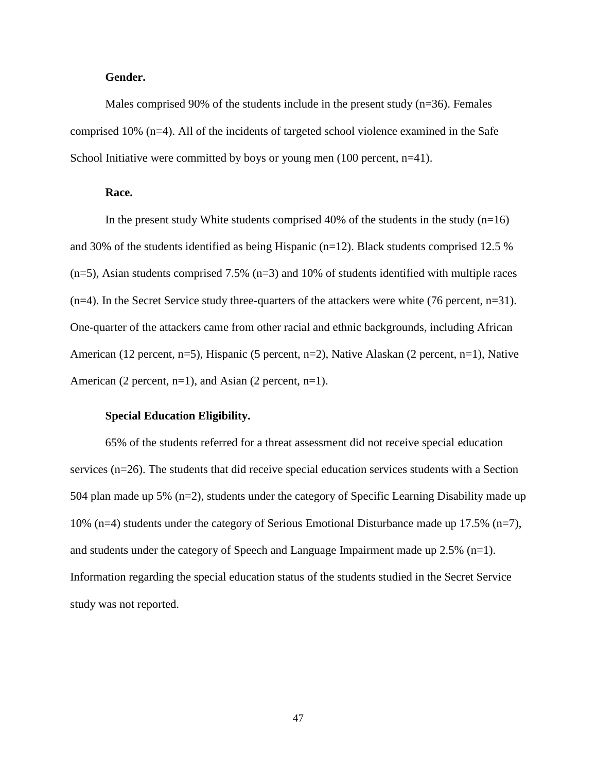### **Gender.**

Males comprised 90% of the students include in the present study  $(n=36)$ . Females comprised 10% (n=4). All of the incidents of targeted school violence examined in the Safe School Initiative were committed by boys or young men  $(100$  percent, n=41).

### **Race.**

In the present study White students comprised 40% of the students in the study  $(n=16)$ and 30% of the students identified as being Hispanic (n=12). Black students comprised 12.5 %  $(n=5)$ , Asian students comprised 7.5%  $(n=3)$  and 10% of students identified with multiple races (n=4). In the Secret Service study three-quarters of the attackers were white (76 percent, n=31). One-quarter of the attackers came from other racial and ethnic backgrounds, including African American (12 percent, n=5), Hispanic (5 percent, n=2), Native Alaskan (2 percent, n=1), Native American (2 percent,  $n=1$ ), and Asian (2 percent,  $n=1$ ).

#### **Special Education Eligibility.**

65% of the students referred for a threat assessment did not receive special education services (n=26). The students that did receive special education services students with a Section 504 plan made up 5% (n=2), students under the category of Specific Learning Disability made up 10% (n=4) students under the category of Serious Emotional Disturbance made up 17.5% (n=7), and students under the category of Speech and Language Impairment made up 2.5% (n=1). Information regarding the special education status of the students studied in the Secret Service study was not reported.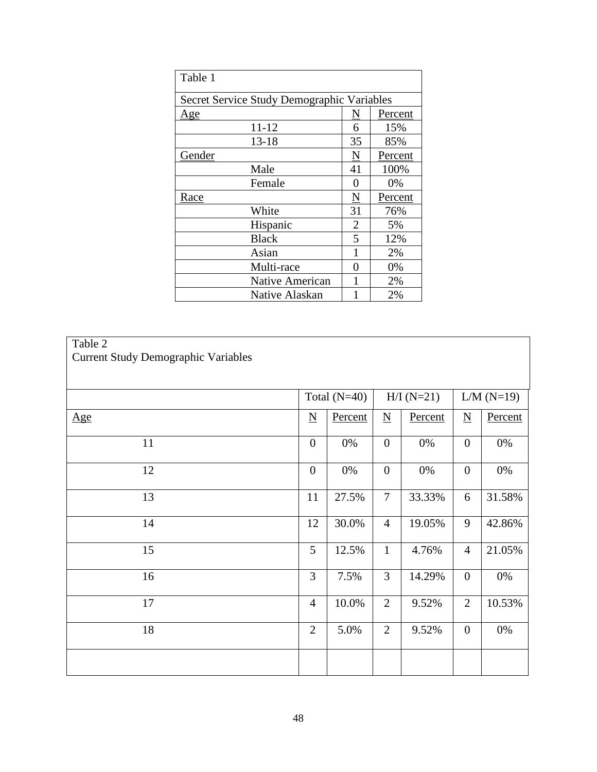| Table 1                                    |                     |         |  |  |  |  |  |
|--------------------------------------------|---------------------|---------|--|--|--|--|--|
| Secret Service Study Demographic Variables |                     |         |  |  |  |  |  |
| <u>Age</u>                                 | $\underline{\rm N}$ | Percent |  |  |  |  |  |
| 11-12                                      | 6                   | 15%     |  |  |  |  |  |
| $13 - 18$                                  | 35                  | 85%     |  |  |  |  |  |
| Gender                                     | N                   | Percent |  |  |  |  |  |
| Male                                       | 41                  | 100%    |  |  |  |  |  |
| Female                                     | $\theta$            | 0%      |  |  |  |  |  |
| Race                                       | N                   | Percent |  |  |  |  |  |
| White                                      | 31                  | 76%     |  |  |  |  |  |
| Hispanic                                   | 2                   | 5%      |  |  |  |  |  |
| <b>Black</b>                               | 5                   | 12%     |  |  |  |  |  |
| Asian                                      | 1                   | 2%      |  |  |  |  |  |
| Multi-race                                 | 0                   | 0%      |  |  |  |  |  |
| Native American                            |                     | 2%      |  |  |  |  |  |
| Native Alaskan                             |                     | 2%      |  |  |  |  |  |

| Table |
|-------|
|       |

| <b>Current Study Demographic Variables</b> |                                |         |                          |            |                |         |
|--------------------------------------------|--------------------------------|---------|--------------------------|------------|----------------|---------|
|                                            | Total $(N=40)$<br>$H/I (N=21)$ |         |                          | $LM(N=19)$ |                |         |
| <u>Age</u>                                 | $\underline{\mathbf{N}}$       | Percent | $\underline{\mathbf{N}}$ | Percent    |                | Percent |
| 11                                         | $\boldsymbol{0}$               | $0\%$   | $\boldsymbol{0}$         | $0\%$      | $\overline{0}$ | $0\%$   |
| 12                                         | $\mathbf{0}$                   | $0\%$   | $\overline{0}$           | $0\%$      | $\overline{0}$ | $0\%$   |
| 13                                         | 11                             | 27.5%   | $\tau$                   | 33.33%     | 6              | 31.58%  |
| 14                                         | 12                             | 30.0%   | $\overline{4}$           | 19.05%     | 9              | 42.86%  |
| 15                                         | 5                              | 12.5%   | $\mathbf{1}$             | 4.76%      | $\overline{4}$ | 21.05%  |
| 16                                         | $\overline{3}$                 | 7.5%    | 3                        | 14.29%     | $\overline{0}$ | $0\%$   |
| 17                                         | $\overline{4}$                 | 10.0%   | $\overline{2}$           | 9.52%      | $\overline{2}$ | 10.53%  |
| 18                                         | $\overline{2}$                 | 5.0%    | $\overline{2}$           | 9.52%      | $\overline{0}$ | $0\%$   |
|                                            |                                |         |                          |            |                |         |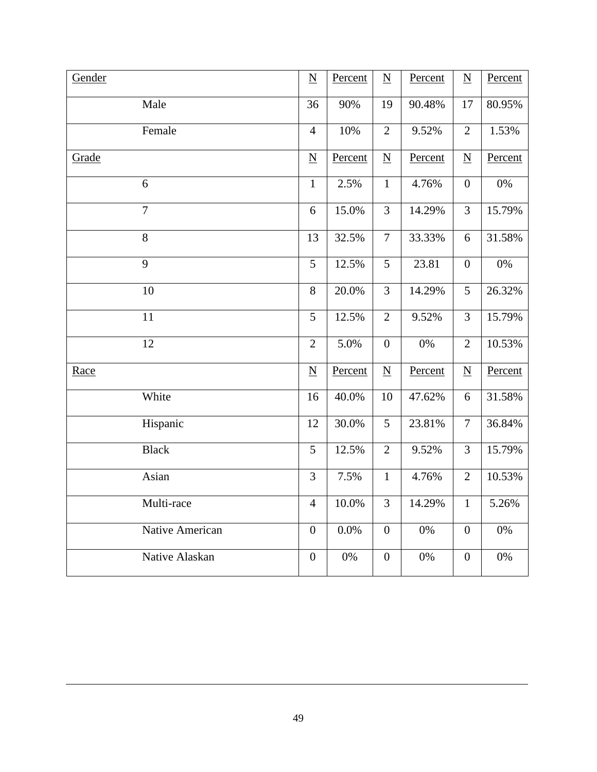| Gender          | $\underline{\mathbf{N}}$ | Percent | $\underline{N}$          | Percent | $\underline{\mathbf{N}}$ | Percent |
|-----------------|--------------------------|---------|--------------------------|---------|--------------------------|---------|
| Male            | 36                       | 90%     | 19                       | 90.48%  | 17                       | 80.95%  |
| Female          | $\overline{4}$           | 10%     | $\mathbf{2}$             | 9.52%   | $\overline{2}$           | 1.53%   |
| Grade           | $\underline{N}$          | Percent | $\underline{N}$          | Percent | $\underline{\mathbf{N}}$ | Percent |
| 6               | $\mathbf{1}$             | 2.5%    | $\mathbf 1$              | 4.76%   | $\overline{0}$           | 0%      |
| $\overline{7}$  | 6                        | 15.0%   | $\overline{3}$           | 14.29%  | 3                        | 15.79%  |
| 8               | 13                       | 32.5%   | $\overline{7}$           | 33.33%  | 6                        | 31.58%  |
| $\overline{9}$  | 5                        | 12.5%   | 5                        | 23.81   | $\boldsymbol{0}$         | 0%      |
| 10              | 8                        | 20.0%   | 3                        | 14.29%  | 5                        | 26.32%  |
| 11              | 5                        | 12.5%   | $\overline{2}$           | 9.52%   | $\overline{3}$           | 15.79%  |
| $\overline{12}$ | $\overline{2}$           | 5.0%    | $\overline{0}$           | 0%      | $\overline{2}$           | 10.53%  |
| Race            | $\underline{\mathbf{N}}$ | Percent | $\underline{\mathbf{N}}$ | Percent | $\underline{\mathbf{N}}$ | Percent |
| White           | 16                       | 40.0%   | 10                       | 47.62%  | 6                        | 31.58%  |
| Hispanic        | 12                       | 30.0%   | 5                        | 23.81%  | $\overline{7}$           | 36.84%  |
| <b>Black</b>    | 5                        | 12.5%   | $\overline{2}$           | 9.52%   | $\overline{3}$           | 15.79%  |
| Asian           | $\overline{3}$           | 7.5%    | $\mathbf{1}$             | 4.76%   | $\overline{2}$           | 10.53%  |
| Multi-race      | $\overline{4}$           | 10.0%   | 3                        | 14.29%  | $\mathbf{1}$             | 5.26%   |
| Native American | $\boldsymbol{0}$         | 0.0%    | $\overline{0}$           | 0%      | $\overline{0}$           | 0%      |
| Native Alaskan  | $\overline{0}$           | 0%      | $\overline{0}$           | 0%      | $\overline{0}$           | 0%      |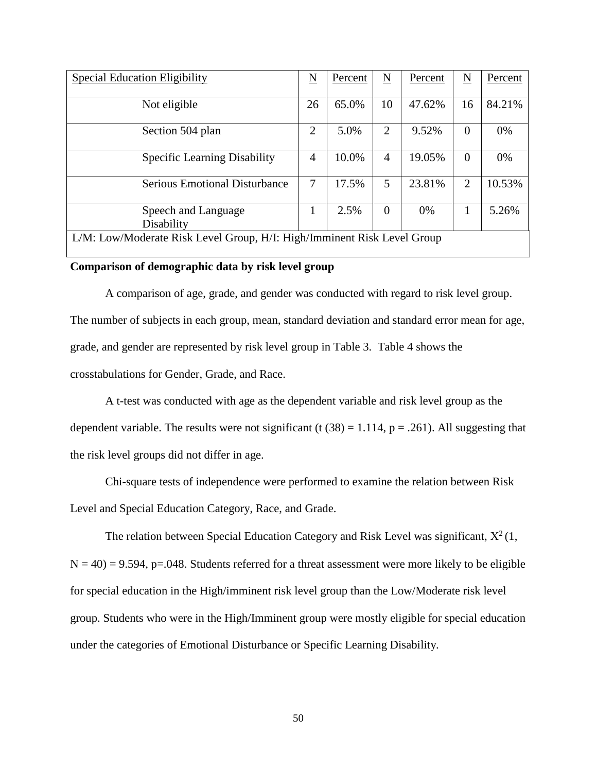| <b>Special Education Eligibility</b>                                    | N              | Percent | $\underline{\mathbf{N}}$ | Percent | N        | Percent |  |
|-------------------------------------------------------------------------|----------------|---------|--------------------------|---------|----------|---------|--|
| Not eligible                                                            | 26             | 65.0%   | 10                       | 47.62%  | 16       | 84.21%  |  |
| Section 504 plan                                                        | 2              | 5.0%    | 2                        | 9.52%   | $\Omega$ | 0%      |  |
| <b>Specific Learning Disability</b>                                     | $\overline{4}$ | 10.0%   | $\overline{4}$           | 19.05%  | $\Omega$ | 0%      |  |
| <b>Serious Emotional Disturbance</b>                                    | 7              | 17.5%   | 5                        | 23.81%  | 2        | 10.53%  |  |
| Speech and Language<br>Disability                                       |                | 2.5%    | $\overline{0}$           | $0\%$   |          | 5.26%   |  |
| L/M: Low/Moderate Risk Level Group, H/I: High/Imminent Risk Level Group |                |         |                          |         |          |         |  |

#### **Comparison of demographic data by risk level group**

A comparison of age, grade, and gender was conducted with regard to risk level group. The number of subjects in each group, mean, standard deviation and standard error mean for age, grade, and gender are represented by risk level group in Table 3. Table 4 shows the crosstabulations for Gender, Grade, and Race.

A t-test was conducted with age as the dependent variable and risk level group as the dependent variable. The results were not significant (t  $(38) = 1.114$ , p = .261). All suggesting that the risk level groups did not differ in age.

Chi-square tests of independence were performed to examine the relation between Risk

Level and Special Education Category, Race, and Grade.

The relation between Special Education Category and Risk Level was significant,  $X^2(1)$ ,  $N = 40$ ) = 9.594, p=.048. Students referred for a threat assessment were more likely to be eligible for special education in the High/imminent risk level group than the Low/Moderate risk level group. Students who were in the High/Imminent group were mostly eligible for special education under the categories of Emotional Disturbance or Specific Learning Disability.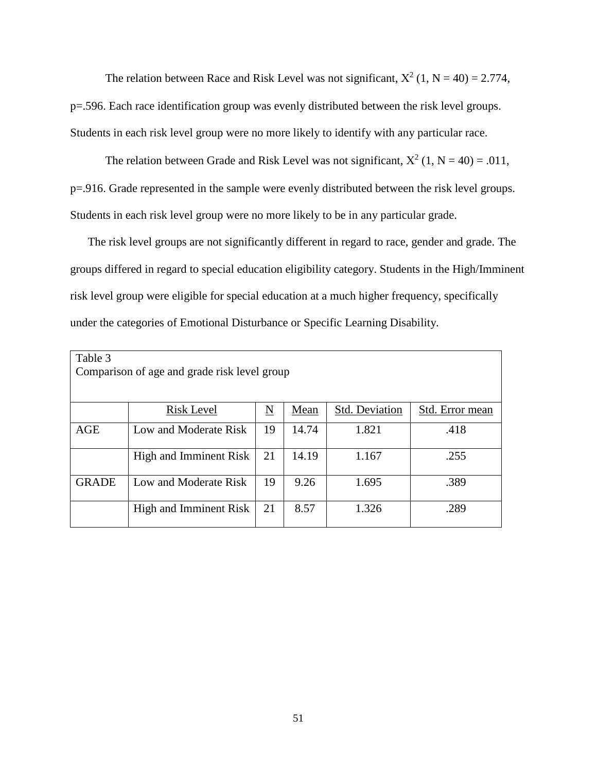The relation between Race and Risk Level was not significant,  $X^2$  (1, N = 40) = 2.774, p=.596. Each race identification group was evenly distributed between the risk level groups. Students in each risk level group were no more likely to identify with any particular race.

The relation between Grade and Risk Level was not significant,  $X^2$  (1, N = 40) = .011, p=.916. Grade represented in the sample were evenly distributed between the risk level groups. Students in each risk level group were no more likely to be in any particular grade.

The risk level groups are not significantly different in regard to race, gender and grade. The groups differed in regard to special education eligibility category. Students in the High/Imminent risk level group were eligible for special education at a much higher frequency, specifically under the categories of Emotional Disturbance or Specific Learning Disability.

| Table 3                                      |                        |    |       |                       |                 |  |  |  |  |
|----------------------------------------------|------------------------|----|-------|-----------------------|-----------------|--|--|--|--|
| Comparison of age and grade risk level group |                        |    |       |                       |                 |  |  |  |  |
|                                              |                        |    |       |                       |                 |  |  |  |  |
|                                              | <b>Risk Level</b>      | N  | Mean  | <b>Std. Deviation</b> | Std. Error mean |  |  |  |  |
| AGE                                          | Low and Moderate Risk  | 19 | 14.74 | 1.821                 | .418            |  |  |  |  |
|                                              | High and Imminent Risk | 21 | 14.19 | 1.167                 | .255            |  |  |  |  |
| <b>GRADE</b>                                 | Low and Moderate Risk  | 19 | 9.26  | 1.695                 | .389            |  |  |  |  |
|                                              | High and Imminent Risk | 21 | 8.57  | 1.326                 | .289            |  |  |  |  |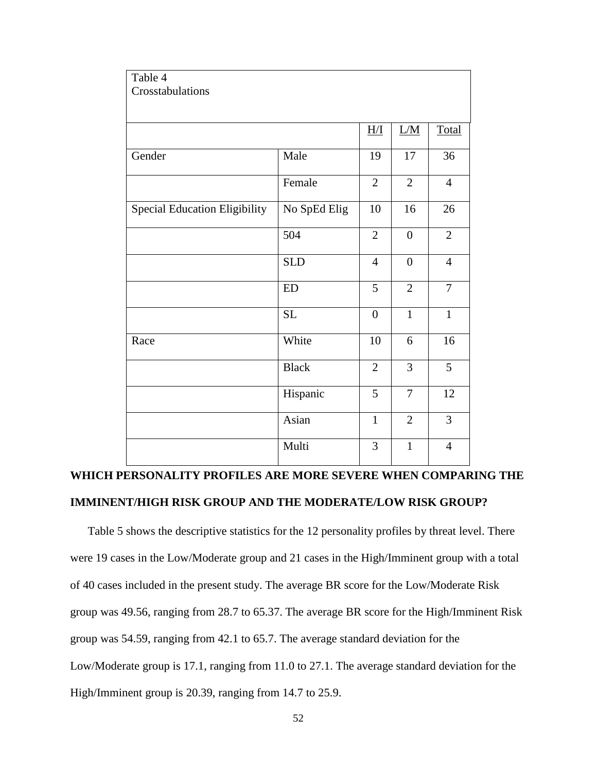| Table 4                              |              |                   |                  |                |
|--------------------------------------|--------------|-------------------|------------------|----------------|
| Crosstabulations                     |              |                   |                  |                |
|                                      |              |                   |                  |                |
|                                      |              | $\underline{H/I}$ | L/M              | Total          |
| Gender                               | Male         | 19                | 17               | 36             |
|                                      | Female       | $\overline{2}$    | $\overline{2}$   | $\overline{4}$ |
| <b>Special Education Eligibility</b> | No SpEd Elig | 10                | 16               | 26             |
|                                      | 504          | $\overline{2}$    | $\boldsymbol{0}$ | $\overline{2}$ |
|                                      | <b>SLD</b>   | $\overline{4}$    | $\overline{0}$   | $\overline{4}$ |
|                                      | ED           | 5                 | $\overline{2}$   | $\tau$         |
|                                      | SL           | $\overline{0}$    | $\mathbf{1}$     | $\mathbf{1}$   |
| Race                                 | White        | 10                | 6                | 16             |
|                                      | <b>Black</b> | $\overline{2}$    | 3                | 5              |
|                                      | Hispanic     | 5                 | $\overline{7}$   | 12             |
|                                      | Asian        | $\mathbf{1}$      | $\overline{2}$   | 3              |
|                                      | Multi        | 3                 | $\mathbf{1}$     | $\overline{4}$ |

# **WHICH PERSONALITY PROFILES ARE MORE SEVERE WHEN COMPARING THE IMMINENT/HIGH RISK GROUP AND THE MODERATE/LOW RISK GROUP?**

Table 5 shows the descriptive statistics for the 12 personality profiles by threat level. There were 19 cases in the Low/Moderate group and 21 cases in the High/Imminent group with a total of 40 cases included in the present study. The average BR score for the Low/Moderate Risk group was 49.56, ranging from 28.7 to 65.37. The average BR score for the High/Imminent Risk group was 54.59, ranging from 42.1 to 65.7. The average standard deviation for the Low/Moderate group is 17.1, ranging from 11.0 to 27.1. The average standard deviation for the High/Imminent group is 20.39, ranging from 14.7 to 25.9.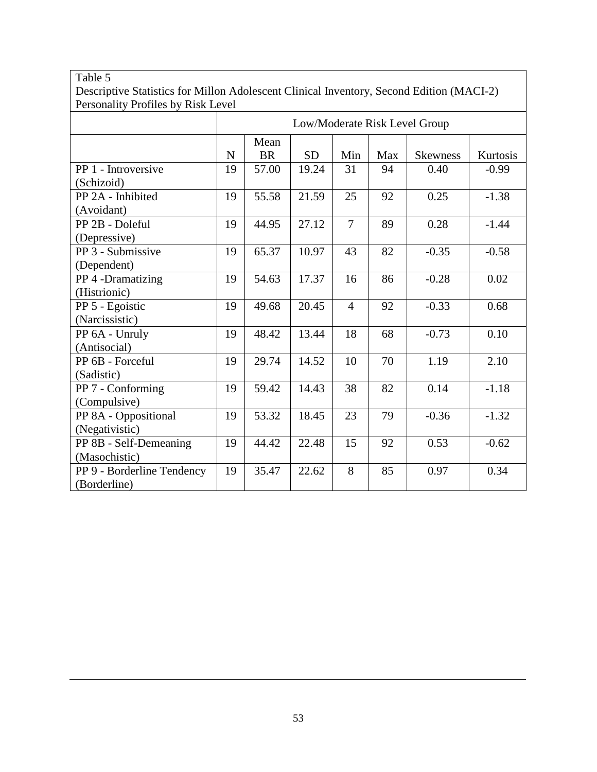#### Table 5 Descriptive Statistics for Millon Adolescent Clinical Inventory, Second Edition (MACI-2) Personality Profiles by Risk Level Low/Moderate Risk Level Group N Mean  $BR$  SD Min Max Skewness Kurtosis PP 1 - Introversive (Schizoid) 19 | 57.00 | 19.24 | 31 | 94 | 0.40 | -0.99 PP 2A - Inhibited (Avoidant) 19 | 55.58 | 21.59 | 25 | 92 | 0.25 | -1.38 PP 2B - Doleful (Depressive) 19 | 44.95 | 27.12 | 7 | 89 | 0.28 | -1.44 PP 3 - Submissive (Dependent) 19 | 65.37 | 10.97 | 43 | 82 | -0.35 | -0.58 PP 4 -Dramatizing (Histrionic) 19 | 54.63 | 17.37 | 16 | 86 | -0.28 | 0.02 PP 5 - Egoistic (Narcissistic) 19 49.68 20.45 4 92 -0.33 0.68 PP 6A - Unruly (Antisocial) 19 | 48.42 | 13.44 | 18 | 68 | -0.73 | 0.10 PP 6B - Forceful (Sadistic) 19 | 29.74 | 14.52 | 10 | 70 | 1.19 | 2.10 PP 7 - Conforming (Compulsive) 19 | 59.42 | 14.43 | 38 | 82 | 0.14 | -1.18 PP 8A - Oppositional (Negativistic) 19 | 53.32 | 18.45 | 23 | 79 | -0.36 | -1.32 PP 8B - Self-Demeaning (Masochistic) 19 44.42 22.48 15 92 0.53 -0.62 PP 9 - Borderline Tendency (Borderline) 19 35.47 22.62 8 85 0.97 0.34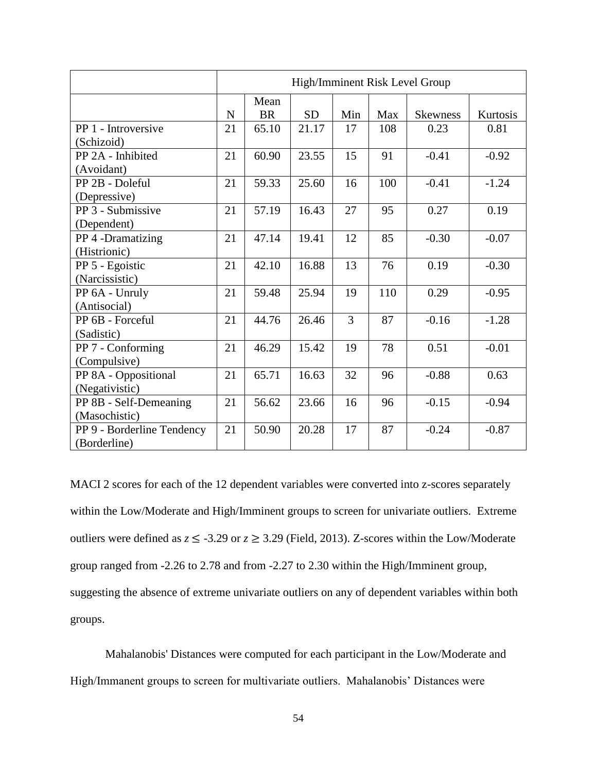|                            | High/Imminent Risk Level Group |                   |           |     |     |                 |          |
|----------------------------|--------------------------------|-------------------|-----------|-----|-----|-----------------|----------|
|                            | $\mathbf N$                    | Mean<br><b>BR</b> | <b>SD</b> | Min | Max | <b>Skewness</b> | Kurtosis |
| PP 1 - Introversive        | 21                             | 65.10             | 21.17     | 17  | 108 | 0.23            | 0.81     |
| (Schizoid)                 |                                |                   |           |     |     |                 |          |
| PP 2A - Inhibited          | 21                             | 60.90             | 23.55     | 15  | 91  | $-0.41$         | $-0.92$  |
| (Avoidant)                 |                                |                   |           |     |     |                 |          |
| PP 2B - Doleful            | 21                             | 59.33             | 25.60     | 16  | 100 | $-0.41$         | $-1.24$  |
| (Depressive)               |                                |                   |           |     |     |                 |          |
| PP 3 - Submissive          | 21                             | 57.19             | 16.43     | 27  | 95  | 0.27            | 0.19     |
| (Dependent)                |                                |                   |           |     |     |                 |          |
| PP 4 -Dramatizing          | 21                             | 47.14             | 19.41     | 12  | 85  | $-0.30$         | $-0.07$  |
| (Histrionic)               |                                |                   |           |     |     |                 |          |
| PP 5 - Egoistic            | 21                             | 42.10             | 16.88     | 13  | 76  | 0.19            | $-0.30$  |
| (Narcissistic)             |                                |                   |           |     |     |                 |          |
| PP 6A - Unruly             | 21                             | 59.48             | 25.94     | 19  | 110 | 0.29            | $-0.95$  |
| (Antisocial)               |                                |                   |           |     |     |                 |          |
| PP 6B - Forceful           | 21                             | 44.76             | 26.46     | 3   | 87  | $-0.16$         | $-1.28$  |
| (Sadistic)                 |                                |                   |           |     |     |                 |          |
| PP 7 - Conforming          | 21                             | 46.29             | 15.42     | 19  | 78  | 0.51            | $-0.01$  |
| (Compulsive)               |                                |                   |           |     |     |                 |          |
| PP 8A - Oppositional       | 21                             | 65.71             | 16.63     | 32  | 96  | $-0.88$         | 0.63     |
| (Negativistic)             |                                |                   |           |     |     |                 |          |
| PP 8B - Self-Demeaning     | 21                             | 56.62             | 23.66     | 16  | 96  | $-0.15$         | $-0.94$  |
| (Masochistic)              |                                |                   |           |     |     |                 |          |
| PP 9 - Borderline Tendency | 21                             | 50.90             | 20.28     | 17  | 87  | $-0.24$         | $-0.87$  |
| (Borderline)               |                                |                   |           |     |     |                 |          |

MACI 2 scores for each of the 12 dependent variables were converted into z-scores separately within the Low/Moderate and High/Imminent groups to screen for univariate outliers. Extreme outliers were defined as  $z \leq -3.29$  or  $z \geq 3.29$  (Field, 2013). Z-scores within the Low/Moderate group ranged from -2.26 to 2.78 and from -2.27 to 2.30 within the High/Imminent group, suggesting the absence of extreme univariate outliers on any of dependent variables within both groups.

Mahalanobis' Distances were computed for each participant in the Low/Moderate and High/Immanent groups to screen for multivariate outliers. Mahalanobis' Distances were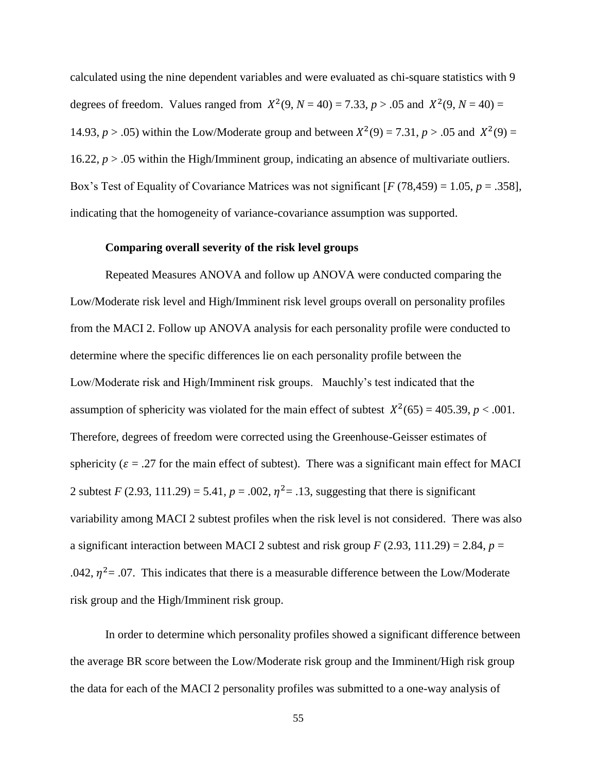calculated using the nine dependent variables and were evaluated as chi-square statistics with 9 degrees of freedom. Values ranged from  $X^2(9, N = 40) = 7.33, p > .05$  and  $X^2(9, N = 40) =$ 14.93,  $p > .05$ ) within the Low/Moderate group and between  $X^2(9) = 7.31$ ,  $p > .05$  and  $X^2(9) =$ 16.22, *p* > .05 within the High/Imminent group, indicating an absence of multivariate outliers. Box's Test of Equality of Covariance Matrices was not significant [*F* (78,459) = 1.05, *p* = .358], indicating that the homogeneity of variance-covariance assumption was supported.

#### **Comparing overall severity of the risk level groups**

Repeated Measures ANOVA and follow up ANOVA were conducted comparing the Low/Moderate risk level and High/Imminent risk level groups overall on personality profiles from the MACI 2. Follow up ANOVA analysis for each personality profile were conducted to determine where the specific differences lie on each personality profile between the Low/Moderate risk and High/Imminent risk groups. Mauchly's test indicated that the assumption of sphericity was violated for the main effect of subtest  $X^2(65) = 405.39$ ,  $p < .001$ . Therefore, degrees of freedom were corrected using the Greenhouse-Geisser estimates of sphericity ( $\varepsilon = .27$  for the main effect of subtest). There was a significant main effect for MACI 2 subtest *F* (2.93, 111.29) = 5.41,  $p = .002$ ,  $\eta^2 = .13$ , suggesting that there is significant variability among MACI 2 subtest profiles when the risk level is not considered. There was also a significant interaction between MACI 2 subtest and risk group  $F(2.93, 111.29) = 2.84$ ,  $p =$ .042,  $\eta^2$  = .07. This indicates that there is a measurable difference between the Low/Moderate risk group and the High/Imminent risk group.

In order to determine which personality profiles showed a significant difference between the average BR score between the Low/Moderate risk group and the Imminent/High risk group the data for each of the MACI 2 personality profiles was submitted to a one-way analysis of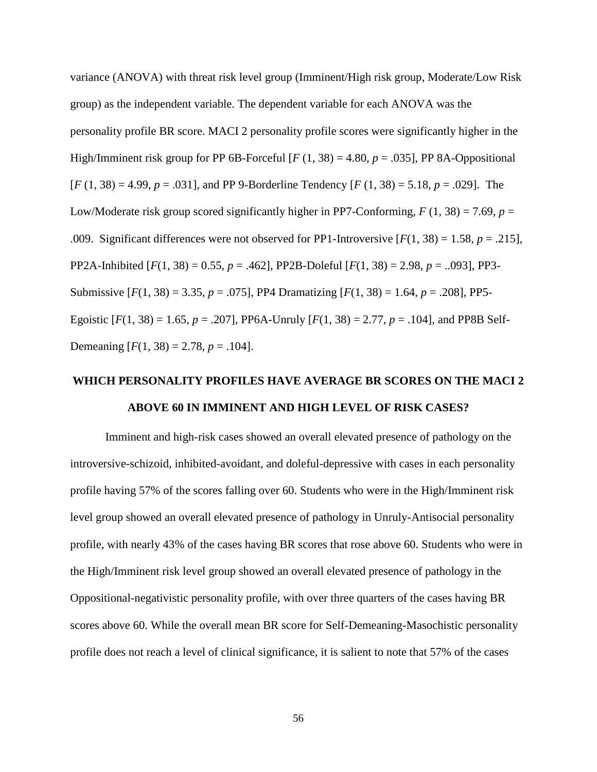variance (ANOVA) with threat risk level group (Imminent/High risk group, Moderate/Low Risk group) as the independent variable. The dependent variable for each ANOVA was the personality profile BR score. MACI 2 personality profile scores were significantly higher in the High/Imminent risk group for PP 6B-Forceful  $[F(1, 38) = 4.80, p = .035]$ , PP 8A-Oppositional [*F* (1, 38) = 4.99, *p* = .031], and PP 9-Borderline Tendency [*F* (1, 38) = 5.18, *p* = .029]. The Low/Moderate risk group scored significantly higher in PP7-Conforming,  $F(1, 38) = 7.69$ ,  $p =$ .009. Significant differences were not observed for PP1-Introversive  $[F(1, 38) = 1.58, p = .215]$ , PP2A-Inhibited [*F*(1, 38) = 0.55, *p* = .462], PP2B-Doleful [*F*(1, 38) = 2.98, *p* = ..093], PP3- Submissive  $[F(1, 38) = 3.35, p = .075]$ , PP4 Dramatizing  $[F(1, 38) = 1.64, p = .208]$ , PP5-Egoistic  $[F(1, 38) = 1.65, p = .207]$ , PP6A-Unruly  $[F(1, 38) = 2.77, p = .104]$ , and PP8B Self-Demeaning  $[F(1, 38) = 2.78, p = .104]$ .

# **WHICH PERSONALITY PROFILES HAVE AVERAGE BR SCORES ON THE MACI 2 ABOVE 60 IN IMMINENT AND HIGH LEVEL OF RISK CASES?**

Imminent and high-risk cases showed an overall elevated presence of pathology on the introversive-schizoid, inhibited-avoidant, and doleful-depressive with cases in each personality profile having 57% of the scores falling over 60. Students who were in the High/Imminent risk level group showed an overall elevated presence of pathology in Unruly-Antisocial personality profile, with nearly 43% of the cases having BR scores that rose above 60. Students who were in the High/Imminent risk level group showed an overall elevated presence of pathology in the Oppositional-negativistic personality profile, with over three quarters of the cases having BR scores above 60. While the overall mean BR score for Self-Demeaning-Masochistic personality profile does not reach a level of clinical significance, it is salient to note that 57% of the cases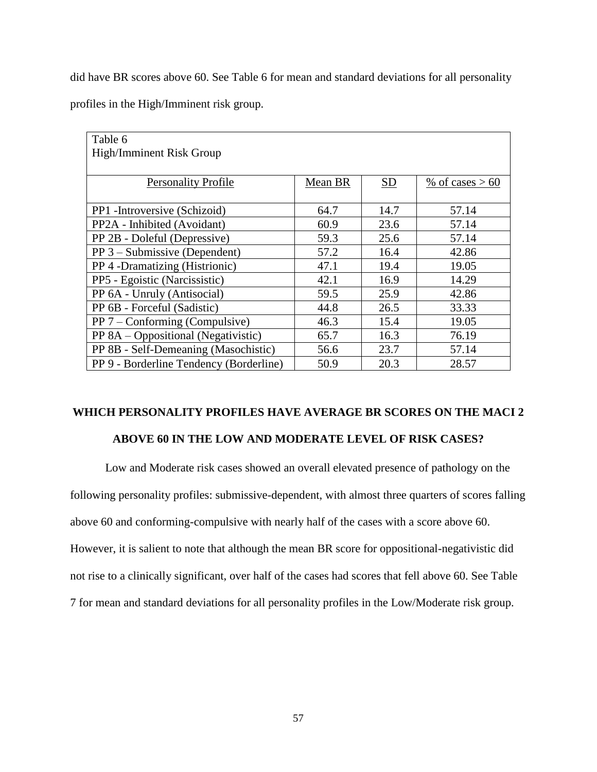did have BR scores above 60. See Table 6 for mean and standard deviations for all personality

profiles in the High/Imminent risk group.

| Table 6                                 |         |      |                  |  |  |  |  |  |  |
|-----------------------------------------|---------|------|------------------|--|--|--|--|--|--|
| High/Imminent Risk Group                |         |      |                  |  |  |  |  |  |  |
|                                         |         |      |                  |  |  |  |  |  |  |
| <b>Personality Profile</b>              | Mean BR | SD   | % of cases $>60$ |  |  |  |  |  |  |
|                                         |         |      |                  |  |  |  |  |  |  |
| PP1 - Introversive (Schizoid)           | 64.7    | 14.7 | 57.14            |  |  |  |  |  |  |
| PP2A - Inhibited (Avoidant)             | 60.9    | 23.6 | 57.14            |  |  |  |  |  |  |
| PP 2B - Doleful (Depressive)            | 59.3    | 25.6 | 57.14            |  |  |  |  |  |  |
| $PP 3 - Submissive (Dependent)$         | 57.2    | 16.4 | 42.86            |  |  |  |  |  |  |
| PP 4 -Dramatizing (Histrionic)          | 47.1    | 19.4 | 19.05            |  |  |  |  |  |  |
| PP5 - Egoistic (Narcissistic)           | 42.1    | 16.9 | 14.29            |  |  |  |  |  |  |
| PP 6A - Unruly (Antisocial)             | 59.5    | 25.9 | 42.86            |  |  |  |  |  |  |
| PP 6B - Forceful (Sadistic)             | 44.8    | 26.5 | 33.33            |  |  |  |  |  |  |
| PP $7$ – Conforming (Compulsive)        | 46.3    | 15.4 | 19.05            |  |  |  |  |  |  |
| PP 8A – Oppositional (Negativistic)     | 65.7    | 16.3 | 76.19            |  |  |  |  |  |  |
| PP 8B - Self-Demeaning (Masochistic)    | 56.6    | 23.7 | 57.14            |  |  |  |  |  |  |
| PP 9 - Borderline Tendency (Borderline) | 50.9    | 20.3 | 28.57            |  |  |  |  |  |  |

# **WHICH PERSONALITY PROFILES HAVE AVERAGE BR SCORES ON THE MACI 2**

# **ABOVE 60 IN THE LOW AND MODERATE LEVEL OF RISK CASES?**

Low and Moderate risk cases showed an overall elevated presence of pathology on the following personality profiles: submissive-dependent, with almost three quarters of scores falling above 60 and conforming-compulsive with nearly half of the cases with a score above 60. However, it is salient to note that although the mean BR score for oppositional-negativistic did not rise to a clinically significant, over half of the cases had scores that fell above 60. See Table 7 for mean and standard deviations for all personality profiles in the Low/Moderate risk group.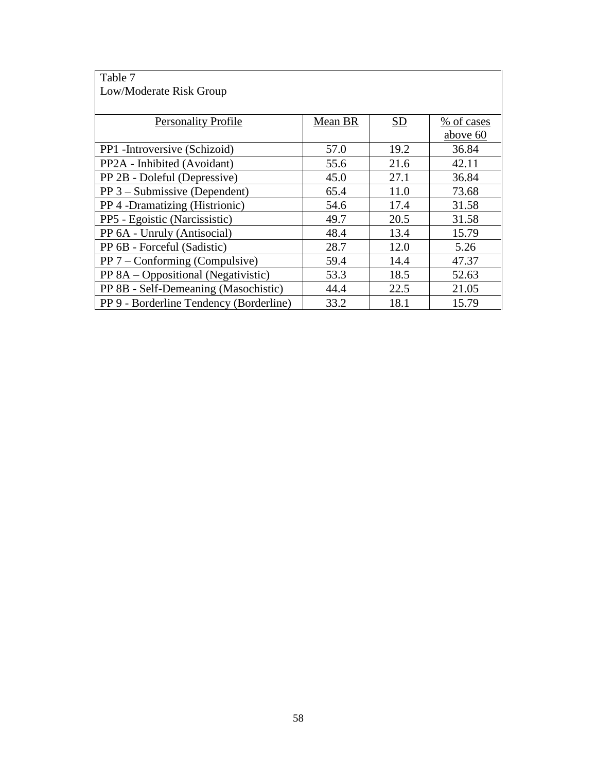| Table 7                                 |         |      |            |
|-----------------------------------------|---------|------|------------|
| Low/Moderate Risk Group                 |         |      |            |
|                                         |         |      |            |
| <b>Personality Profile</b>              | Mean BR | SD   | % of cases |
|                                         |         |      | above 60   |
| PP1 - Introversive (Schizoid)           | 57.0    | 19.2 | 36.84      |
| PP2A - Inhibited (Avoidant)             | 55.6    | 21.6 | 42.11      |
| PP 2B - Doleful (Depressive)            | 45.0    | 27.1 | 36.84      |
| $PP 3 - Submissive (Dependent)$         | 65.4    | 11.0 | 73.68      |
| PP 4 -Dramatizing (Histrionic)          | 54.6    | 17.4 | 31.58      |
| PP5 - Egoistic (Narcissistic)           | 49.7    | 20.5 | 31.58      |
| PP 6A - Unruly (Antisocial)             | 48.4    | 13.4 | 15.79      |
| PP 6B - Forceful (Sadistic)             | 28.7    | 12.0 | 5.26       |
| $PP 7 - Conforming (Compulsive)$        | 59.4    | 14.4 | 47.37      |
| PP 8A – Oppositional (Negativistic)     | 53.3    | 18.5 | 52.63      |
| PP 8B - Self-Demeaning (Masochistic)    | 44.4    | 22.5 | 21.05      |
| PP 9 - Borderline Tendency (Borderline) | 33.2    | 18.1 | 15.79      |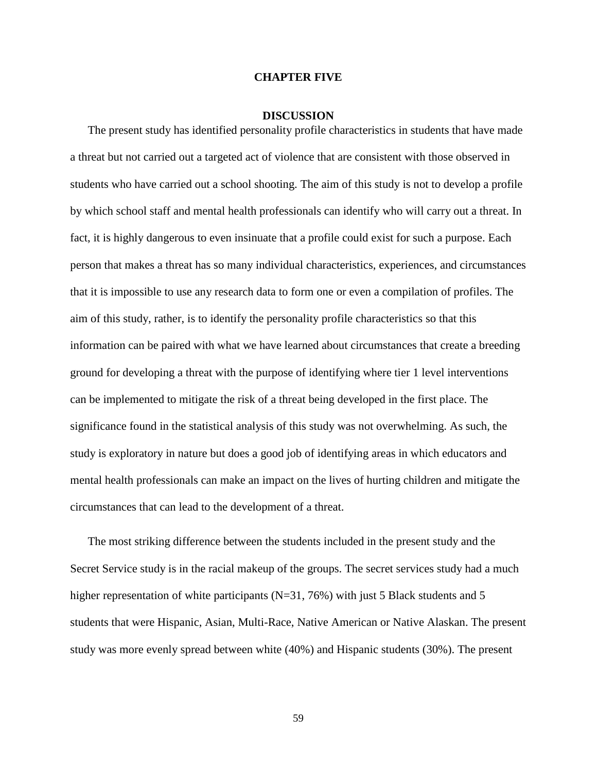#### **CHAPTER FIVE**

#### **DISCUSSION**

The present study has identified personality profile characteristics in students that have made a threat but not carried out a targeted act of violence that are consistent with those observed in students who have carried out a school shooting. The aim of this study is not to develop a profile by which school staff and mental health professionals can identify who will carry out a threat. In fact, it is highly dangerous to even insinuate that a profile could exist for such a purpose. Each person that makes a threat has so many individual characteristics, experiences, and circumstances that it is impossible to use any research data to form one or even a compilation of profiles. The aim of this study, rather, is to identify the personality profile characteristics so that this information can be paired with what we have learned about circumstances that create a breeding ground for developing a threat with the purpose of identifying where tier 1 level interventions can be implemented to mitigate the risk of a threat being developed in the first place. The significance found in the statistical analysis of this study was not overwhelming. As such, the study is exploratory in nature but does a good job of identifying areas in which educators and mental health professionals can make an impact on the lives of hurting children and mitigate the circumstances that can lead to the development of a threat.

The most striking difference between the students included in the present study and the Secret Service study is in the racial makeup of the groups. The secret services study had a much higher representation of white participants (N=31, 76%) with just 5 Black students and 5 students that were Hispanic, Asian, Multi-Race, Native American or Native Alaskan. The present study was more evenly spread between white (40%) and Hispanic students (30%). The present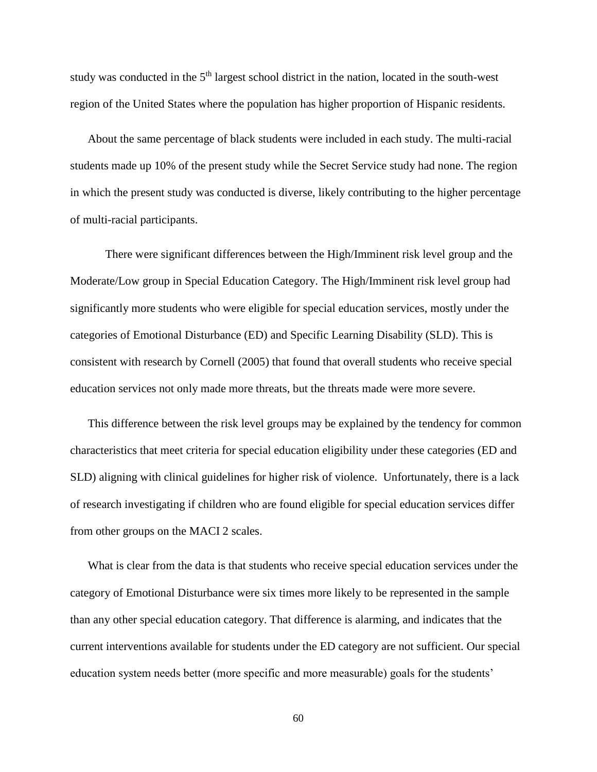study was conducted in the 5<sup>th</sup> largest school district in the nation, located in the south-west region of the United States where the population has higher proportion of Hispanic residents.

About the same percentage of black students were included in each study. The multi-racial students made up 10% of the present study while the Secret Service study had none. The region in which the present study was conducted is diverse, likely contributing to the higher percentage of multi-racial participants.

There were significant differences between the High/Imminent risk level group and the Moderate/Low group in Special Education Category. The High/Imminent risk level group had significantly more students who were eligible for special education services, mostly under the categories of Emotional Disturbance (ED) and Specific Learning Disability (SLD). This is consistent with research by Cornell (2005) that found that overall students who receive special education services not only made more threats, but the threats made were more severe.

This difference between the risk level groups may be explained by the tendency for common characteristics that meet criteria for special education eligibility under these categories (ED and SLD) aligning with clinical guidelines for higher risk of violence. Unfortunately, there is a lack of research investigating if children who are found eligible for special education services differ from other groups on the MACI 2 scales.

What is clear from the data is that students who receive special education services under the category of Emotional Disturbance were six times more likely to be represented in the sample than any other special education category. That difference is alarming, and indicates that the current interventions available for students under the ED category are not sufficient. Our special education system needs better (more specific and more measurable) goals for the students'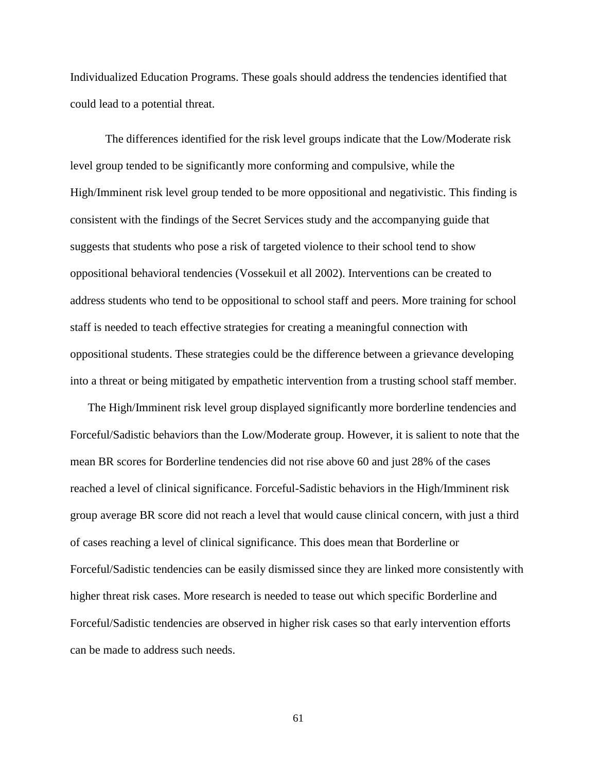Individualized Education Programs. These goals should address the tendencies identified that could lead to a potential threat.

The differences identified for the risk level groups indicate that the Low/Moderate risk level group tended to be significantly more conforming and compulsive, while the High/Imminent risk level group tended to be more oppositional and negativistic. This finding is consistent with the findings of the Secret Services study and the accompanying guide that suggests that students who pose a risk of targeted violence to their school tend to show oppositional behavioral tendencies (Vossekuil et all 2002). Interventions can be created to address students who tend to be oppositional to school staff and peers. More training for school staff is needed to teach effective strategies for creating a meaningful connection with oppositional students. These strategies could be the difference between a grievance developing into a threat or being mitigated by empathetic intervention from a trusting school staff member.

The High/Imminent risk level group displayed significantly more borderline tendencies and Forceful/Sadistic behaviors than the Low/Moderate group. However, it is salient to note that the mean BR scores for Borderline tendencies did not rise above 60 and just 28% of the cases reached a level of clinical significance. Forceful-Sadistic behaviors in the High/Imminent risk group average BR score did not reach a level that would cause clinical concern, with just a third of cases reaching a level of clinical significance. This does mean that Borderline or Forceful/Sadistic tendencies can be easily dismissed since they are linked more consistently with higher threat risk cases. More research is needed to tease out which specific Borderline and Forceful/Sadistic tendencies are observed in higher risk cases so that early intervention efforts can be made to address such needs.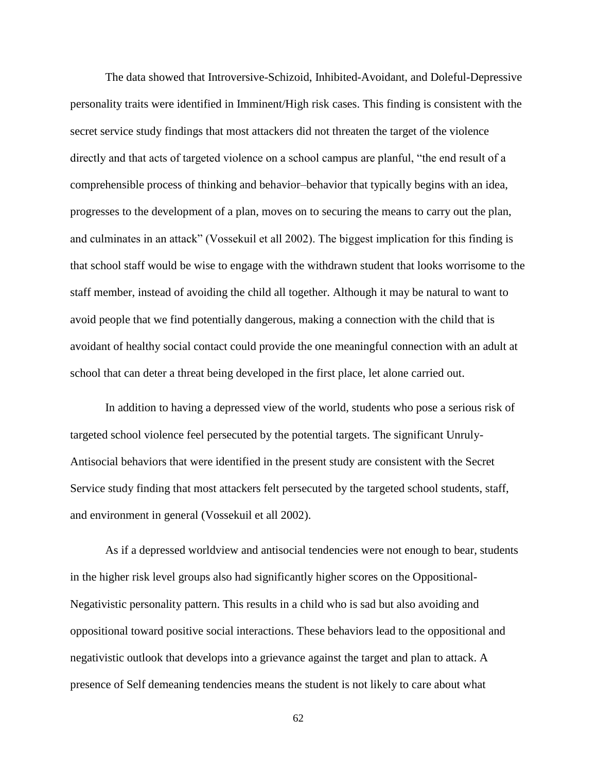The data showed that Introversive-Schizoid, Inhibited-Avoidant, and Doleful-Depressive personality traits were identified in Imminent/High risk cases. This finding is consistent with the secret service study findings that most attackers did not threaten the target of the violence directly and that acts of targeted violence on a school campus are planful, "the end result of a comprehensible process of thinking and behavior–behavior that typically begins with an idea, progresses to the development of a plan, moves on to securing the means to carry out the plan, and culminates in an attack" (Vossekuil et all 2002). The biggest implication for this finding is that school staff would be wise to engage with the withdrawn student that looks worrisome to the staff member, instead of avoiding the child all together. Although it may be natural to want to avoid people that we find potentially dangerous, making a connection with the child that is avoidant of healthy social contact could provide the one meaningful connection with an adult at school that can deter a threat being developed in the first place, let alone carried out.

In addition to having a depressed view of the world, students who pose a serious risk of targeted school violence feel persecuted by the potential targets. The significant Unruly-Antisocial behaviors that were identified in the present study are consistent with the Secret Service study finding that most attackers felt persecuted by the targeted school students, staff, and environment in general (Vossekuil et all 2002).

As if a depressed worldview and antisocial tendencies were not enough to bear, students in the higher risk level groups also had significantly higher scores on the Oppositional-Negativistic personality pattern. This results in a child who is sad but also avoiding and oppositional toward positive social interactions. These behaviors lead to the oppositional and negativistic outlook that develops into a grievance against the target and plan to attack. A presence of Self demeaning tendencies means the student is not likely to care about what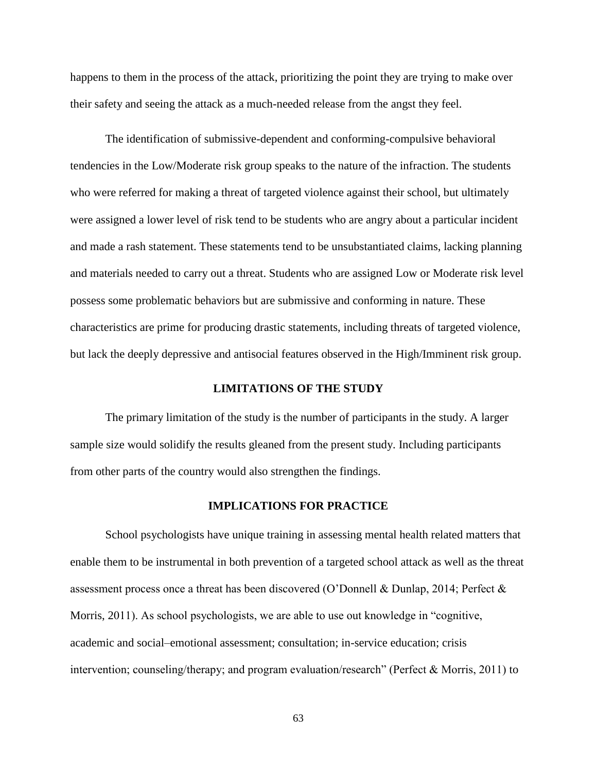happens to them in the process of the attack, prioritizing the point they are trying to make over their safety and seeing the attack as a much-needed release from the angst they feel.

The identification of submissive-dependent and conforming-compulsive behavioral tendencies in the Low/Moderate risk group speaks to the nature of the infraction. The students who were referred for making a threat of targeted violence against their school, but ultimately were assigned a lower level of risk tend to be students who are angry about a particular incident and made a rash statement. These statements tend to be unsubstantiated claims, lacking planning and materials needed to carry out a threat. Students who are assigned Low or Moderate risk level possess some problematic behaviors but are submissive and conforming in nature. These characteristics are prime for producing drastic statements, including threats of targeted violence, but lack the deeply depressive and antisocial features observed in the High/Imminent risk group.

### **LIMITATIONS OF THE STUDY**

The primary limitation of the study is the number of participants in the study. A larger sample size would solidify the results gleaned from the present study. Including participants from other parts of the country would also strengthen the findings.

### **IMPLICATIONS FOR PRACTICE**

School psychologists have unique training in assessing mental health related matters that enable them to be instrumental in both prevention of a targeted school attack as well as the threat assessment process once a threat has been discovered (O'Donnell & Dunlap, 2014; Perfect & Morris, 2011). As school psychologists, we are able to use out knowledge in "cognitive, academic and social–emotional assessment; consultation; in-service education; crisis intervention; counseling/therapy; and program evaluation/research" (Perfect & Morris, 2011) to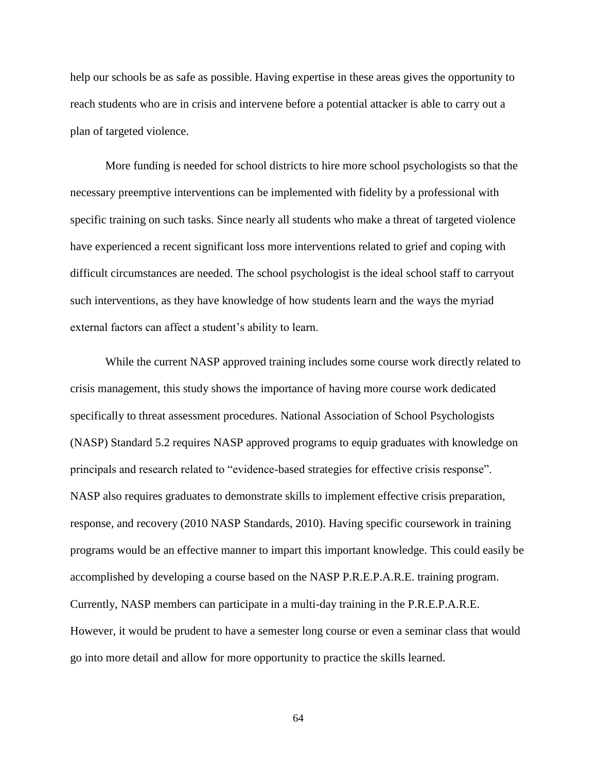help our schools be as safe as possible. Having expertise in these areas gives the opportunity to reach students who are in crisis and intervene before a potential attacker is able to carry out a plan of targeted violence.

More funding is needed for school districts to hire more school psychologists so that the necessary preemptive interventions can be implemented with fidelity by a professional with specific training on such tasks. Since nearly all students who make a threat of targeted violence have experienced a recent significant loss more interventions related to grief and coping with difficult circumstances are needed. The school psychologist is the ideal school staff to carryout such interventions, as they have knowledge of how students learn and the ways the myriad external factors can affect a student's ability to learn.

While the current NASP approved training includes some course work directly related to crisis management, this study shows the importance of having more course work dedicated specifically to threat assessment procedures. National Association of School Psychologists (NASP) Standard 5.2 requires NASP approved programs to equip graduates with knowledge on principals and research related to "evidence-based strategies for effective crisis response". NASP also requires graduates to demonstrate skills to implement effective crisis preparation, response, and recovery (2010 NASP Standards, 2010). Having specific coursework in training programs would be an effective manner to impart this important knowledge. This could easily be accomplished by developing a course based on the NASP P.R.E.P.A.R.E. training program. Currently, NASP members can participate in a multi-day training in the P.R.E.P.A.R.E. However, it would be prudent to have a semester long course or even a seminar class that would go into more detail and allow for more opportunity to practice the skills learned.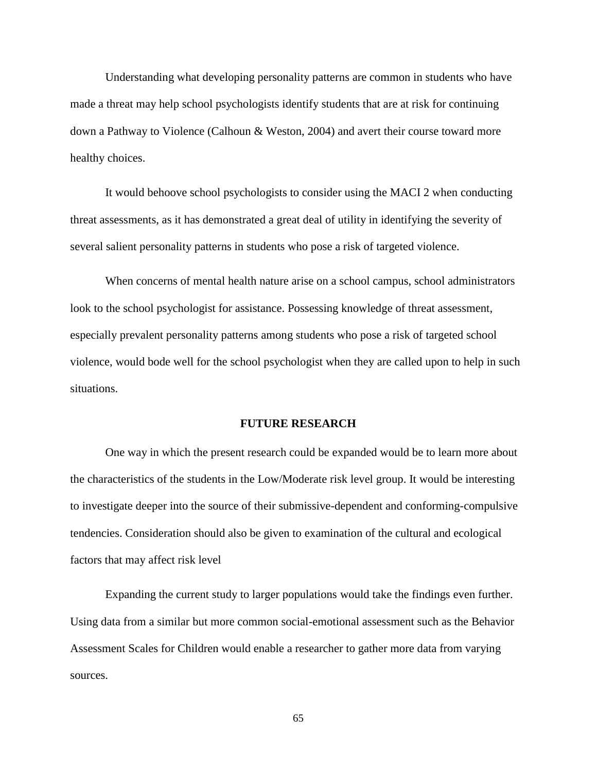Understanding what developing personality patterns are common in students who have made a threat may help school psychologists identify students that are at risk for continuing down a Pathway to Violence (Calhoun & Weston, 2004) and avert their course toward more healthy choices.

It would behoove school psychologists to consider using the MACI 2 when conducting threat assessments, as it has demonstrated a great deal of utility in identifying the severity of several salient personality patterns in students who pose a risk of targeted violence.

When concerns of mental health nature arise on a school campus, school administrators look to the school psychologist for assistance. Possessing knowledge of threat assessment, especially prevalent personality patterns among students who pose a risk of targeted school violence, would bode well for the school psychologist when they are called upon to help in such situations.

### **FUTURE RESEARCH**

One way in which the present research could be expanded would be to learn more about the characteristics of the students in the Low/Moderate risk level group. It would be interesting to investigate deeper into the source of their submissive-dependent and conforming-compulsive tendencies. Consideration should also be given to examination of the cultural and ecological factors that may affect risk level

Expanding the current study to larger populations would take the findings even further. Using data from a similar but more common social-emotional assessment such as the Behavior Assessment Scales for Children would enable a researcher to gather more data from varying sources.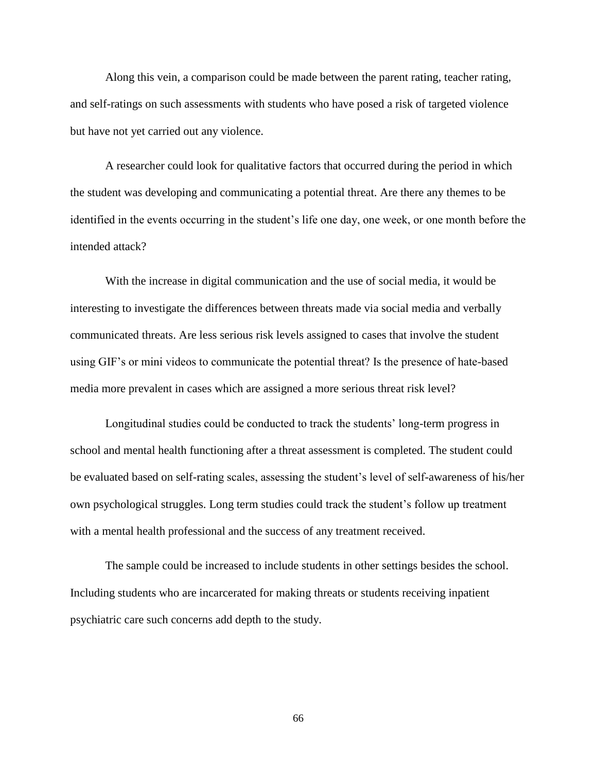Along this vein, a comparison could be made between the parent rating, teacher rating, and self-ratings on such assessments with students who have posed a risk of targeted violence but have not yet carried out any violence.

A researcher could look for qualitative factors that occurred during the period in which the student was developing and communicating a potential threat. Are there any themes to be identified in the events occurring in the student's life one day, one week, or one month before the intended attack?

With the increase in digital communication and the use of social media, it would be interesting to investigate the differences between threats made via social media and verbally communicated threats. Are less serious risk levels assigned to cases that involve the student using GIF's or mini videos to communicate the potential threat? Is the presence of hate-based media more prevalent in cases which are assigned a more serious threat risk level?

Longitudinal studies could be conducted to track the students' long-term progress in school and mental health functioning after a threat assessment is completed. The student could be evaluated based on self-rating scales, assessing the student's level of self-awareness of his/her own psychological struggles. Long term studies could track the student's follow up treatment with a mental health professional and the success of any treatment received.

The sample could be increased to include students in other settings besides the school. Including students who are incarcerated for making threats or students receiving inpatient psychiatric care such concerns add depth to the study.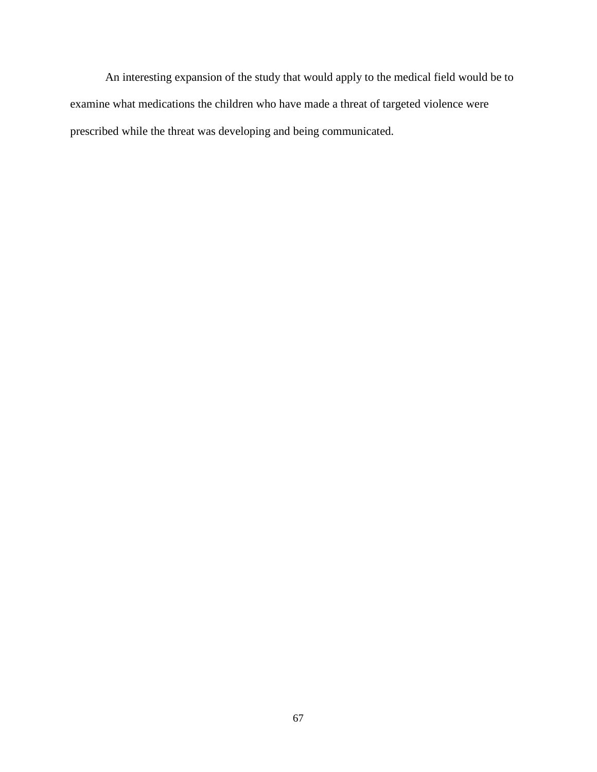An interesting expansion of the study that would apply to the medical field would be to examine what medications the children who have made a threat of targeted violence were prescribed while the threat was developing and being communicated.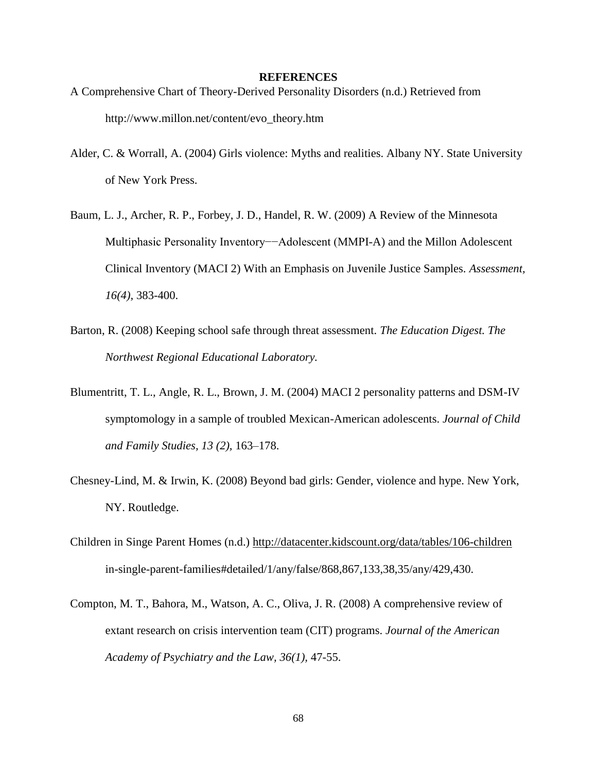#### **REFERENCES**

- A Comprehensive Chart of Theory-Derived Personality Disorders (n.d.) Retrieved from http://www.millon.net/content/evo\_theory.htm
- Alder, C. & Worrall, A. (2004) Girls violence: Myths and realities. Albany NY. State University of New York Press.
- Baum, L. J., Archer, R. P., Forbey, J. D., Handel, R. W. (2009) A Review of the Minnesota Multiphasic Personality Inventory−−Adolescent (MMPI-A) and the Millon Adolescent Clinical Inventory (MACI 2) With an Emphasis on Juvenile Justice Samples. *Assessment, 16(4),* 383-400.
- Barton, R. (2008) Keeping school safe through threat assessment. *The Education Digest. The Northwest Regional Educational Laboratory.*
- Blumentritt, T. L., Angle, R. L., Brown, J. M. (2004) MACI 2 personality patterns and DSM-IV symptomology in a sample of troubled Mexican-American adolescents. *Journal of Child and Family Studies, 13 (2),* 163–178.
- Chesney-Lind, M. & Irwin, K. (2008) Beyond bad girls: Gender, violence and hype. New York, NY. Routledge.
- Children in Singe Parent Homes (n.d.) http://datacenter.kidscount.org/data/tables/106-children in-single-parent-families#detailed/1/any/false/868,867,133,38,35/any/429,430.
- Compton, M. T., Bahora, M., Watson, A. C., Oliva, J. R. (2008) A comprehensive review of extant research on crisis intervention team (CIT) programs. *Journal of the American Academy of Psychiatry and the Law, 36(1),* 47-55.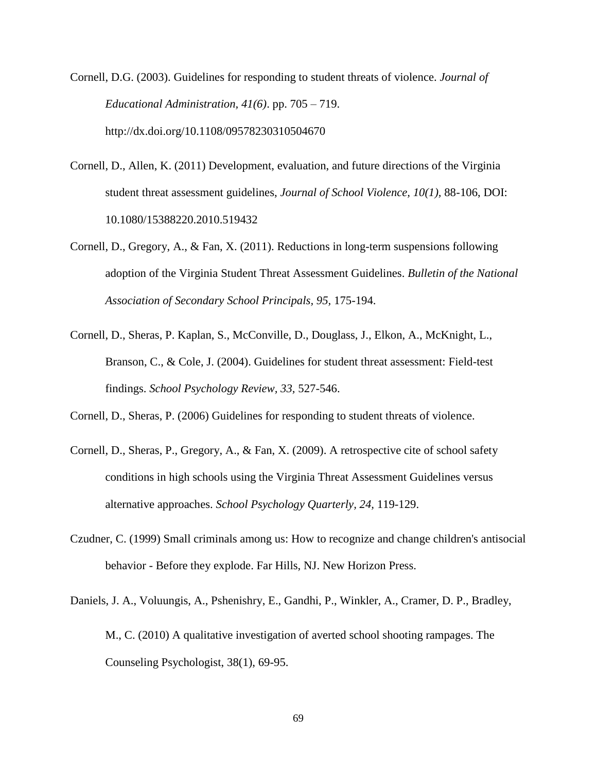Cornell, D.G. (2003). Guidelines for responding to student threats of violence. *Journal of Educational Administration, 41(6)*. pp. 705 – 719. http://dx.doi.org/10.1108/09578230310504670

- Cornell, D., Allen, K. (2011) Development, evaluation, and future directions of the Virginia student threat assessment guidelines, *Journal of School Violence, 10(1),* 88-106, DOI: 10.1080/15388220.2010.519432
- Cornell, D., Gregory, A., & Fan, X. (2011). Reductions in long-term suspensions following adoption of the Virginia Student Threat Assessment Guidelines. *Bulletin of the National Association of Secondary School Principals, 95,* 175-194.
- Cornell, D., Sheras, P. Kaplan, S., McConville, D., Douglass, J., Elkon, A., McKnight, L., Branson, C., & Cole, J. (2004). Guidelines for student threat assessment: Field-test findings. *School Psychology Review, 33,* 527-546.
- Cornell, D., Sheras, P. (2006) Guidelines for responding to student threats of violence.
- Cornell, D., Sheras, P., Gregory, A., & Fan, X. (2009). A retrospective cite of school safety conditions in high schools using the Virginia Threat Assessment Guidelines versus alternative approaches. *School Psychology Quarterly, 24,* 119-129.
- Czudner, C. (1999) Small criminals among us: How to recognize and change children's antisocial behavior - Before they explode. Far Hills, NJ. New Horizon Press.
- Daniels, J. A., Voluungis, A., Pshenishry, E., Gandhi, P., Winkler, A., Cramer, D. P., Bradley, M., C. (2010) A qualitative investigation of averted school shooting rampages. The Counseling Psychologist, 38(1), 69-95.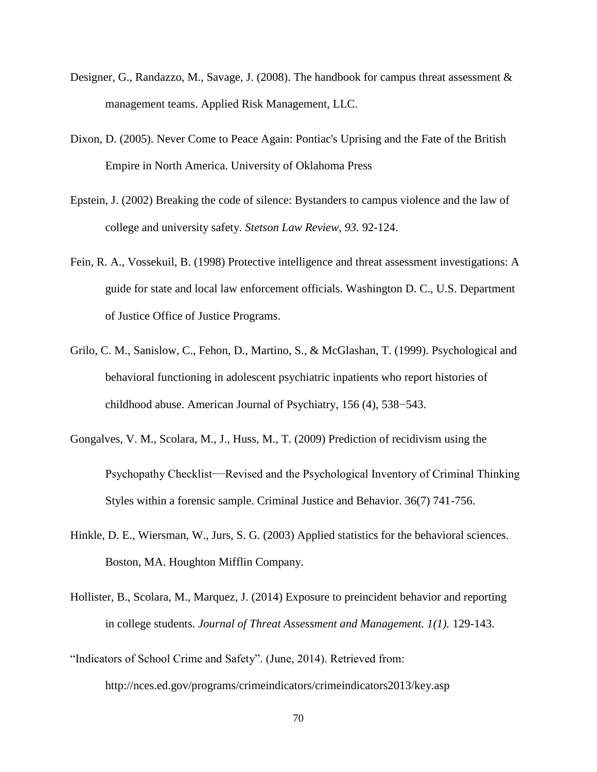- Designer, G., Randazzo, M., Savage, J. (2008). The handbook for campus threat assessment & management teams. Applied Risk Management, LLC.
- Dixon, D. (2005). Never Come to Peace Again: Pontiac's Uprising and the Fate of the British Empire in North America. University of Oklahoma Press
- Epstein, J. (2002) Breaking the code of silence: Bystanders to campus violence and the law of college and university safety. *Stetson Law Review, 93.* 92-124.
- Fein, R. A., Vossekuil, B. (1998) Protective intelligence and threat assessment investigations: A guide for state and local law enforcement officials. Washington D. C., U.S. Department of Justice Office of Justice Programs.
- Grilo, C. M., Sanislow, C., Fehon, D., Martino, S., & McGlashan, T. (1999). Psychological and behavioral functioning in adolescent psychiatric inpatients who report histories of childhood abuse. American Journal of Psychiatry, 156 (4), 538−543.
- Gongalves, V. M., Scolara, M., J., Huss, M., T. (2009) Prediction of recidivism using the Psychopathy Checklist−−Revised and the Psychological Inventory of Criminal Thinking Styles within a forensic sample. Criminal Justice and Behavior. 36(7) 741-756.
- Hinkle, D. E., Wiersman, W., Jurs, S. G. (2003) Applied statistics for the behavioral sciences. Boston, MA. Houghton Mifflin Company.
- Hollister, B., Scolara, M., Marquez, J. (2014) Exposure to preincident behavior and reporting in college students. *Journal of Threat Assessment and Management. 1(1).* 129-143.
- "Indicators of School Crime and Safety". (June, 2014). Retrieved from: http://nces.ed.gov/programs/crimeindicators/crimeindicators2013/key.asp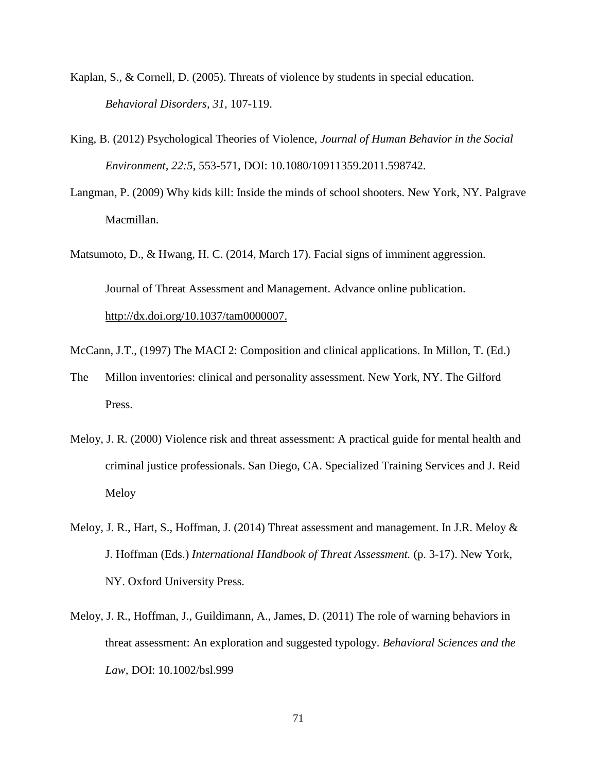- Kaplan, S., & Cornell, D. (2005). Threats of violence by students in special education. *Behavioral Disorders, 31,* 107-119.
- King, B. (2012) Psychological Theories of Violence, *Journal of Human Behavior in the Social Environment, 22:5*, 553-571, DOI: 10.1080/10911359.2011.598742.
- Langman, P. (2009) Why kids kill: Inside the minds of school shooters. New York, NY. Palgrave Macmillan.
- Matsumoto, D., & Hwang, H. C. (2014, March 17). Facial signs of imminent aggression. Journal of Threat Assessment and Management. Advance online publication. http://dx.doi.org/10.1037/tam0000007.
- McCann, J.T., (1997) The MACI 2: Composition and clinical applications. In Millon, T. (Ed.)
- The Millon inventories: clinical and personality assessment. New York, NY. The Gilford Press.
- Meloy, J. R. (2000) Violence risk and threat assessment: A practical guide for mental health and criminal justice professionals. San Diego, CA. Specialized Training Services and J. Reid Meloy
- Meloy, J. R., Hart, S., Hoffman, J. (2014) Threat assessment and management. In J.R. Meloy & J. Hoffman (Eds.) *International Handbook of Threat Assessment.* (p. 3-17). New York, NY. Oxford University Press.
- Meloy, J. R., Hoffman, J., Guildimann, A., James, D. (2011) The role of warning behaviors in threat assessment: An exploration and suggested typology. *Behavioral Sciences and the Law,* DOI: 10.1002/bsl.999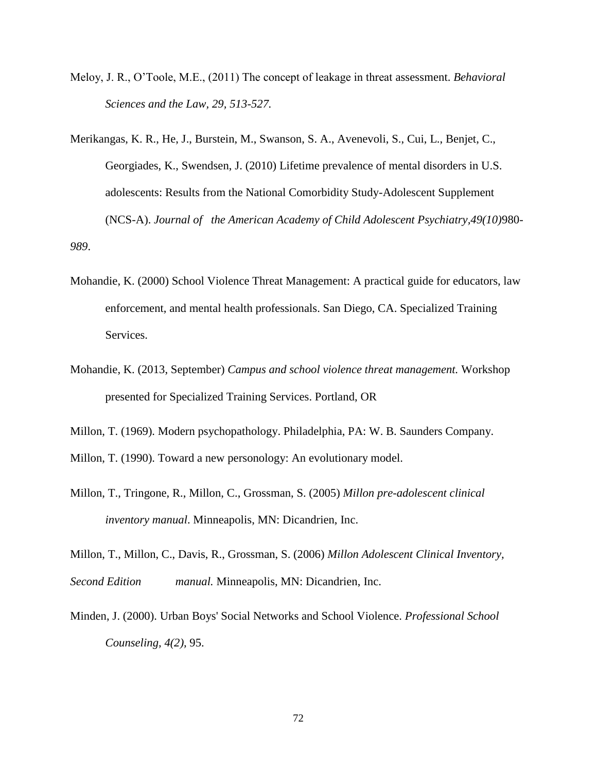- Meloy, J. R., O'Toole, M.E., (2011) The concept of leakage in threat assessment. *Behavioral Sciences and the Law, 29, 513-527.*
- Merikangas, K. R., He, J., Burstein, M., Swanson, S. A., Avenevoli, S., Cui, L., Benjet, C., Georgiades, K., Swendsen, J. (2010) Lifetime prevalence of mental disorders in U.S. adolescents: Results from the National Comorbidity Study-Adolescent Supplement (NCS-A). *Journal of the American Academy of Child Adolescent Psychiatry,49(10)*980- *989*.
- Mohandie, K. (2000) School Violence Threat Management: A practical guide for educators, law enforcement, and mental health professionals. San Diego, CA. Specialized Training Services.
- Mohandie, K. (2013, September) *Campus and school violence threat management.* Workshop presented for Specialized Training Services. Portland, OR
- Millon, T. (1969). Modern psychopathology. Philadelphia, PA: W. B. Saunders Company.

Millon, T. (1990). Toward a new personology: An evolutionary model.

Millon, T., Tringone, R., Millon, C., Grossman, S. (2005) *Millon pre-adolescent clinical inventory manual*. Minneapolis, MN: Dicandrien, Inc.

Millon, T., Millon, C., Davis, R., Grossman, S. (2006) *Millon Adolescent Clinical Inventory, Second Edition manual.* Minneapolis, MN: Dicandrien, Inc.

Minden, J. (2000). Urban Boys' Social Networks and School Violence. *Professional School Counseling, 4(2),* 95.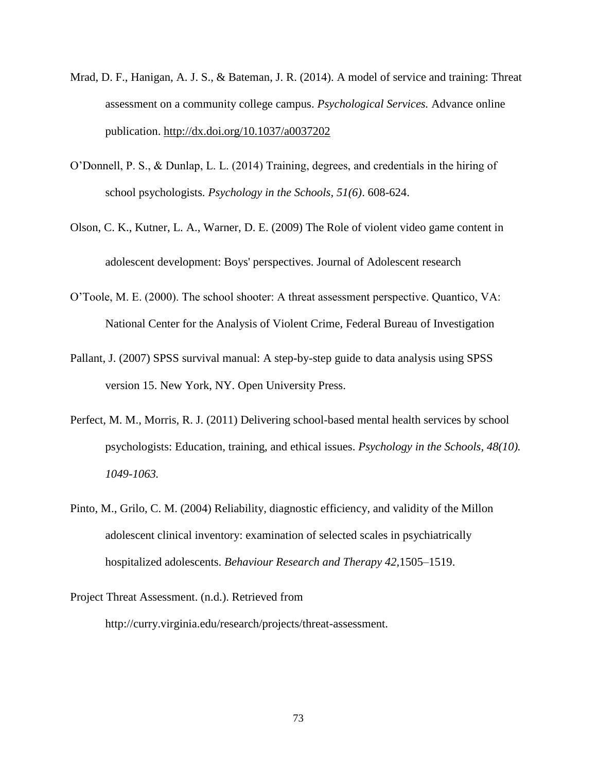- Mrad, D. F., Hanigan, A. J. S., & Bateman, J. R. (2014). A model of service and training: Threat assessment on a community college campus. *Psychological Services.* Advance online publication. http://dx.doi.org/10.1037/a0037202
- O'Donnell, P. S., & Dunlap, L. L. (2014) Training, degrees, and credentials in the hiring of school psychologists*. Psychology in the Schools, 51(6)*. 608-624.
- Olson, C. K., Kutner, L. A., Warner, D. E. (2009) The Role of violent video game content in adolescent development: Boys' perspectives. Journal of Adolescent research
- O'Toole, M. E. (2000). The school shooter: A threat assessment perspective. Quantico, VA: National Center for the Analysis of Violent Crime, Federal Bureau of Investigation
- Pallant, J. (2007) SPSS survival manual: A step-by-step guide to data analysis using SPSS version 15. New York, NY. Open University Press.
- Perfect, M. M., Morris, R. J. (2011) Delivering school-based mental health services by school psychologists: Education, training, and ethical issues. *Psychology in the Schools, 48(10). 1049-1063.*
- Pinto, M., Grilo, C. M. (2004) Reliability, diagnostic efficiency, and validity of the Millon adolescent clinical inventory: examination of selected scales in psychiatrically hospitalized adolescents. *Behaviour Research and Therapy 42,*1505–1519.
- Project Threat Assessment. (n.d.). Retrieved from http://curry.virginia.edu/research/projects/threat-assessment.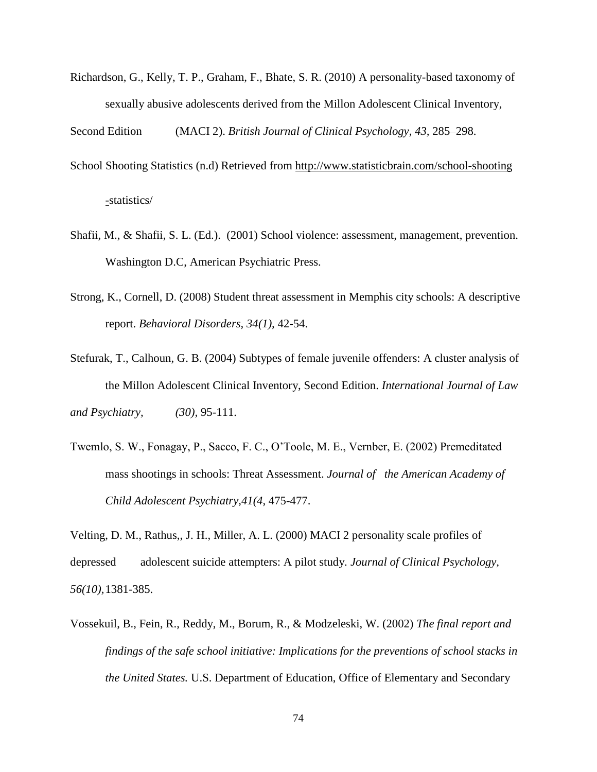Richardson, G., Kelly, T. P., Graham, F., Bhate, S. R. (2010) A personality-based taxonomy of sexually abusive adolescents derived from the Millon Adolescent Clinical Inventory,

Second Edition (MACI 2). *British Journal of Clinical Psychology, 43,* 285–298.

- School Shooting Statistics (n.d) Retrieved from http://www.statisticbrain.com/school-shooting -statistics/
- Shafii, M., & Shafii, S. L. (Ed.). (2001) School violence: assessment, management, prevention. Washington D.C, American Psychiatric Press.
- Strong, K., Cornell, D. (2008) Student threat assessment in Memphis city schools: A descriptive report. *Behavioral Disorders, 34(1),* 42-54.
- Stefurak, T., Calhoun, G. B. (2004) Subtypes of female juvenile offenders: A cluster analysis of the Millon Adolescent Clinical Inventory, Second Edition. *International Journal of Law and Psychiatry, (30),* 95-111.
- Twemlo, S. W., Fonagay, P., Sacco, F. C., O'Toole, M. E., Vernber, E. (2002) Premeditated mass shootings in schools: Threat Assessment. *Journal of the American Academy of Child Adolescent Psychiatry,41(4*, 475-477.

Velting, D. M., Rathus,, J. H., Miller, A. L. (2000) MACI 2 personality scale profiles of depressed adolescent suicide attempters: A pilot study. *Journal of Clinical Psychology, 56(10),*1381-385.

Vossekuil, B., Fein, R., Reddy, M., Borum, R., & Modzeleski, W. (2002) *The final report and findings of the safe school initiative: Implications for the preventions of school stacks in the United States.* U.S. Department of Education, Office of Elementary and Secondary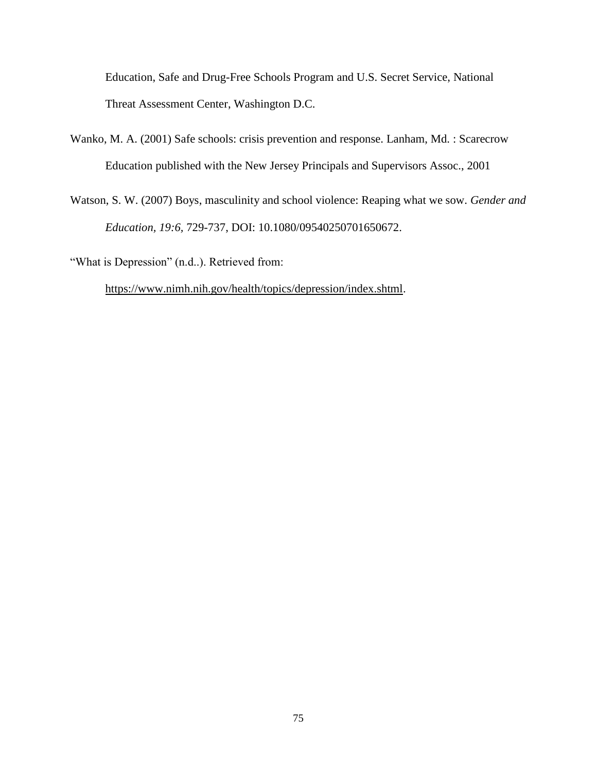Education, Safe and Drug-Free Schools Program and U.S. Secret Service, National Threat Assessment Center, Washington D.C.

- Wanko, M. A. (2001) Safe schools: crisis prevention and response. Lanham, Md. : Scarecrow Education published with the New Jersey Principals and Supervisors Assoc., 2001
- Watson, S. W. (2007) Boys, masculinity and school violence: Reaping what we sow. *Gender and Education, 19:6,* 729-737, DOI: 10.1080/09540250701650672.

"What is Depression" (n.d..). Retrieved from:

https://www.nimh.nih.gov/health/topics/depression/index.shtml.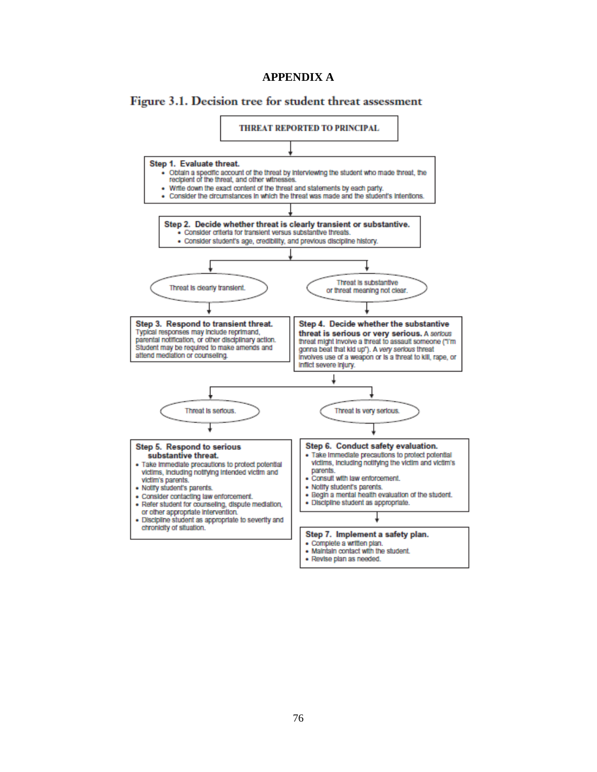## **APPENDIX A**





· Revise plan as needed.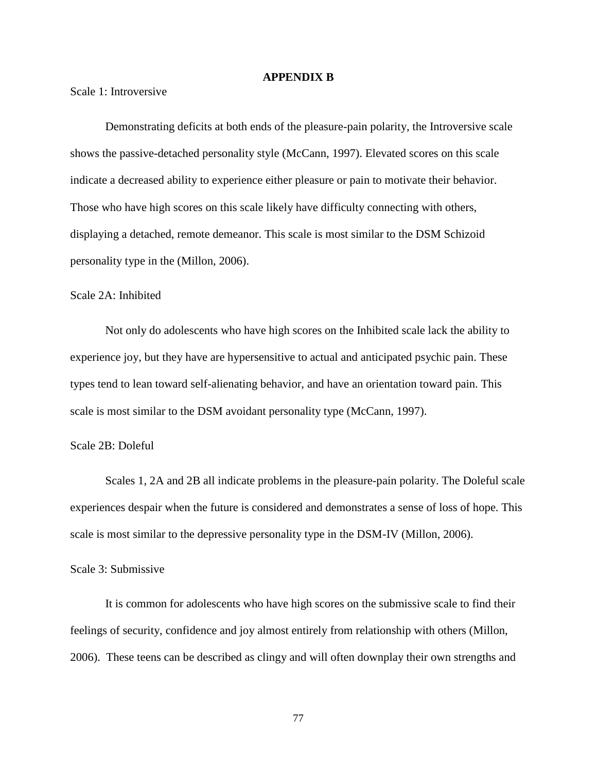### **APPENDIX B**

Scale 1: Introversive

Demonstrating deficits at both ends of the pleasure-pain polarity, the Introversive scale shows the passive-detached personality style (McCann, 1997). Elevated scores on this scale indicate a decreased ability to experience either pleasure or pain to motivate their behavior. Those who have high scores on this scale likely have difficulty connecting with others, displaying a detached, remote demeanor. This scale is most similar to the DSM Schizoid personality type in the (Millon, 2006).

### Scale 2A: Inhibited

Not only do adolescents who have high scores on the Inhibited scale lack the ability to experience joy, but they have are hypersensitive to actual and anticipated psychic pain. These types tend to lean toward self-alienating behavior, and have an orientation toward pain. This scale is most similar to the DSM avoidant personality type (McCann, 1997).

### Scale 2B: Doleful

Scales 1, 2A and 2B all indicate problems in the pleasure-pain polarity. The Doleful scale experiences despair when the future is considered and demonstrates a sense of loss of hope. This scale is most similar to the depressive personality type in the DSM-IV (Millon, 2006).

### Scale 3: Submissive

It is common for adolescents who have high scores on the submissive scale to find their feelings of security, confidence and joy almost entirely from relationship with others (Millon, 2006). These teens can be described as clingy and will often downplay their own strengths and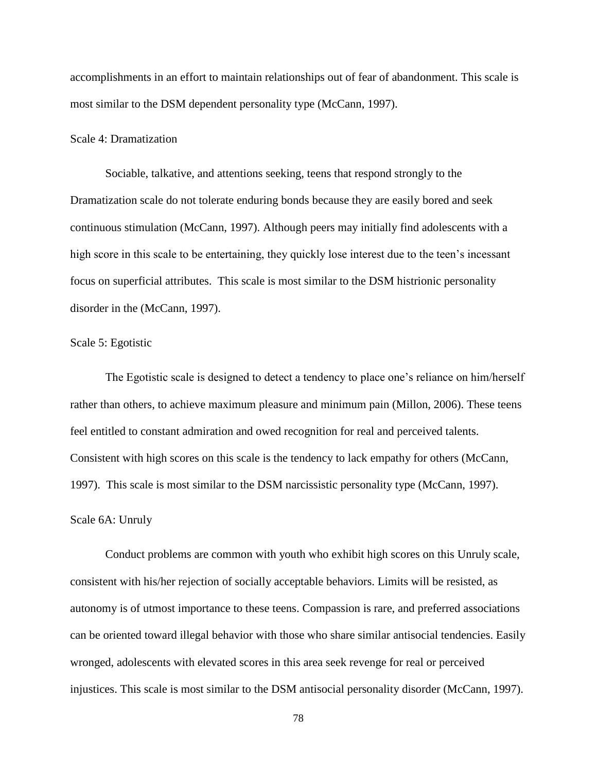accomplishments in an effort to maintain relationships out of fear of abandonment. This scale is most similar to the DSM dependent personality type (McCann, 1997).

### Scale 4: Dramatization

Sociable, talkative, and attentions seeking, teens that respond strongly to the Dramatization scale do not tolerate enduring bonds because they are easily bored and seek continuous stimulation (McCann, 1997). Although peers may initially find adolescents with a high score in this scale to be entertaining, they quickly lose interest due to the teen's incessant focus on superficial attributes. This scale is most similar to the DSM histrionic personality disorder in the (McCann, 1997).

### Scale 5: Egotistic

The Egotistic scale is designed to detect a tendency to place one's reliance on him/herself rather than others, to achieve maximum pleasure and minimum pain (Millon, 2006). These teens feel entitled to constant admiration and owed recognition for real and perceived talents. Consistent with high scores on this scale is the tendency to lack empathy for others (McCann, 1997). This scale is most similar to the DSM narcissistic personality type (McCann, 1997).

### Scale 6A: Unruly

Conduct problems are common with youth who exhibit high scores on this Unruly scale, consistent with his/her rejection of socially acceptable behaviors. Limits will be resisted, as autonomy is of utmost importance to these teens. Compassion is rare, and preferred associations can be oriented toward illegal behavior with those who share similar antisocial tendencies. Easily wronged, adolescents with elevated scores in this area seek revenge for real or perceived injustices. This scale is most similar to the DSM antisocial personality disorder (McCann, 1997).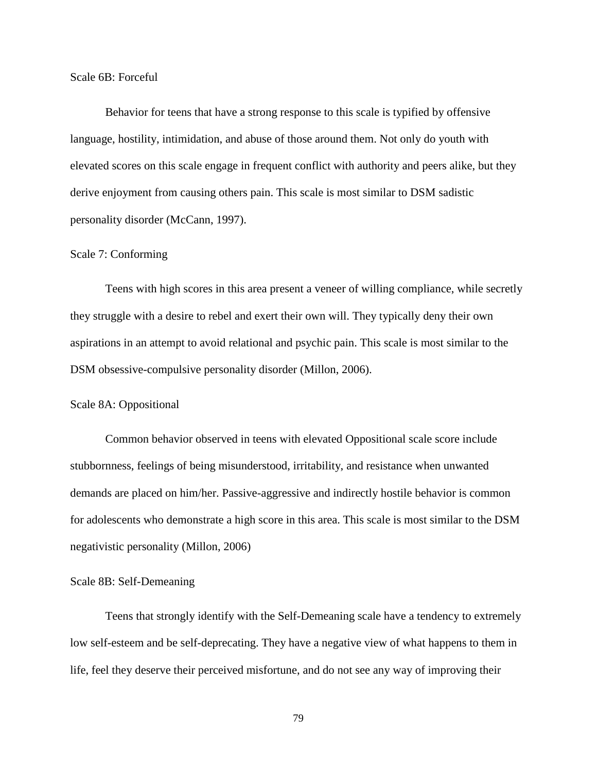Scale 6B: Forceful

Behavior for teens that have a strong response to this scale is typified by offensive language, hostility, intimidation, and abuse of those around them. Not only do youth with elevated scores on this scale engage in frequent conflict with authority and peers alike, but they derive enjoyment from causing others pain. This scale is most similar to DSM sadistic personality disorder (McCann, 1997).

### Scale 7: Conforming

Teens with high scores in this area present a veneer of willing compliance, while secretly they struggle with a desire to rebel and exert their own will. They typically deny their own aspirations in an attempt to avoid relational and psychic pain. This scale is most similar to the DSM obsessive-compulsive personality disorder (Millon, 2006).

### Scale 8A: Oppositional

Common behavior observed in teens with elevated Oppositional scale score include stubbornness, feelings of being misunderstood, irritability, and resistance when unwanted demands are placed on him/her. Passive-aggressive and indirectly hostile behavior is common for adolescents who demonstrate a high score in this area. This scale is most similar to the DSM negativistic personality (Millon, 2006)

### Scale 8B: Self-Demeaning

Teens that strongly identify with the Self-Demeaning scale have a tendency to extremely low self-esteem and be self-deprecating. They have a negative view of what happens to them in life, feel they deserve their perceived misfortune, and do not see any way of improving their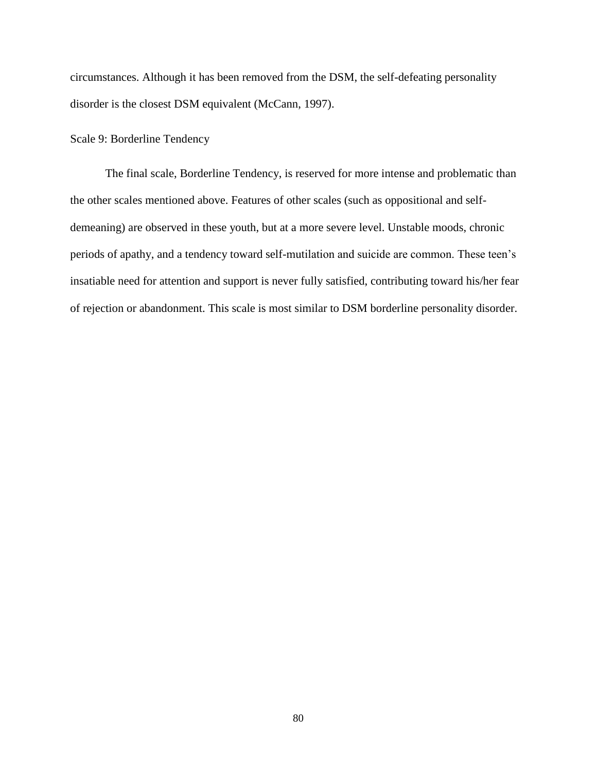circumstances. Although it has been removed from the DSM, the self-defeating personality disorder is the closest DSM equivalent (McCann, 1997).

### Scale 9: Borderline Tendency

The final scale, Borderline Tendency, is reserved for more intense and problematic than the other scales mentioned above. Features of other scales (such as oppositional and selfdemeaning) are observed in these youth, but at a more severe level. Unstable moods, chronic periods of apathy, and a tendency toward self-mutilation and suicide are common. These teen's insatiable need for attention and support is never fully satisfied, contributing toward his/her fear of rejection or abandonment. This scale is most similar to DSM borderline personality disorder.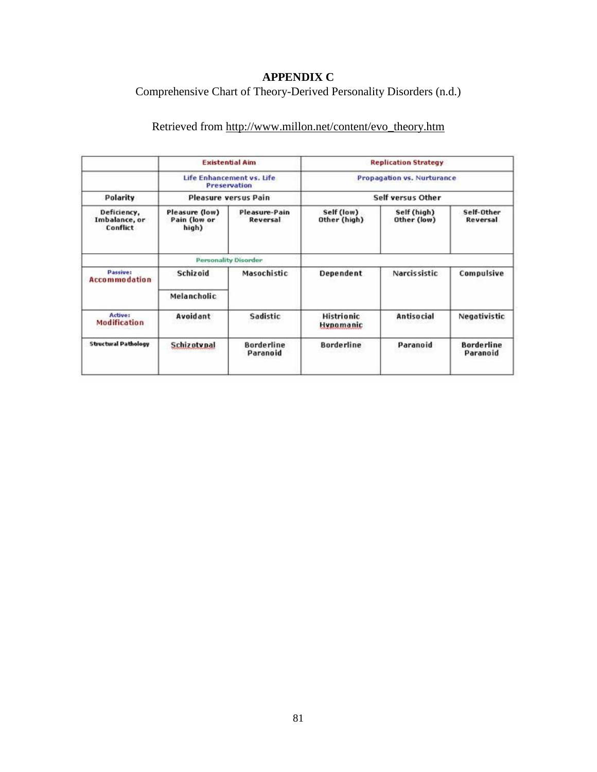# **APPENDIX C**

# Comprehensive Chart of Theory-Derived Personality Disorders (n.d.)

# Retrieved from http://www.millon.net/content/evo\_theory.htm

|                                                      | <b>Existential Aim</b><br>Life Enhancement vs. Life<br>Preservation<br>Pleasure versus Pain |                               | <b>Replication Strategy</b><br>Propagation vs. Nurturance<br>Self versus Other |                     |                               |
|------------------------------------------------------|---------------------------------------------------------------------------------------------|-------------------------------|--------------------------------------------------------------------------------|---------------------|-------------------------------|
| Polarity<br>Deficiency,<br>Imbalance, or<br>Conflict |                                                                                             |                               |                                                                                |                     |                               |
|                                                      |                                                                                             |                               |                                                                                |                     |                               |
|                                                      |                                                                                             |                               | <b>Personality Disorder</b>                                                    |                     |                               |
| <b>Passive:</b><br><b>Accommodation</b>              | Schizoid                                                                                    | <b>Masochistic</b>            | Dependent                                                                      | <b>Narcissistic</b> | Compulsive                    |
|                                                      | Melancholic                                                                                 |                               |                                                                                |                     |                               |
| <b>Active:</b><br>Modification                       | Avoidant                                                                                    | Sadistic                      | <b>Histrionic</b><br><b>Hypomanic</b>                                          | Antisocial          | Negativistic                  |
| <b>Structural Pathology</b>                          | <b>Schizotvpal</b>                                                                          | <b>Borderline</b><br>Paranoid | <b>Borderline</b>                                                              | Paranoid            | <b>Borderline</b><br>Paranoid |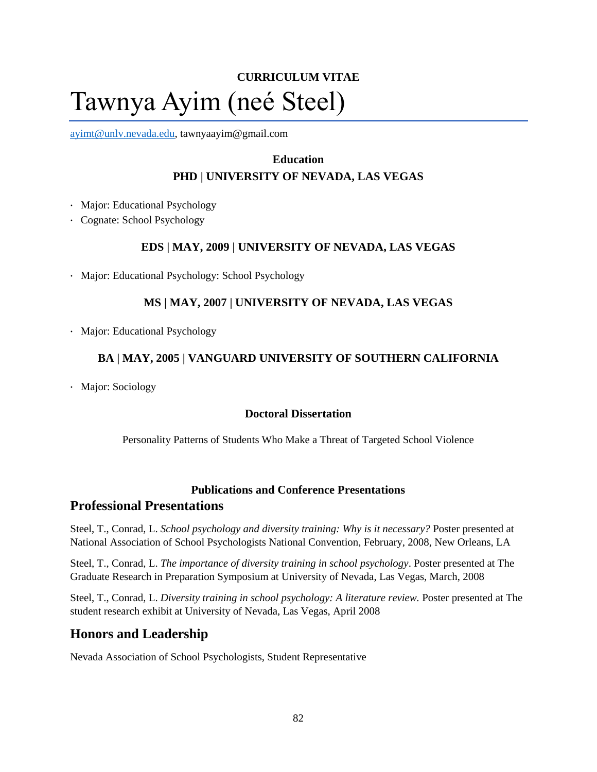# **CURRICULUM VITAE** Tawnya Ayim (neé Steel)

ayimt@unlv.nevada.edu, tawnyaayim@gmail.com

# **Education**

# **PHD | UNIVERSITY OF NEVADA, LAS VEGAS**

- · Major: Educational Psychology
- · Cognate: School Psychology

## **EDS | MAY, 2009 | UNIVERSITY OF NEVADA, LAS VEGAS**

· Major: Educational Psychology: School Psychology

## **MS | MAY, 2007 | UNIVERSITY OF NEVADA, LAS VEGAS**

· Major: Educational Psychology

## **BA | MAY, 2005 | VANGUARD UNIVERSITY OF SOUTHERN CALIFORNIA**

· Major: Sociology

## **Doctoral Dissertation**

Personality Patterns of Students Who Make a Threat of Targeted School Violence

## **Publications and Conference Presentations**

## **Professional Presentations**

Steel, T., Conrad, L. *School psychology and diversity training: Why is it necessary?* Poster presented at National Association of School Psychologists National Convention, February, 2008, New Orleans, LA

Steel, T., Conrad, L. *The importance of diversity training in school psychology*. Poster presented at The Graduate Research in Preparation Symposium at University of Nevada, Las Vegas, March, 2008

Steel, T., Conrad, L. *Diversity training in school psychology: A literature review.* Poster presented at The student research exhibit at University of Nevada, Las Vegas, April 2008

# **Honors and Leadership**

Nevada Association of School Psychologists, Student Representative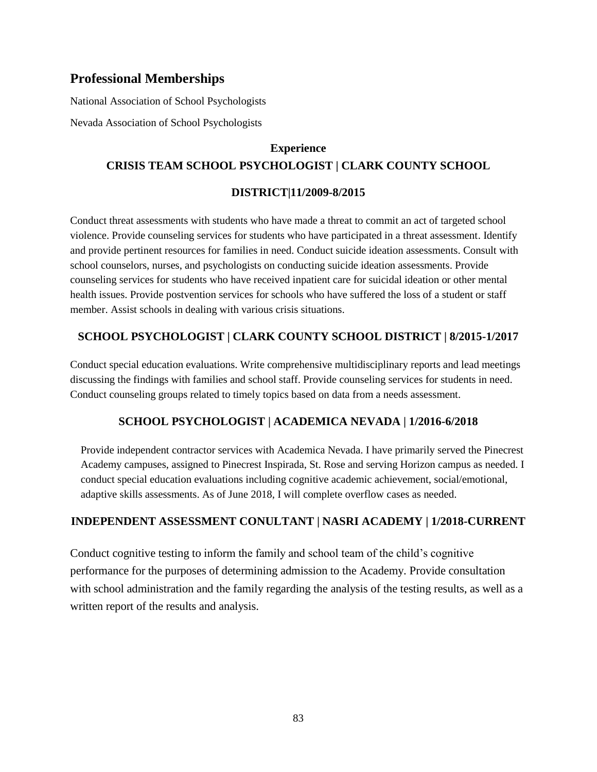# **Professional Memberships**

National Association of School Psychologists

Nevada Association of School Psychologists

# **Experience CRISIS TEAM SCHOOL PSYCHOLOGIST | CLARK COUNTY SCHOOL**

# **DISTRICT|11/2009-8/2015**

Conduct threat assessments with students who have made a threat to commit an act of targeted school violence. Provide counseling services for students who have participated in a threat assessment. Identify and provide pertinent resources for families in need. Conduct suicide ideation assessments. Consult with school counselors, nurses, and psychologists on conducting suicide ideation assessments. Provide counseling services for students who have received inpatient care for suicidal ideation or other mental health issues. Provide postvention services for schools who have suffered the loss of a student or staff member. Assist schools in dealing with various crisis situations.

# **SCHOOL PSYCHOLOGIST | CLARK COUNTY SCHOOL DISTRICT | 8/2015-1/2017**

Conduct special education evaluations. Write comprehensive multidisciplinary reports and lead meetings discussing the findings with families and school staff. Provide counseling services for students in need. Conduct counseling groups related to timely topics based on data from a needs assessment.

# **SCHOOL PSYCHOLOGIST | ACADEMICA NEVADA | 1/2016-6/2018**

Provide independent contractor services with Academica Nevada. I have primarily served the Pinecrest Academy campuses, assigned to Pinecrest Inspirada, St. Rose and serving Horizon campus as needed. I conduct special education evaluations including cognitive academic achievement, social/emotional, adaptive skills assessments. As of June 2018, I will complete overflow cases as needed.

# **INDEPENDENT ASSESSMENT CONULTANT | NASRI ACADEMY | 1/2018-CURRENT**

Conduct cognitive testing to inform the family and school team of the child's cognitive performance for the purposes of determining admission to the Academy. Provide consultation with school administration and the family regarding the analysis of the testing results, as well as a written report of the results and analysis.